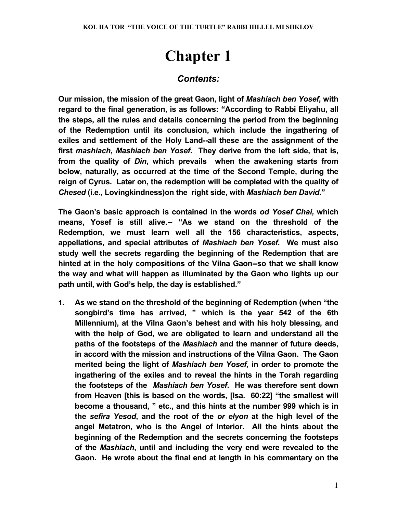## **Chapter 1**

## *Contents:*

**Our mission, the mission of the great Gaon, light of** *Mashiach ben Yosef***, with regard to the final generation, is as follows: "According to Rabbi Eliyahu, all the steps, all the rules and details concerning the period from the beginning of the Redemption until its conclusion, which include the ingathering of exiles and settlement of the Holy Land--all these are the assignment of the first** *mashiach***,** *Mashiach ben Yosef***. They derive from the left side, that is, from the quality of** *Din***, which prevails when the awakening starts from below, naturally, as occurred at the time of the Second Temple, during the reign of Cyrus. Later on, the redemption will be completed with the quality of**  *Chesed* **(i.e., Lovingkindness)on the right side, with** *Mashiach ben David***."** 

**The Gaon's basic approach is contained in the words** *od Yosef Chai,* **which means, Yosef is still alive.-- "As we stand on the threshold of the Redemption, we must learn well all the 156 characteristics, aspects, appellations, and special attributes of** *Mashiach ben Yosef.* **We must also study well the secrets regarding the beginning of the Redemption that are hinted at in the holy compositions of the Vilna Gaon--so that we shall know the way and what will happen as illuminated by the Gaon who lights up our path until, with God's help, the day is established."**

**1. As we stand on the threshold of the beginning of Redemption (when "the songbird's time has arrived, " which is the year 542 of the 6th Millennium), at the Vilna Gaon's behest and with his holy blessing, and with the help of God, we are obligated to learn and understand all the paths of the footsteps of the** *Mashiach* **and the manner of future deeds, in accord with the mission and instructions of the Vilna Gaon. The Gaon merited being the light of** *Mashiach ben Yosef,* **in order to promote the ingathering of the exiles and to reveal the hints in the Torah regarding the footsteps of the** *Mashiach ben Yosef***. He was therefore sent down from Heaven [this is based on the words, [Isa. 60:22] "the smallest will become a thousand, " etc., and this hints at the number 999 which is in the** *sefira Yesod***, and the root of the** *or elyon* **at the high level of the angel Metatron, who is the Angel of Interior. All the hints about the beginning of the Redemption and the secrets concerning the footsteps of the** *Mashiach***, until and including the very end were revealed to the Gaon. He wrote about the final end at length in his commentary on the**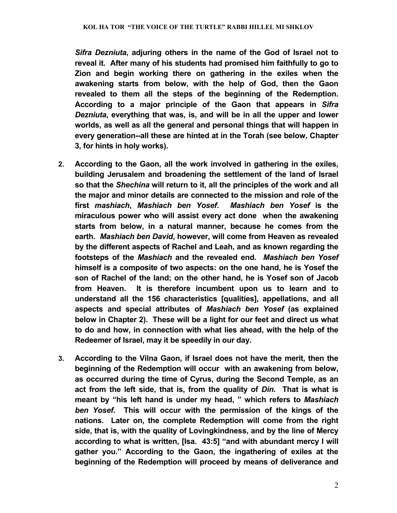*Sifra Dezniuta***, adjuring others in the name of the God of Israel not to reveal it. After many of his students had promised him faithfully to go to Zion and begin working there on gathering in the exiles when the awakening starts from below, with the help of God, then the Gaon revealed to them all the steps of the beginning of the Redemption. According to a major principle of the Gaon that appears in** *Sifra Dezniuta***, everything that was, is, and will be in all the upper and lower worlds, as well as all the general and personal things that will happen in every generation--all these are hinted at in the Torah (see below, Chapter 3, for hints in holy works).** 

- **2. According to the Gaon, all the work involved in gathering in the exiles, building Jerusalem and broadening the settlement of the land of Israel so that the** *Shechina* **will return to it, all the principles of the work and all the major and minor details are connected to the mission and role of the first** *mashiach***,** *Mashiach ben Yosef***.** *Mashiach ben Yosef* **is the miraculous power who will assist every act done when the awakening starts from below, in a natural manner, because he comes from the earth.** *Mashiach ben David***, however, will come from Heaven as revealed by the different aspects of Rachel and Leah, and as known regarding the footsteps of the** *Mashiach* **and the revealed end.** *Mashiach ben Yosef*  **himself is a composite of two aspects: on the one hand, he is Yosef the son of Rachel of the land; on the other hand, he is Yosef son of Jacob from Heaven. It is therefore incumbent upon us to learn and to understand all the 156 characteristics [qualities], appellations, and all aspects and special attributes of** *Mashiach ben Yosef* **(as explained below in Chapter 2). These will be a light for our feet and direct us what to do and how, in connection with what lies ahead, with the help of the Redeemer of Israel, may it be speedily in our day.**
- **3. According to the Vilna Gaon, if Israel does not have the merit, then the beginning of the Redemption will occur with an awakening from below, as occurred during the time of Cyrus, during the Second Temple, as an act from the left side, that is, from the quality of** *Din***. That is what is meant by "his left hand is under my head, " which refers to** *Mashiach ben Yosef***. This will occur with the permission of the kings of the nations. Later on, the complete Redemption will come from the right side, that is, with the quality of Lovingkindness, and by the line of Mercy according to what is written, [Isa. 43:5] "and with abundant mercy I will gather you." According to the Gaon, the ingathering of exiles at the beginning of the Redemption will proceed by means of deliverance and**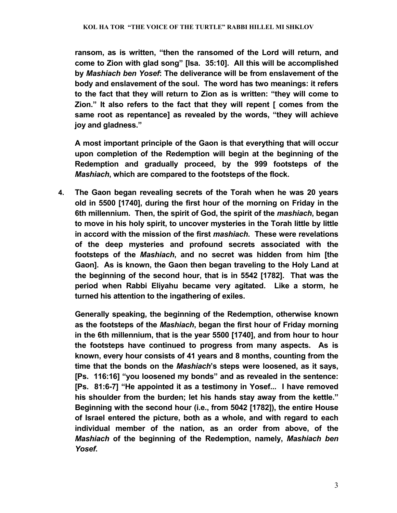**ransom, as is written, "then the ransomed of the Lord will return, and come to Zion with glad song" [Isa. 35:10]. All this will be accomplished by** *Mashiach ben Yosef***: The deliverance will be from enslavement of the body and enslavement of the soul. The word has two meanings: it refers to the fact that they will return to Zion as is written: "they will come to Zion." It also refers to the fact that they will repent [ comes from the same root as repentance] as revealed by the words, "they will achieve joy and gladness."**

 **A most important principle of the Gaon is that everything that will occur upon completion of the Redemption will begin at the beginning of the Redemption and gradually proceed, by the 999 footsteps of the**  *Mashiach***, which are compared to the footsteps of the flock.**

**4. The Gaon began revealing secrets of the Torah when he was 20 years old in 5500 [1740], during the first hour of the morning on Friday in the 6th millennium. Then, the spirit of God, the spirit of the** *mashiach***, began to move in his holy spirit, to uncover mysteries in the Torah little by little in accord with the mission of the first** *mashiach***. These were revelations of the deep mysteries and profound secrets associated with the footsteps of the** *Mashiach***, and no secret was hidden from him [the Gaon]. As is known, the Gaon then began traveling to the Holy Land at the beginning of the second hour, that is in 5542 [1782]. That was the period when Rabbi Eliyahu became very agitated. Like a storm, he turned his attention to the ingathering of exiles.**

 **Generally speaking, the beginning of the Redemption, otherwise known as the footsteps of the** *Mashiach***, began the first hour of Friday morning in the 6th millennium, that is the year 5500 [1740], and from hour to hour the footsteps have continued to progress from many aspects. As is known, every hour consists of 41 years and 8 months, counting from the time that the bonds on the** *Mashiach***'s steps were loosened, as it says, [Ps. 116:16] "you loosened my bonds" and as revealed in the sentence: [Ps. 81:6-7] "He appointed it as a testimony in Yosef... I have removed his shoulder from the burden; let his hands stay away from the kettle." Beginning with the second hour (i.e., from 5042 [1782]), the entire House of Israel entered the picture, both as a whole, and with regard to each individual member of the nation, as an order from above, of the**  *Mashiach* **of the beginning of the Redemption, namely,** *Mashiach ben Yosef***.**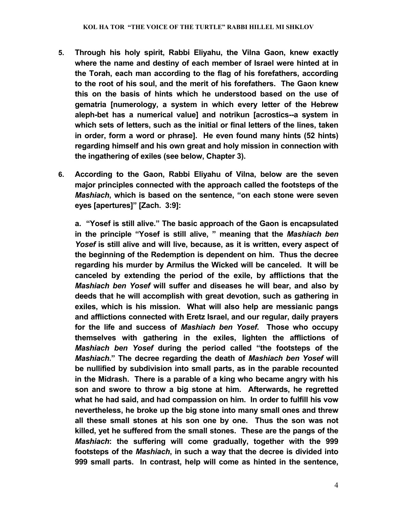- **5. Through his holy spirit, Rabbi Eliyahu, the Vilna Gaon, knew exactly where the name and destiny of each member of Israel were hinted at in the Torah, each man according to the flag of his forefathers, according to the root of his soul, and the merit of his forefathers. The Gaon knew this on the basis of hints which he understood based on the use of gematria [numerology, a system in which every letter of the Hebrew aleph-bet has a numerical value] and notrikun [acrostics--a system in which sets of letters, such as the initial or final letters of the lines, taken in order, form a word or phrase]. He even found many hints (52 hints) regarding himself and his own great and holy mission in connection with the ingathering of exiles (see below, Chapter 3).**
- **6. According to the Gaon, Rabbi Eliyahu of Vilna, below are the seven major principles connected with the approach called the footsteps of the**  *Mashiach***, which is based on the sentence, "on each stone were seven eyes [apertures]" [Zach. 3:9]:**

 **a. "Yosef is still alive." The basic approach of the Gaon is encapsulated in the principle "Yosef is still alive, " meaning that the** *Mashiach ben Yosef* **is still alive and will live, because, as it is written, every aspect of the beginning of the Redemption is dependent on him. Thus the decree regarding his murder by Armilus the Wicked will be canceled. It will be canceled by extending the period of the exile, by afflictions that the**  *Mashiach ben Yosef* **will suffer and diseases he will bear, and also by deeds that he will accomplish with great devotion, such as gathering in exiles, which is his mission. What will also help are messianic pangs and afflictions connected with Eretz Israel, and our regular, daily prayers for the life and success of** *Mashiach ben Yosef***. Those who occupy themselves with gathering in the exiles, lighten the afflictions of**  *Mashiach ben Yosef* **during the period called "the footsteps of the**  *Mashiach***." The decree regarding the death of** *Mashiach ben Yosef* **will be nullified by subdivision into small parts, as in the parable recounted in the Midrash. There is a parable of a king who became angry with his son and swore to throw a big stone at him. Afterwards, he regretted what he had said, and had compassion on him. In order to fulfill his vow nevertheless, he broke up the big stone into many small ones and threw all these small stones at his son one by one. Thus the son was not killed, yet he suffered from the small stones. These are the pangs of the**  *Mashiach***: the suffering will come gradually, together with the 999 footsteps of the** *Mashiach***, in such a way that the decree is divided into 999 small parts. In contrast, help will come as hinted in the sentence,**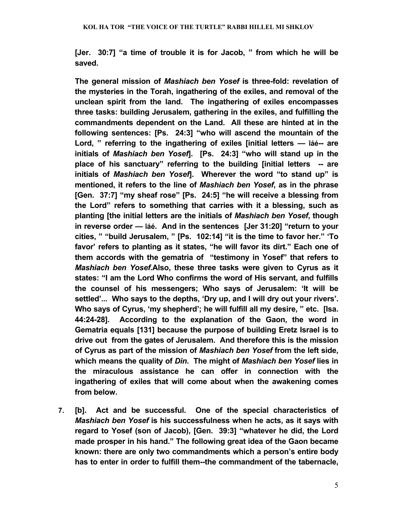**[Jer. 30:7] "a time of trouble it is for Jacob, " from which he will be saved.** 

 **The general mission of** *Mashiach ben Yosef* **is three-fold: revelation of the mysteries in the Torah, ingathering of the exiles, and removal of the unclean spirit from the land. The ingathering of exiles encompasses three tasks: building Jerusalem, gathering in the exiles, and fulfilling the commandments dependent on the Land. All these are hinted at in the following sentences: [Ps. 24:3] "who will ascend the mountain of the Lord, " referring to the ingathering of exiles [initial letters — îáé-- are initials of** *Mashiach ben Yosef***]. [Ps. 24:3] "who will stand up in the place of his sanctuary" referring to the building [initial letters -- are initials of** *Mashiach ben Yosef***]. Wherever the word "to stand up" is mentioned, it refers to the line of** *Mashiach ben Yosef***, as in the phrase [Gen. 37:7] "my sheaf rose" [Ps. 24:5] "he will receive a blessing from the Lord" refers to something that carries with it a blessing, such as planting [the initial letters are the initials of** *Mashiach ben Yosef***, though in reverse order — îáé. And in the sentences [Jer 31:20] "return to your cities, " "build Jerusalem, " [Ps. 102:14] "it is the time to favor her." 'To favor' refers to planting as it states, "he will favor its dirt." Each one of them accords with the gematria of "testimony in Yosef" that refers to**  *Mashiach ben Yosef***.Also, these three tasks were given to Cyrus as it states: "I am the Lord Who confirms the word of His servant, and fulfills the counsel of his messengers; Who says of Jerusalem: 'It will be settled'... Who says to the depths, 'Dry up, and I will dry out your rivers'. Who says of Cyrus, 'my shepherd'; he will fulfill all my desire, " etc. [Isa. 44:24-28]. According to the explanation of the Gaon, the word in Gematria equals [131] because the purpose of building Eretz Israel is to drive out from the gates of Jerusalem. And therefore this is the mission of Cyrus as part of the mission of** *Mashiach ben Yosef* **from the left side, which means the quality of** *Din***. The might of** *Mashiach ben Yosef* **lies in the miraculous assistance he can offer in connection with the ingathering of exiles that will come about when the awakening comes from below.** 

**7. [b]. Act and be successful. One of the special characteristics of**  *Mashiach ben Yosef* **is his successfulness when he acts, as it says with regard to Yosef (son of Jacob), [Gen. 39:3] "whatever he did, the Lord made prosper in his hand." The following great idea of the Gaon became known: there are only two commandments which a person's entire body has to enter in order to fulfill them--the commandment of the tabernacle,**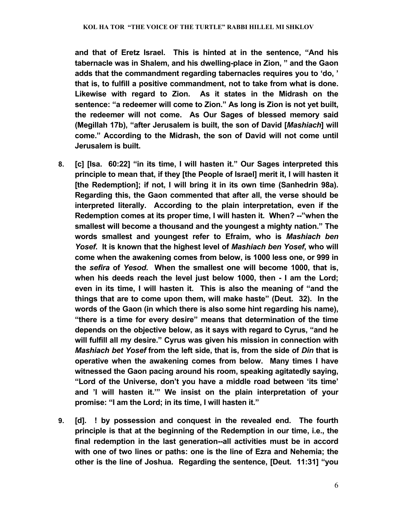**and that of Eretz Israel. This is hinted at in the sentence, "And his tabernacle was in Shalem, and his dwelling-place in Zion, " and the Gaon adds that the commandment regarding tabernacles requires you to 'do, ' that is, to fulfill a positive commandment, not to take from what is done. Likewise with regard to Zion. As it states in the Midrash on the sentence: "a redeemer will come to Zion." As long is Zion is not yet built, the redeemer will not come. As Our Sages of blessed memory said (Megillah 17b), "after Jerusalem is built, the son of David [***Mashiach***] will come." According to the Midrash, the son of David will not come until Jerusalem is built.**

- **8. [c] [Isa. 60:22] "in its time, I will hasten it." Our Sages interpreted this principle to mean that, if they [the People of Israel] merit it, I will hasten it [the Redemption]; if not, I will bring it in its own time (Sanhedrin 98a). Regarding this, the Gaon commented that after all, the verse should be interpreted literally. According to the plain interpretation, even if the Redemption comes at its proper time, I will hasten it. When? --"when the smallest will become a thousand and the youngest a mighty nation." The words smallest and youngest refer to Efraim, who is** *Mashiach ben Yosef***. It is known that the highest level of** *Mashiach ben Yosef***, who will come when the awakening comes from below, is 1000 less one, or 999 in the** *sefira* **of** *Yesod***. When the smallest one will become 1000, that is, when his deeds reach the level just below 1000, then - I am the Lord; even in its time, I will hasten it. This is also the meaning of "and the things that are to come upon them, will make haste" (Deut. 32). In the words of the Gaon (in which there is also some hint regarding his name), "there is a time for every desire" means that determination of the time depends on the objective below, as it says with regard to Cyrus, "and he will fulfill all my desire." Cyrus was given his mission in connection with**  *Mashiach bet Yosef* **from the left side, that is, from the side of** *Din* **that is operative when the awakening comes from below. Many times I have witnessed the Gaon pacing around his room, speaking agitatedly saying, "Lord of the Universe, don't you have a middle road between 'its time' and 'I will hasten it.'" We insist on the plain interpretation of your promise: "I am the Lord; in its time, I will hasten it."**
- **9. [d]. ! by possession and conquest in the revealed end. The fourth principle is that at the beginning of the Redemption in our time, i.e., the final redemption in the last generation--all activities must be in accord with one of two lines or paths: one is the line of Ezra and Nehemia; the other is the line of Joshua. Regarding the sentence, [Deut. 11:31] "you**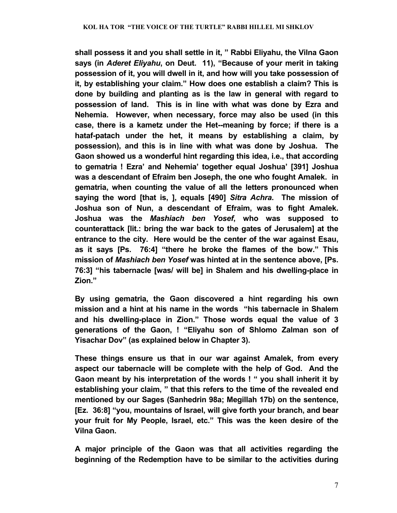**shall possess it and you shall settle in it, " Rabbi Eliyahu, the Vilna Gaon says (in** *Aderet Eliyahu***, on Deut. 11), "Because of your merit in taking possession of it, you will dwell in it, and how will you take possession of it, by establishing your claim." How does one establish a claim? This is done by building and planting as is the law in general with regard to possession of land. This is in line with what was done by Ezra and Nehemia. However, when necessary, force may also be used (in this case, there is a kametz under the Het--meaning by force; if there is a hataf-patach under the het, it means by establishing a claim, by possession), and this is in line with what was done by Joshua. The Gaon showed us a wonderful hint regarding this idea, i.e., that according to gematria ! Ezra' and Nehemia' together equal Joshua' [391] Joshua was a descendant of Efraim ben Joseph, the one who fought Amalek. in gematria, when counting the value of all the letters pronounced when saying the word [that is, ], equals [490]** *Sitra Achra***. The mission of Joshua son of Nun, a descendant of Efraim, was to fight Amalek. Joshua was the** *Mashiach ben Yosef***, who was supposed to counterattack [lit.: bring the war back to the gates of Jerusalem] at the entrance to the city. Here would be the center of the war against Esau, as it says [Ps. 76:4] "there he broke the flames of the bow." This mission of** *Mashiach ben Yosef* **was hinted at in the sentence above, [Ps. 76:3] "his tabernacle [was/ will be] in Shalem and his dwelling-place in Zion."** 

 **By using gematria, the Gaon discovered a hint regarding his own mission and a hint at his name in the words "his tabernacle in Shalem and his dwelling-place in Zion." Those words equal the value of 3 generations of the Gaon, ! "Eliyahu son of Shlomo Zalman son of Yisachar Dov" (as explained below in Chapter 3).**

 **These things ensure us that in our war against Amalek, from every aspect our tabernacle will be complete with the help of God. And the Gaon meant by his interpretation of the words ! " you shall inherit it by establishing your claim, " that this refers to the time of the revealed end mentioned by our Sages (Sanhedrin 98a; Megillah 17b) on the sentence, [Ez. 36:8] "you, mountains of Israel, will give forth your branch, and bear your fruit for My People, Israel, etc." This was the keen desire of the Vilna Gaon.**

 **A major principle of the Gaon was that all activities regarding the beginning of the Redemption have to be similar to the activities during**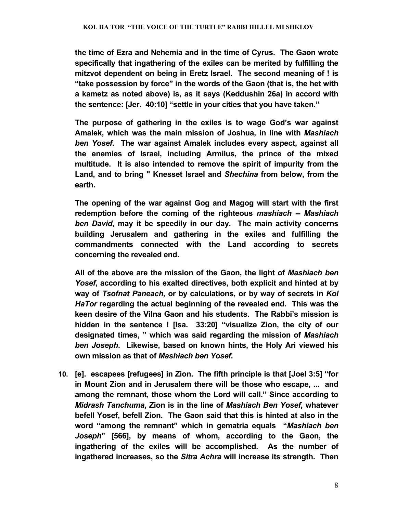**the time of Ezra and Nehemia and in the time of Cyrus. The Gaon wrote specifically that ingathering of the exiles can be merited by fulfilling the mitzvot dependent on being in Eretz Israel. The second meaning of ! is "take possession by force" in the words of the Gaon (that is, the het with a kametz as noted above) is, as it says (Keddushin 26a) in accord with the sentence: [Jer. 40:10] "settle in your cities that you have taken."** 

 **The purpose of gathering in the exiles is to wage God's war against Amalek, which was the main mission of Joshua, in line with** *Mashiach ben Yosef***. The war against Amalek includes every aspect, against all the enemies of Israel, including Armilus, the prince of the mixed multitude. It is also intended to remove the spirit of impurity from the Land, and to bring " Knesset Israel and** *Shechina* **from below, from the earth.** 

 **The opening of the war against Gog and Magog will start with the first redemption before the coming of the righteous** *mashiach* **--** *Mashiach ben David***, may it be speedily in our day. The main activity concerns building Jerusalem and gathering in the exiles and fulfilling the commandments connected with the Land according to secrets concerning the revealed end.** 

 **All of the above are the mission of the Gaon, the light of** *Mashiach ben Yosef***, according to his exalted directives, both explicit and hinted at by way of** *Tsofnat Paneach,* **or by calculations, or by way of secrets in** *Kol HaTor* **regarding the actual beginning of the revealed end. This was the keen desire of the Vilna Gaon and his students. The Rabbi's mission is hidden in the sentence ! [Isa. 33:20] "visualize Zion, the city of our designated times, " which was said regarding the mission of** *Mashiach ben Joseph***. Likewise, based on known hints, the Holy Ari viewed his own mission as that of** *Mashiach ben Yosef***.**

**10. [e]. escapees [refugees] in Zion. The fifth principle is that [Joel 3:5] "for in Mount Zion and in Jerusalem there will be those who escape, ... and among the remnant, those whom the Lord will call." Since according to**  *Midrash Tanchuma***, Zion is in the line of** *Mashiach Ben Yosef***, whatever befell Yosef, befell Zion. The Gaon said that this is hinted at also in the word "among the remnant" which in gematria equals "***Mashiach ben Joseph***" [566], by means of whom, according to the Gaon, the ingathering of the exiles will be accomplished. As the number of ingathered increases, so the** *Sitra Achra* **will increase its strength. Then**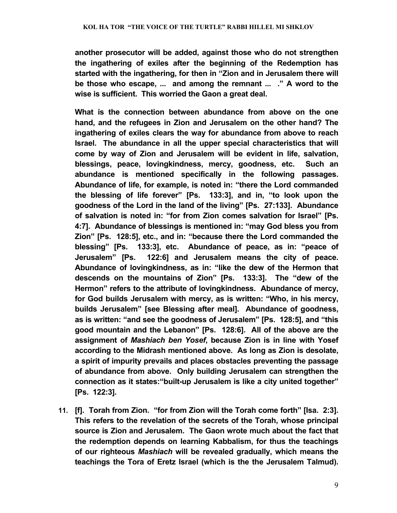**another prosecutor will be added, against those who do not strengthen the ingathering of exiles after the beginning of the Redemption has started with the ingathering, for then in "Zion and in Jerusalem there will be those who escape, ... and among the remnant ... ." A word to the wise is sufficient. This worried the Gaon a great deal.** 

 **What is the connection between abundance from above on the one hand, and the refugees in Zion and Jerusalem on the other hand? The ingathering of exiles clears the way for abundance from above to reach Israel. The abundance in all the upper special characteristics that will come by way of Zion and Jerusalem will be evident in life, salvation, blessings, peace, lovingkindness, mercy, goodness, etc. Such an abundance is mentioned specifically in the following passages. Abundance of life, for example, is noted in: "there the Lord commanded the blessing of life forever" [Ps. 133:3], and in, "to look upon the goodness of the Lord in the land of the living" [Ps. 27:133]. Abundance of salvation is noted in: "for from Zion comes salvation for Israel" [Ps. 4:7]. Abundance of blessings is mentioned in: "may God bless you from Zion" [Ps. 128:5], etc., and in: "because there the Lord commanded the blessing" [Ps. 133:3], etc. Abundance of peace, as in: "peace of Jerusalem" [Ps. 122:6] and Jerusalem means the city of peace. Abundance of lovingkindness, as in: "like the dew of the Hermon that descends on the mountains of Zion" [Ps. 133:3]. The "dew of the Hermon" refers to the attribute of lovingkindness. Abundance of mercy, for God builds Jerusalem with mercy, as is written: "Who, in his mercy, builds Jerusalem" [see Blessing after meal]. Abundance of goodness, as is written: "and see the goodness of Jerusalem" [Ps. 128:5], and "this good mountain and the Lebanon" [Ps. 128:6]. All of the above are the assignment of** *Mashiach ben Yosef***, because Zion is in line with Yosef according to the Midrash mentioned above. As long as Zion is desolate, a spirit of impurity prevails and places obstacles preventing the passage of abundance from above. Only building Jerusalem can strengthen the connection as it states:"built-up Jerusalem is like a city united together" [Ps. 122:3].**

**11. [f]. Torah from Zion. "for from Zion will the Torah come forth" [Isa. 2:3]. This refers to the revelation of the secrets of the Torah, whose principal source is Zion and Jerusalem. The Gaon wrote much about the fact that the redemption depends on learning Kabbalism, for thus the teachings of our righteous** *Mashiach* **will be revealed gradually, which means the teachings the Tora of Eretz Israel (which is the the Jerusalem Talmud).**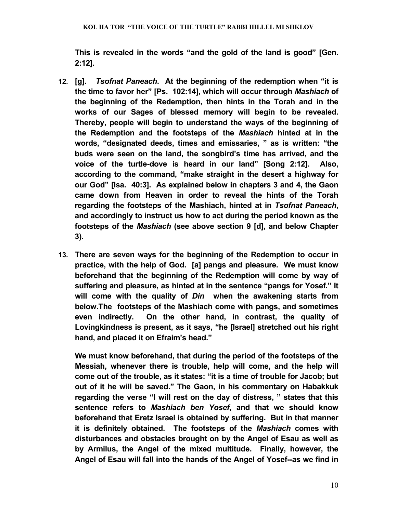**This is revealed in the words "and the gold of the land is good" [Gen. 2:12].** 

- **12. [g].** *Tsofnat Paneach***. At the beginning of the redemption when "it is the time to favor her" [Ps. 102:14], which will occur through** *Mashiach* **of the beginning of the Redemption, then hints in the Torah and in the works of our Sages of blessed memory will begin to be revealed. Thereby, people will begin to understand the ways of the beginning of the Redemption and the footsteps of the** *Mashiach* **hinted at in the words, "designated deeds, times and emissaries, " as is written: "the buds were seen on the land, the songbird's time has arrived, and the voice of the turtle-dove is heard in our land" [Song 2:12]. Also, according to the command, "make straight in the desert a highway for our God" [Isa. 40:3]. As explained below in chapters 3 and 4, the Gaon came down from Heaven in order to reveal the hints of the Torah regarding the footsteps of the Mashiach, hinted at in** *Tsofnat Paneach***, and accordingly to instruct us how to act during the period known as the footsteps of the** *Mashiach* **(see above section 9 [d], and below Chapter 3).**
- **13. There are seven ways for the beginning of the Redemption to occur in practice, with the help of God. [a] pangs and pleasure. We must know beforehand that the beginning of the Redemption will come by way of suffering and pleasure, as hinted at in the sentence "pangs for Yosef." It will come with the quality of** *Din* **when the awakening starts from below.The footsteps of the Mashiach come with pangs, and sometimes even indirectly. On the other hand, in contrast, the quality of Lovingkindness is present, as it says, "he [Israel] stretched out his right hand, and placed it on Efraim's head."**

 **We must know beforehand, that during the period of the footsteps of the Messiah, whenever there is trouble, help will come, and the help will come out of the trouble, as it states: "it is a time of trouble for Jacob; but out of it he will be saved." The Gaon, in his commentary on Habakkuk regarding the verse "I will rest on the day of distress, " states that this sentence refers to** *Mashiach ben Yosef***, and that we should know beforehand that Eretz Israel is obtained by suffering. But in that manner it is definitely obtained. The footsteps of the** *Mashiach* **comes with disturbances and obstacles brought on by the Angel of Esau as well as by Armilus, the Angel of the mixed multitude. Finally, however, the Angel of Esau will fall into the hands of the Angel of Yosef--as we find in**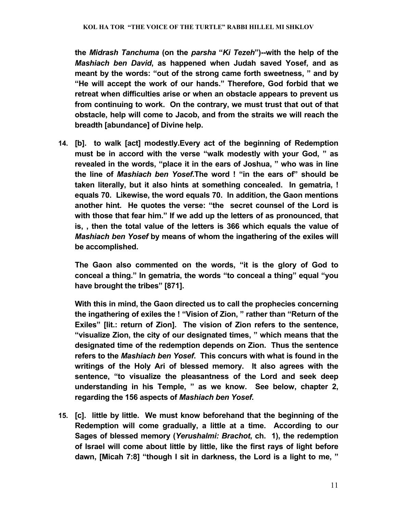**the** *Midrash Tanchuma* **(on the** *parsha* **"***Ki Tezeh***")--with the help of the**  *Mashiach ben David***, as happened when Judah saved Yosef, and as meant by the words: "out of the strong came forth sweetness, " and by "He will accept the work of our hands." Therefore, God forbid that we retreat when difficulties arise or when an obstacle appears to prevent us from continuing to work. On the contrary, we must trust that out of that obstacle, help will come to Jacob, and from the straits we will reach the breadth [abundance] of Divine help.** 

**14. [b]. to walk [act] modestly.Every act of the beginning of Redemption must be in accord with the verse "walk modestly with your God, " as revealed in the words, "place it in the ears of Joshua, " who was in line the line of** *Mashiach ben Yosef***.The word ! "in the ears of" should be taken literally, but it also hints at something concealed. In gematria, ! equals 70. Likewise, the word equals 70. In addition, the Gaon mentions another hint. He quotes the verse: "the secret counsel of the Lord is with those that fear him." If we add up the letters of as pronounced, that is, , then the total value of the letters is 366 which equals the value of**  *Mashiach ben Yosef* **by means of whom the ingathering of the exiles will be accomplished.** 

 **The Gaon also commented on the words, "it is the glory of God to conceal a thing." In gematria, the words "to conceal a thing" equal "you have brought the tribes" [871].**

 **With this in mind, the Gaon directed us to call the prophecies concerning the ingathering of exiles the ! "Vision of Zion, " rather than "Return of the Exiles" [lit.: return of Zion]. The vision of Zion refers to the sentence, "visualize Zion, the city of our designated times, " which means that the designated time of the redemption depends on Zion. Thus the sentence refers to the** *Mashiach ben Yosef***. This concurs with what is found in the writings of the Holy Ari of blessed memory. It also agrees with the sentence, "to visualize the pleasantness of the Lord and seek deep understanding in his Temple, " as we know. See below, chapter 2, regarding the 156 aspects of** *Mashiach ben Yosef***.**

**15. [c]. little by little. We must know beforehand that the beginning of the Redemption will come gradually, a little at a time. According to our Sages of blessed memory (***Yerushalmi: Brachot***, ch. 1), the redemption of Israel will come about little by little, like the first rays of light before dawn, [Micah 7:8] "though I sit in darkness, the Lord is a light to me, "**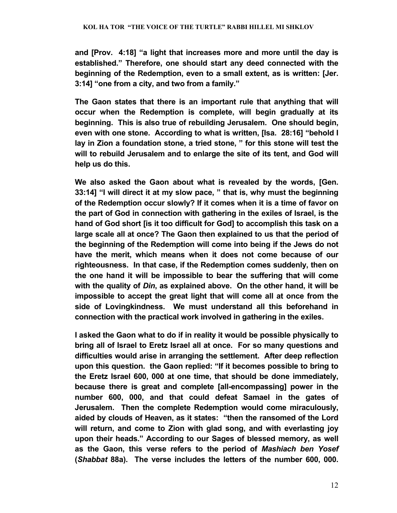**and [Prov. 4:18] "a light that increases more and more until the day is established." Therefore, one should start any deed connected with the beginning of the Redemption, even to a small extent, as is written: [Jer. 3:14] "one from a city, and two from a family."**

 **The Gaon states that there is an important rule that anything that will occur when the Redemption is complete, will begin gradually at its beginning. This is also true of rebuilding Jerusalem. One should begin, even with one stone. According to what is written, [Isa. 28:16] "behold I lay in Zion a foundation stone, a tried stone, " for this stone will test the will to rebuild Jerusalem and to enlarge the site of its tent, and God will help us do this.** 

 **We also asked the Gaon about what is revealed by the words, [Gen. 33:14] "I will direct it at my slow pace, " that is, why must the beginning of the Redemption occur slowly? If it comes when it is a time of favor on the part of God in connection with gathering in the exiles of Israel, is the hand of God short [is it too difficult for God] to accomplish this task on a large scale all at once? The Gaon then explained to us that the period of the beginning of the Redemption will come into being if the Jews do not have the merit, which means when it does not come because of our righteousness. In that case, if the Redemption comes suddenly, then on the one hand it will be impossible to bear the suffering that will come with the quality of** *Din***, as explained above. On the other hand, it will be impossible to accept the great light that will come all at once from the side of Lovingkindness. We must understand all this beforehand in connection with the practical work involved in gathering in the exiles.**

 **I asked the Gaon what to do if in reality it would be possible physically to bring all of Israel to Eretz Israel all at once. For so many questions and difficulties would arise in arranging the settlement. After deep reflection upon this question. the Gaon replied: "If it becomes possible to bring to the Eretz Israel 600, 000 at one time, that should be done immediately, because there is great and complete [all-encompassing] power in the number 600, 000, and that could defeat Samael in the gates of Jerusalem. Then the complete Redemption would come miraculously, aided by clouds of Heaven, as it states: "then the ransomed of the Lord will return, and come to Zion with glad song, and with everlasting joy upon their heads." According to our Sages of blessed memory, as well as the Gaon, this verse refers to the period of** *Mashiach ben Yosef*  **(***Shabbat* **88a). The verse includes the letters of the number 600, 000.**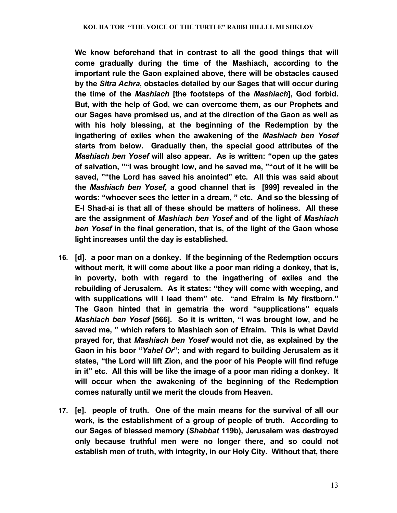**We know beforehand that in contrast to all the good things that will come gradually during the time of the Mashiach, according to the important rule the Gaon explained above, there will be obstacles caused by the** *Sitra Achra***, obstacles detailed by our Sages that will occur during the time of the** *Mashiach* **[the footsteps of the** *Mashiach***], God forbid. But, with the help of God, we can overcome them, as our Prophets and our Sages have promised us, and at the direction of the Gaon as well as with his holy blessing, at the beginning of the Redemption by the ingathering of exiles when the awakening of the** *Mashiach ben Yosef*  **starts from below. Gradually then, the special good attributes of the**  *Mashiach ben Yosef* **will also appear. As is written: "open up the gates of salvation, ""I was brought low, and he saved me, ""out of it he will be saved, ""the Lord has saved his anointed" etc. All this was said about the** *Mashiach ben Yosef***, a good channel that is [999] revealed in the words: "whoever sees the letter in a dream, " etc. And so the blessing of E-l Shad-ai is that all of these should be matters of holiness. All these are the assignment of** *Mashiach ben Yosef* **and of the light of** *Mashiach ben Yosef* **in the final generation, that is, of the light of the Gaon whose light increases until the day is established.**

- **16. [d]. a poor man on a donkey. If the beginning of the Redemption occurs without merit, it will come about like a poor man riding a donkey, that is, in poverty, both with regard to the ingathering of exiles and the rebuilding of Jerusalem. As it states: "they will come with weeping, and with supplications will I lead them" etc. "and Efraim is My firstborn." The Gaon hinted that in gematria the word "supplications" equals**  *Mashiach ben Yosef* **[566]. So it is written, "I was brought low, and he saved me, " which refers to Mashiach son of Efraim. This is what David prayed for, that** *Mashiach ben Yosef* **would not die, as explained by the Gaon in his boor "***Yahel Or***"; and with regard to building Jerusalem as it states, "the Lord will lift Zion, and the poor of his People will find refuge in it" etc. All this will be like the image of a poor man riding a donkey. It will occur when the awakening of the beginning of the Redemption comes naturally until we merit the clouds from Heaven.**
- **17. [e]. people of truth. One of the main means for the survival of all our work, is the establishment of a group of people of truth. According to our Sages of blessed memory (***Shabbat* **119b), Jerusalem was destroyed only because truthful men were no longer there, and so could not establish men of truth, with integrity, in our Holy City. Without that, there**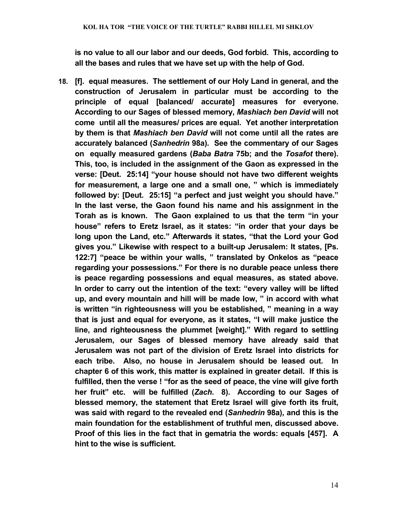**is no value to all our labor and our deeds, God forbid. This, according to all the bases and rules that we have set up with the help of God.**

**18. [f]. equal measures. The settlement of our Holy Land in general, and the construction of Jerusalem in particular must be according to the principle of equal [balanced/ accurate] measures for everyone. According to our Sages of blessed memory,** *Mashiach ben David* **will not come until all the measures/ prices are equal. Yet another interpretation by them is that** *Mashiach ben David* **will not come until all the rates are accurately balanced (***Sanhedrin* **98a). See the commentary of our Sages on equally measured gardens (***Baba Batra* **75b; and the** *Tosafot* **there). This, too, is included in the assignment of the Gaon as expressed in the verse: [Deut. 25:14] "your house should not have two different weights for measurement, a large one and a small one, " which is immediately followed by: [Deut. 25:15] "a perfect and just weight you should have." In the last verse, the Gaon found his name and his assignment in the Torah as is known. The Gaon explained to us that the term "in your house" refers to Eretz Israel, as it states: "in order that your days be long upon the Land, etc." Afterwards it states, "that the Lord your God gives you." Likewise with respect to a built-up Jerusalem: It states, [Ps. 122:7] "peace be within your walls, " translated by Onkelos as "peace regarding your possessions." For there is no durable peace unless there is peace regarding possessions and equal measures, as stated above. In order to carry out the intention of the text: "every valley will be lifted up, and every mountain and hill will be made low, " in accord with what is written "in righteousness will you be established, " meaning in a way that is just and equal for everyone, as it states, "I will make justice the line, and righteousness the plummet [weight]." With regard to settling Jerusalem, our Sages of blessed memory have already said that Jerusalem was not part of the division of Eretz Israel into districts for each tribe. Also, no house in Jerusalem should be leased out. In chapter 6 of this work, this matter is explained in greater detail. If this is fulfilled, then the verse ! "for as the seed of peace, the vine will give forth her fruit" etc. will be fulfilled (***Zach***. 8). According to our Sages of blessed memory, the statement that Eretz Israel will give forth its fruit, was said with regard to the revealed end (***Sanhedrin* **98a), and this is the main foundation for the establishment of truthful men, discussed above. Proof of this lies in the fact that in gematria the words: equals [457]. A hint to the wise is sufficient.**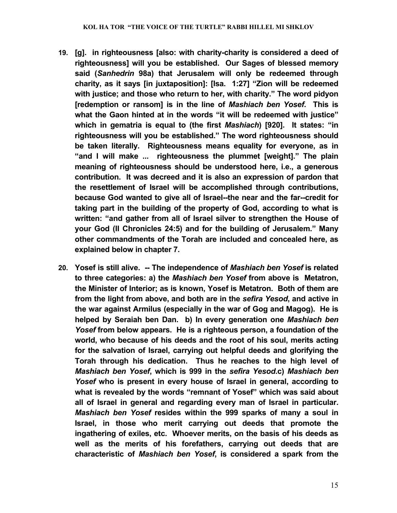- **19. [g]. in righteousness [also: with charity-charity is considered a deed of righteousness] will you be established. Our Sages of blessed memory said (***Sanhedrin* **98a) that Jerusalem will only be redeemed through charity, as it says [in juxtaposition]: [Isa. 1:27] "Zion will be redeemed with justice; and those who return to her, with charity." The word pidyon [redemption or ransom] is in the line of** *Mashiach ben Yosef***. This is what the Gaon hinted at in the words "it will be redeemed with justice" which in gematria is equal to (the first** *Mashiach***) [920]. It states: "in righteousness will you be established." The word righteousness should be taken literally. Righteousness means equality for everyone, as in "and I will make ... righteousness the plummet [weight]." The plain meaning of righteousness should be understood here, i.e., a generous contribution. It was decreed and it is also an expression of pardon that the resettlement of Israel will be accomplished through contributions, because God wanted to give all of Israel--the near and the far--credit for taking part in the building of the property of God, according to what is written: "and gather from all of Israel silver to strengthen the House of your God (II Chronicles 24:5) and for the building of Jerusalem." Many other commandments of the Torah are included and concealed here, as explained below in chapter 7.**
- **20. Yosef is still alive. -- The independence of** *Mashiach ben Yosef* **is related to three categories: a) the** *Mashiach ben Yosef* **from above is Metatron, the Minister of Interior; as is known, Yosef is Metatron. Both of them are from the light from above, and both are in the** *sefira Yesod***, and active in the war against Armilus (especially in the war of Gog and Magog). He is helped by Seraiah ben Dan. b) In every generation one** *Mashiach ben Yosef* **from below appears. He is a righteous person, a foundation of the world, who because of his deeds and the root of his soul, merits acting for the salvation of Israel, carrying out helpful deeds and glorifying the Torah through his dedication. Thus he reaches to the high level of**  *Mashiach ben Yosef***, which is 999 in the** *sefira Yesod***.c)** *Mashiach ben Yosef* **who is present in every house of Israel in general, according to what is revealed by the words "remnant of Yosef" which was said about all of Israel in general and regarding every man of Israel in particular.**  *Mashiach ben Yosef* **resides within the 999 sparks of many a soul in Israel, in those who merit carrying out deeds that promote the ingathering of exiles, etc. Whoever merits, on the basis of his deeds as well as the merits of his forefathers, carrying out deeds that are characteristic of** *Mashiach ben Yosef***, is considered a spark from the**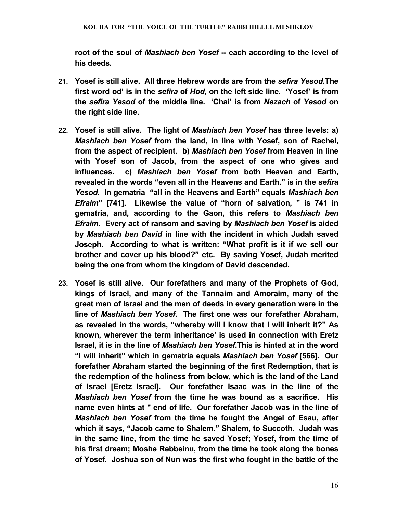**root of the soul of** *Mashiach ben Yosef* **-- each according to the level of his deeds.**

- **21. Yosef is still alive. All three Hebrew words are from the** *sefira Yesod***.The first word od' is in the** *sefira* **of** *Hod***, on the left side line. 'Yosef' is from the** *sefira Yesod* **of the middle line. 'Chai' is from** *Nezach* **of** *Yesod* **on the right side line.**
- **22. Yosef is still alive. The light of** *Mashiach ben Yosef* **has three levels: a)**  *Mashiach ben Yosef* **from the land, in line with Yosef, son of Rachel, from the aspect of recipient. b)** *Mashiach ben Yosef* **from Heaven in line with Yosef son of Jacob, from the aspect of one who gives and influences. c)** *Mashiach ben Yosef* **from both Heaven and Earth, revealed in the words "even all in the Heavens and Earth." is in the** *sefira Yesod***. In gematria "all in the Heavens and Earth" equals** *Mashiach ben Efraim***" [741]. Likewise the value of "horn of salvation, " is 741 in gematria, and, according to the Gaon, this refers to** *Mashiach ben Efraim***. Every act of ransom and saving by** *Mashiach ben Yosef* **is aided by** *Mashiach ben David* **in line with the incident in which Judah saved Joseph. According to what is written: "What profit is it if we sell our brother and cover up his blood?" etc. By saving Yosef, Judah merited being the one from whom the kingdom of David descended.**
- **23. Yosef is still alive. Our forefathers and many of the Prophets of God, kings of Israel, and many of the Tannaim and Amoraim, many of the great men of Israel and the men of deeds in every generation were in the line of** *Mashiach ben Yosef***. The first one was our forefather Abraham, as revealed in the words, "whereby will I know that I will inherit it?" As known, wherever the term inheritance' is used in connection with Eretz Israel, it is in the line of** *Mashiach ben Yosef***.This is hinted at in the word "I will inherit" which in gematria equals** *Mashiach ben Yosef* **[566]. Our forefather Abraham started the beginning of the first Redemption, that is the redemption of the holiness from below, which is the land of the Land of Israel [Eretz Israel]. Our forefather Isaac was in the line of the**  *Mashiach ben Yosef* **from the time he was bound as a sacrifice. His name even hints at " end of life. Our forefather Jacob was in the line of**  *Mashiach ben Yosef* **from the time he fought the Angel of Esau, after which it says, "Jacob came to Shalem." Shalem, to Succoth. Judah was in the same line, from the time he saved Yosef; Yosef, from the time of his first dream; Moshe Rebbeinu, from the time he took along the bones of Yosef. Joshua son of Nun was the first who fought in the battle of the**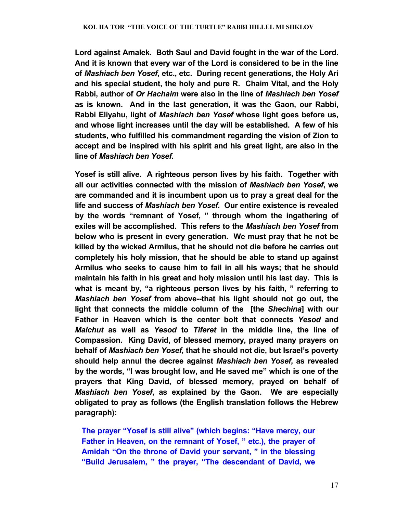**Lord against Amalek. Both Saul and David fought in the war of the Lord. And it is known that every war of the Lord is considered to be in the line of** *Mashiach ben Yosef***, etc., etc. During recent generations, the Holy Ari and his special student, the holy and pure R. Chaim Vital, and the Holy Rabbi, author of** *Or Hachaim* **were also in the line of** *Mashiach ben Yosef*  **as is known. And in the last generation, it was the Gaon, our Rabbi, Rabbi Eliyahu, light of** *Mashiach ben Yosef* **whose light goes before us, and whose light increases until the day will be established. A few of his students, who fulfilled his commandment regarding the vision of Zion to accept and be inspired with his spirit and his great light, are also in the line of** *Mashiach ben Yosef***.** 

 **Yosef is still alive. A righteous person lives by his faith. Together with all our activities connected with the mission of** *Mashiach ben Yosef***, we are commanded and it is incumbent upon us to pray a great deal for the life and success of** *Mashiach ben Yosef***. Our entire existence is revealed by the words "remnant of Yosef, " through whom the ingathering of exiles will be accomplished. This refers to the** *Mashiach ben Yosef* **from below who is present in every generation. We must pray that he not be killed by the wicked Armilus, that he should not die before he carries out completely his holy mission, that he should be able to stand up against Armilus who seeks to cause him to fail in all his ways; that he should maintain his faith in his great and holy mission until his last day. This is what is meant by, "a righteous person lives by his faith, " referring to**  *Mashiach ben Yosef* **from above--that his light should not go out, the light that connects the middle column of the [the** *Shechina***] with our Father in Heaven which is the center bolt that connects** *Yesod* **and**  *Malchut* **as well as** *Yesod* **to** *Tiferet* **in the middle line, the line of Compassion. King David, of blessed memory, prayed many prayers on behalf of** *Mashiach ben Yosef***, that he should not die, but Israel's poverty should help annul the decree against** *Mashiach ben Yosef***, as revealed by the words, "I was brought low, and He saved me" which is one of the prayers that King David, of blessed memory, prayed on behalf of**  *Mashiach ben Yosef***, as explained by the Gaon. We are especially obligated to pray as follows (the English translation follows the Hebrew paragraph):** 

 **The prayer "Yosef is still alive" (which begins: "Have mercy, our Father in Heaven, on the remnant of Yosef, " etc.), the prayer of Amidah "On the throne of David your servant, " in the blessing "Build Jerusalem, " the prayer, "The descendant of David, we**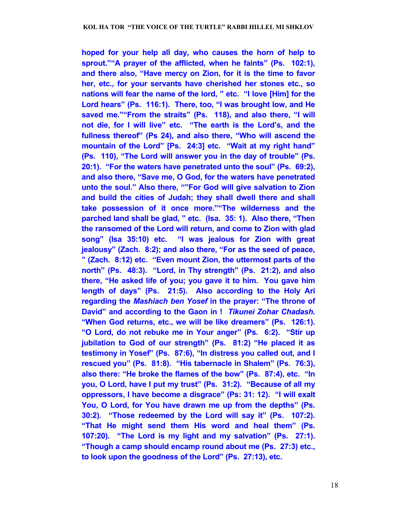**hoped for your help all day, who causes the horn of help to sprout.""A prayer of the afflicted, when he faints" (Ps. 102:1), and there also, "Have mercy on Zion, for it is the time to favor her, etc., for your servants have cherished her stones etc., so nations will fear the name of the lord, " etc. "I love [Him] for the Lord hears" (Ps. 116:1). There, too, "I was brought low, and He saved me.""From the straits" (Ps. 118), and also there, "I will not die, for I will live" etc. "The earth is the Lord's, and the fullness thereof" (Ps 24), and also there, "Who will ascend the mountain of the Lord" [Ps. 24:3] etc. "Wait at my right hand" (Ps. 110), "The Lord will answer you in the day of trouble" (Ps. 20:1). "For the waters have penetrated unto the soul" (Ps. 69:2), and also there, "Save me, O God, for the waters have penetrated unto the soul." Also there, ""For God will give salvation to Zion and build the cities of Judah; they shall dwell there and shall take possession of it once more.""The wilderness and the parched land shall be glad, " etc. (Isa. 35: 1). Also there, "Then the ransomed of the Lord will return, and come to Zion with glad song" (Isa 35:10) etc. "I was jealous for Zion with great jealousy" (Zach. 8:2); and also there, "For as the seed of peace, " (Zach. 8:12) etc. "Even mount Zion, the uttermost parts of the north" (Ps. 48:3). "Lord, in Thy strength" (Ps. 21:2), and also there, "He asked life of you; you gave it to him. You gave him length of days" (Ps. 21:5). Also according to the Holy Ari regarding the** *Mashiach ben Yosef* **in the prayer: "The throne of David" and according to the Gaon in !** *Tikunei Zohar Chadash***. "When God returns, etc., we will be like dreamers" (Ps. 126:1). "O Lord, do not rebuke me in Your anger" (Ps. 6:2). "Stir up jubilation to God of our strength" (Ps. 81:2) "He placed it as testimony in Yosef" (Ps. 87:6), "In distress you called out, and I rescued you" (Ps. 81:8). "His tabernacle in Shalem" (Ps. 76:3), also there: "He broke the flames of the bow" (Ps. 87:4), etc. "In you, O Lord, have I put my trust" (Ps. 31:2). "Because of all my oppressors, I have become a disgrace" (Ps: 31: 12). "I will exalt You, O Lord, for You have drawn me up from the depths" (Ps. 30:2). "Those redeemed by the Lord will say it" (Ps. 107:2). "That He might send them His word and heal them" (Ps. 107:20). "The Lord is my light and my salvation" (Ps. 27:1). "Though a camp should encamp round about me (Ps. 27:3) etc., to look upon the goodness of the Lord" (Ps. 27:13), etc.**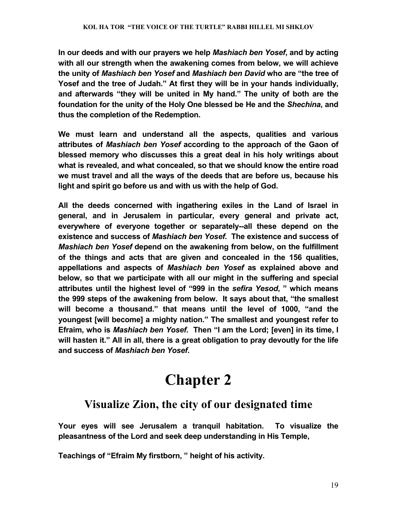**In our deeds and with our prayers we help** *Mashiach ben Yosef***, and by acting with all our strength when the awakening comes from below, we will achieve the unity of** *Mashiach ben Yosef* **and** *Mashiach ben David* **who are "the tree of Yosef and the tree of Judah." At first they will be in your hands individually, and afterwards "they will be united in My hand." The unity of both are the foundation for the unity of the Holy One blessed be He and the** *Shechina***, and thus the completion of the Redemption.** 

**We must learn and understand all the aspects, qualities and various attributes of** *Mashiach ben Yosef* **according to the approach of the Gaon of blessed memory who discusses this a great deal in his holy writings about what is revealed, and what concealed, so that we should know the entire road we must travel and all the ways of the deeds that are before us, because his light and spirit go before us and with us with the help of God.** 

**All the deeds concerned with ingathering exiles in the Land of Israel in general, and in Jerusalem in particular, every general and private act, everywhere of everyone together or separately--all these depend on the existence and success of** *Mashiach ben Yosef.* **The existence and success of**  *Mashiach ben Yosef* **depend on the awakening from below, on the fulfillment of the things and acts that are given and concealed in the 156 qualities, appellations and aspects of** *Mashiach ben Yosef* **as explained above and below, so that we participate with all our might in the suffering and special attributes until the highest level of "999 in the** *sefira Yesod***, " which means the 999 steps of the awakening from below. It says about that, "the smallest will become a thousand." that means until the level of 1000, "and the youngest [will become] a mighty nation." The smallest and youngest refer to Efraim, who is** *Mashiach ben Yosef***. Then "I am the Lord; [even] in its time, I will hasten it." All in all, there is a great obligation to pray devoutly for the life and success of** *Mashiach ben Yosef***.**

## **Chapter 2**

## **Visualize Zion, the city of our designated time**

**Your eyes will see Jerusalem a tranquil habitation. To visualize the pleasantness of the Lord and seek deep understanding in His Temple,** 

**Teachings of "Efraim My firstborn, " height of his activity.**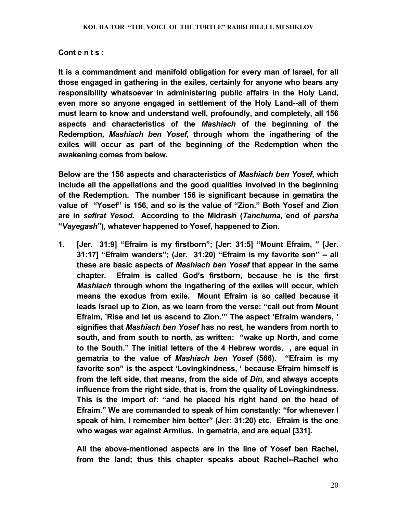**Cont e n t s :**

**It is a commandment and manifold obligation for every man of Israel, for all those engaged in gathering in the exiles, certainly for anyone who bears any responsibility whatsoever in administering public affairs in the Holy Land, even more so anyone engaged in settlement of the Holy Land--all of them must learn to know and understand well, profoundly, and completely, all 156 aspects and characteristics of the** *Mashiach* **of the beginning of the Redemption,** *Mashiach ben Yosef,* **through whom the ingathering of the exiles will occur as part of the beginning of the Redemption when the awakening comes from below.**

**Below are the 156 aspects and characteristics of** *Mashiach ben Yosef***, which include all the appellations and the good qualities involved in the beginning of the Redemption. The number 156 is significant because in gematira the value of "Yosef" is 156, and so is the value of "Zion." Both Yosef and Zion are in** *sefirat Yesod***. According to the Midrash (***Tanchuma***, end of** *parsha*  **"***Vayegash***"), whatever happened to Yosef, happened to Zion.**

**1. [Jer. 31:9] "Efraim is my firstborn"; [Jer: 31:5] "Mount Efraim, " [Jer. 31:17] "Efraim wanders"; (Jer. 31:20) "Efraim is my favorite son" -- all these are basic aspects of** *Mashiach ben Yosef* **that appear in the same chapter. Efraim is called God's firstborn, because he is the first**  *Mashiach* **through whom the ingathering of the exiles will occur, which means the exodus from exile. Mount Efraim is so called because it leads Israel up to Zion, as we learn from the verse: "call out from Mount Efraim, 'Rise and let us ascend to Zion.'" The aspect 'Efraim wanders, ' signifies that** *Mashiach ben Yosef* **has no rest, he wanders from north to south, and from south to north, as written: "wake up North, and come to the South." The initial letters of the 4 Hebrew words, , are equal in gematria to the value of** *Mashiach ben Yosef* **(566). "Efraim is my favorite son" is the aspect 'Lovingkindness, ' because Efraim himself is from the left side, that means, from the side of** *Din***, and always accepts influence from the right side, that is, from the quality of Lovingkindness. This is the import of: "and he placed his right hand on the head of Efraim." We are commanded to speak of him constantly: "for whenever I speak of him, I remember him better" (Jer: 31:20) etc. Efraim is the one who wages war against Armilus. In gematria, and are equal [331].**

 **All the above-mentioned aspects are in the line of Yosef ben Rachel, from the land; thus this chapter speaks about Rachel--Rachel who**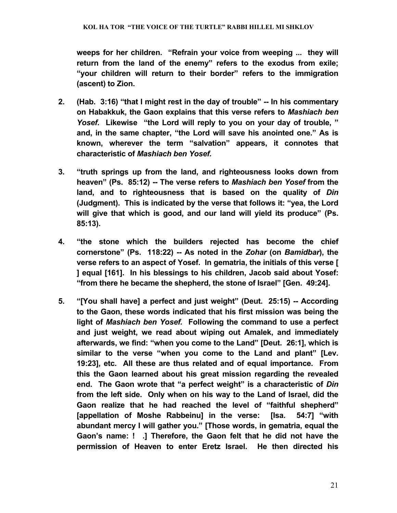**weeps for her children. "Refrain your voice from weeping ... they will return from the land of the enemy" refers to the exodus from exile; "your children will return to their border" refers to the immigration (ascent) to Zion.** 

- **2. (Hab. 3:16) "that I might rest in the day of trouble" -- In his commentary on Habakkuk, the Gaon explains that this verse refers to** *Mashiach ben Yosef***. Likewise "the Lord will reply to you on your day of trouble, " and, in the same chapter, "the Lord will save his anointed one." As is known, wherever the term "salvation" appears, it connotes that characteristic of** *Mashiach ben Yosef.*
- **3. "truth springs up from the land, and righteousness looks down from heaven" (Ps. 85:12) -- The verse refers to** *Mashiach ben Yosef* **from the land, and to righteousness that is based on the quality of** *Din*  **(Judgment). This is indicated by the verse that follows it: "yea, the Lord will give that which is good, and our land will yield its produce" (Ps. 85:13).**
- **4. "the stone which the builders rejected has become the chief cornerstone" (Ps. 118:22) -- As noted in the** *Zohar* **(on** *Bamidbar***), the verse refers to an aspect of Yosef. In gematria, the initials of this verse [ ] equal [161]. In his blessings to his children, Jacob said about Yosef: "from there he became the shepherd, the stone of Israel" [Gen. 49:24].**
- **5. "[You shall have] a perfect and just weight" (Deut. 25:15) -- According to the Gaon, these words indicated that his first mission was being the light of** *Mashiach ben Yosef.* **Following the command to use a perfect and just weight, we read about wiping out Amalek, and immediately afterwards, we find: "when you come to the Land" [Deut. 26:1], which is similar to the verse "when you come to the Land and plant" [Lev. 19:23], etc. All these are thus related and of equal importance. From this the Gaon learned about his great mission regarding the revealed end. The Gaon wrote that "a perfect weight" is a characteristic of** *Din*  **from the left side. Only when on his way to the Land of Israel, did the Gaon realize that he had reached the level of "faithful shepherd" [appellation of Moshe Rabbeinu] in the verse: [Isa. 54:7] "with abundant mercy I will gather you." [Those words, in gematria, equal the Gaon's name: ! .] Therefore, the Gaon felt that he did not have the permission of Heaven to enter Eretz Israel. He then directed his**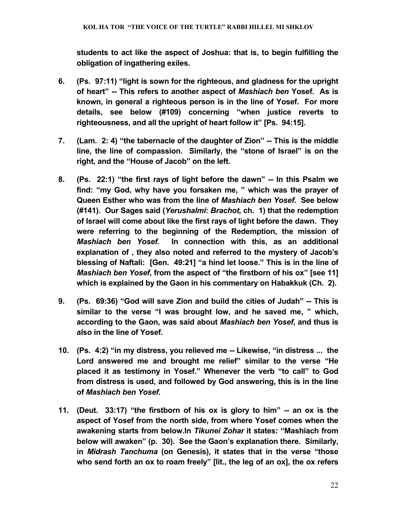**students to act like the aspect of Joshua: that is, to begin fulfilling the obligation of ingathering exiles.** 

- **6. (Ps. 97:11) "light is sown for the righteous, and gladness for the upright of heart" -- This refers to another aspect of** *Mashiach ben* **Yosef. As is known, in general a righteous person is in the line of Yosef. For more details, see below (#109) concerning "when justice reverts to righteousness, and all the upright of heart follow it" [Ps. 94:15].**
- **7. (Lam. 2: 4) "the tabernacle of the daughter of Zion" -- This is the middle line, the line of compassion. Similarly, the "stone of Israel" is on the right, and the "House of Jacob" on the left.**
- **8. (Ps. 22:1) "the first rays of light before the dawn" -- In this Psalm we find: "my God, why have you forsaken me, " which was the prayer of Queen Esther who was from the line of** *Mashiach ben Yosef***. See below (#141). Our Sages said (***Yerushalmi***:** *Brachot,* **ch. 1) that the redemption of Israel will come about like the first rays of light before the dawn. They were referring to the beginning of the Redemption, the mission of**  *Mashiach ben Yosef.* **In connection with this, as an additional explanation of , they also noted and referred to the mystery of Jacob's blessing of Naftali: [Gen. 49:21] "a hind let loose." This is in the line of**  *Mashiach ben Yosef***, from the aspect of "the firstborn of his ox" [see 11] which is explained by the Gaon in his commentary on Habakkuk (Ch. 2).**
- **9. (Ps. 69:36) "God will save Zion and build the cities of Judah" -- This is similar to the verse "I was brought low, and he saved me, " which, according to the Gaon, was said about** *Mashiach ben Yosef***, and thus is also in the line of Yosef.**
- **10. (Ps. 4:2) "in my distress, you relieved me -- Likewise, "in distress ... the Lord answered me and brought me relief" similar to the verse "He placed it as testimony in Yosef." Whenever the verb "to call" to God from distress is used, and followed by God answering, this is in the line of** *Mashiach ben Yosef.*
- **11. (Deut. 33:17) "the firstborn of his ox is glory to him" -- an ox is the aspect of Yosef from the north side, from where Yosef comes when the awakening starts from below.In** *Tikunei Zohar* **it states: "Mashiach from below will awaken" (p. 30). See the Gaon's explanation there. Similarly, in** *Midrash Tanchuma* **(on Genesis), it states that in the verse "those who send forth an ox to roam freely" [lit., the leg of an ox], the ox refers**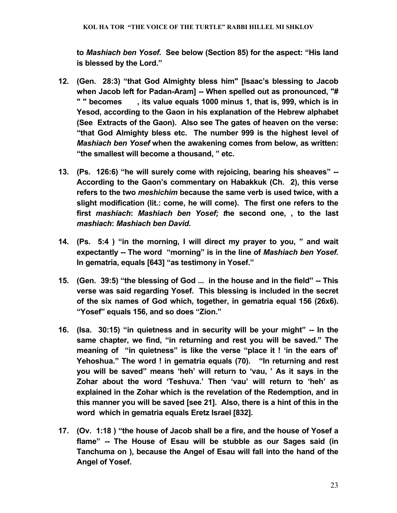**to** *Mashiach ben Yosef.* **See below (Section 85) for the aspect: "His land is blessed by the Lord."** 

- **12. (Gen. 28:3) "that God Almighty bless him" [Isaac's blessing to Jacob when Jacob left for Padan-Aram] -- When spelled out as pronounced, "# " " becomes , its value equals 1000 minus 1, that is, 999, which is in Yesod, according to the Gaon in his explanation of the Hebrew alphabet (See Extracts of the Gaon). Also see The gates of heaven on the verse: "that God Almighty bless etc. The number 999 is the highest level of**  *Mashiach ben Yosef* **when the awakening comes from below, as written: "the smallest will become a thousand, " etc.**
- **13. (Ps. 126:6) "he will surely come with rejoicing, bearing his sheaves" -- According to the Gaon's commentary on Habakkuk (Ch. 2), this verse refers to the two** *meshichim* **because the same verb is used twice, with a slight modification (lit.: come, he will come). The first one refers to the first** *mashiach***:** *Mashiach ben Yosef; t***he second one, , to the last**  *mashiach***:** *Mashiach ben David.*
- **14. (Ps. 5:4 ) "in the morning, I will direct my prayer to you, " and wait expectantly -- The word "morning" is in the line of** *Mashiach ben Yosef.*  **In gematria, equals [643] "as testimony in Yosef."**
- **15. (Gen. 39:5) "the blessing of God ... in the house and in the field" -- This verse was said regarding Yosef. This blessing is included in the secret of the six names of God which, together, in gematria equal 156 (26x6). "Yosef" equals 156, and so does "Zion."**
- **16. (Isa. 30:15) "in quietness and in security will be your might" -- In the same chapter, we find, "in returning and rest you will be saved." The meaning of "in quietness" is like the verse "place it ! 'in the ears of' Yehoshua." The word ! in gematria equals (70). "In returning and rest you will be saved" means 'heh' will return to 'vau, ' As it says in the Zohar about the word 'Teshuva.' Then 'vau' will return to 'heh' as explained in the Zohar which is the revelation of the Redemption, and in this manner you will be saved [see 21]. Also, there is a hint of this in the word which in gematria equals Eretz Israel [832].**
- **17. (Ov. 1:18 ) "the house of Jacob shall be a fire, and the house of Yosef a flame" -- The House of Esau will be stubble as our Sages said (in Tanchuma on ), because the Angel of Esau will fall into the hand of the Angel of Yosef.**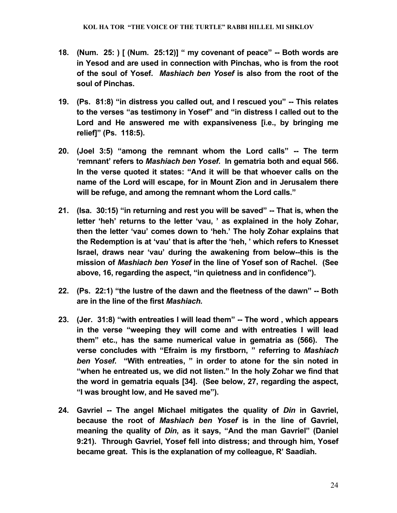- **18. (Num. 25: ) [ (Num. 25:12)] " my covenant of peace" -- Both words are in Yesod and are used in connection with Pinchas, who is from the root of the soul of Yosef.** *Mashiach ben Yosef* **is also from the root of the soul of Pinchas.**
- **19. (Ps. 81:8) "in distress you called out, and I rescued you" -- This relates to the verses "as testimony in Yosef" and "in distress I called out to the Lord and He answered me with expansiveness [i.e., by bringing me relief]" (Ps. 118:5).**
- **20. (Joel 3:5) "among the remnant whom the Lord calls" -- The term 'remnant' refers to** *Mashiach ben Yosef***. In gematria both and equal 566. In the verse quoted it states: "And it will be that whoever calls on the name of the Lord will escape, for in Mount Zion and in Jerusalem there will be refuge, and among the remnant whom the Lord calls."**
- **21. (Isa. 30:15) "in returning and rest you will be saved" -- That is, when the letter 'heh' returns to the letter 'vau, ' as explained in the holy Zohar, then the letter 'vau' comes down to 'heh.' The holy Zohar explains that the Redemption is at 'vau' that is after the 'heh, ' which refers to Knesset Israel, draws near 'vau' during the awakening from below--this is the mission of** *Mashiach ben Yosef* **in the line of Yosef son of Rachel. (See above, 16, regarding the aspect, "in quietness and in confidence").**
- **22. (Ps. 22:1) "the lustre of the dawn and the fleetness of the dawn" -- Both are in the line of the first** *Mashiach.*
- **23. (Jer. 31:8) "with entreaties I will lead them" -- The word , which appears in the verse "weeping they will come and with entreaties I will lead them" etc., has the same numerical value in gematria as (566). The verse concludes with "Efraim is my firstborn, " referring to** *Mashiach ben Yosef***. "With entreaties, " in order to atone for the sin noted in "when he entreated us, we did not listen." In the holy Zohar we find that the word in gematria equals [34]. (See below, 27, regarding the aspect, "I was brought low, and He saved me").**
- **24. Gavriel -- The angel Michael mitigates the quality of** *Din* **in Gavriel, because the root of** *Mashiach ben Yosef* **is in the line of Gavriel, meaning the quality of** *Din***, as it says, "And the man Gavriel" (Daniel 9:21). Through Gavriel, Yosef fell into distress; and through him, Yosef became great. This is the explanation of my colleague, R' Saadiah.**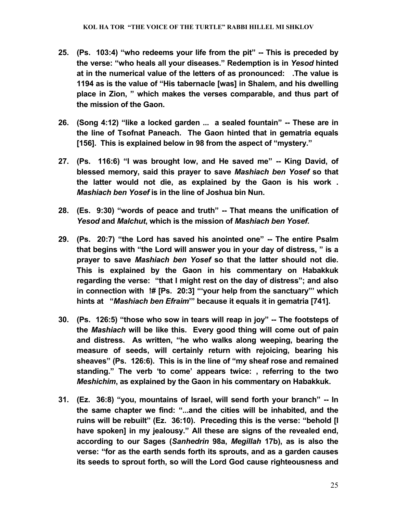- **25. (Ps. 103:4) "who redeems your life from the pit" -- This is preceded by the verse: "who heals all your diseases." Redemption is in** *Yesod* **hinted at in the numerical value of the letters of as pronounced: .The value is 1194 as is the value of "His tabernacle [was] in Shalem, and his dwelling place in Zion, " which makes the verses comparable, and thus part of the mission of the Gaon.**
- **26. (Song 4:12) "like a locked garden ... a sealed fountain" -- These are in the line of Tsofnat Paneach. The Gaon hinted that in gematria equals [156]. This is explained below in 98 from the aspect of "mystery."**
- **27. (Ps. 116:6) "I was brought low, and He saved me" -- King David, of blessed memory, said this prayer to save** *Mashiach ben Yosef* **so that the latter would not die, as explained by the Gaon is his work .**  *Mashiach ben Yosef* **is in the line of Joshua bin Nun.**
- **28. (Es. 9:30) "words of peace and truth" -- That means the unification of**  *Yesod* **and** *Malchut***, which is the mission of** *Mashiach ben Yosef***.**
- **29. (Ps. 20:7) "the Lord has saved his anointed one" -- The entire Psalm that begins with "the Lord will answer you in your day of distress, " is a prayer to save** *Mashiach ben Yosef* **so that the latter should not die. This is explained by the Gaon in his commentary on Habakkuk regarding the verse: "that I might rest on the day of distress"; and also in connection with !# [Ps. 20:3] "'your help from the sanctuary"' which hints at "***Mashiach ben Efraim***'" because it equals it in gematria [741].**
- **30. (Ps. 126:5) "those who sow in tears will reap in joy" -- The footsteps of the** *Mashiach* **will be like this. Every good thing will come out of pain and distress. As written, "he who walks along weeping, bearing the measure of seeds, will certainly return with rejoicing, bearing his sheaves" (Ps. 126:6). This is in the line of "my sheaf rose and remained standing." The verb 'to come' appears twice: , referring to the two**  *Meshichim***, as explained by the Gaon in his commentary on Habakkuk.**
- **31. (Ez. 36:8) "you, mountains of Israel, will send forth your branch" -- In the same chapter we find: "...and the cities will be inhabited, and the ruins will be rebuilt" (Ez. 36:10). Preceding this is the verse: "behold [I have spoken] in my jealousy." All these are signs of the revealed end, according to our Sages (***Sanhedrin* **98a,** *Megillah* **17b), as is also the verse: "for as the earth sends forth its sprouts, and as a garden causes its seeds to sprout forth, so will the Lord God cause righteousness and**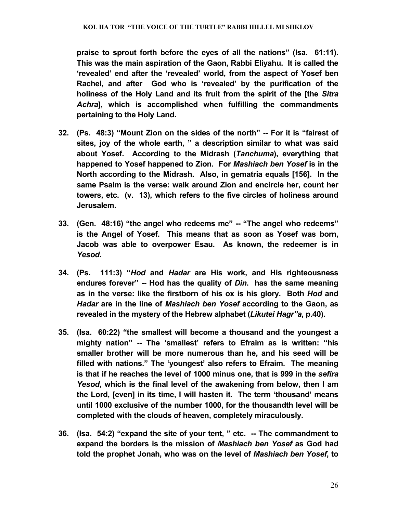**praise to sprout forth before the eyes of all the nations" (Isa. 61:11). This was the main aspiration of the Gaon, Rabbi Eliyahu. It is called the 'revealed' end after the 'revealed' world, from the aspect of Yosef ben Rachel, and after God who is 'revealed' by the purification of the holiness of the Holy Land and its fruit from the spirit of the [the** *Sitra Achra***], which is accomplished when fulfilling the commandments pertaining to the Holy Land.** 

- **32. (Ps. 48:3) "Mount Zion on the sides of the north" -- For it is "fairest of sites, joy of the whole earth, " a description similar to what was said about Yosef. According to the Midrash (***Tanchuma***), everything that happened to Yosef happened to Zion. For** *Mashiach ben Yosef* **is in the North according to the Midrash. Also, in gematria equals [156]. In the same Psalm is the verse: walk around Zion and encircle her, count her towers, etc. (v. 13), which refers to the five circles of holiness around Jerusalem.**
- **33. (Gen. 48:16) "the angel who redeems me" -- "The angel who redeems" is the Angel of Yosef. This means that as soon as Yosef was born, Jacob was able to overpower Esau. As known, the redeemer is in**  *Yesod***.**
- **34. (Ps. 111:3) "***Hod* **and** *Hadar* **are His work, and His righteousness endures forever" -- Hod has the quality of** *Din***. has the same meaning as in the verse: like the firstborn of his ox is his glory. Both** *Hod* **and**  *Hadar* **are in the line of** *Mashiach ben Yosef* **according to the Gaon, as revealed in the mystery of the Hebrew alphabet (***Likutei Hagr"a***, p.40).**
- **35. (Isa. 60:22) "the smallest will become a thousand and the youngest a mighty nation" -- The 'smallest' refers to Efraim as is written: "his smaller brother will be more numerous than he, and his seed will be filled with nations." The 'youngest' also refers to Efraim. The meaning is that if he reaches the level of 1000 minus one, that is 999 in the** *sefira Yesod***, which is the final level of the awakening from below, then I am the Lord, [even] in its time, I will hasten it. The term 'thousand' means until 1000 exclusive of the number 1000, for the thousandth level will be completed with the clouds of heaven, completely miraculously.**
- **36. (Isa. 54:2) "expand the site of your tent, " etc. -- The commandment to expand the borders is the mission of** *Mashiach ben Yosef* **as God had told the prophet Jonah, who was on the level of** *Mashiach ben Yosef***, to**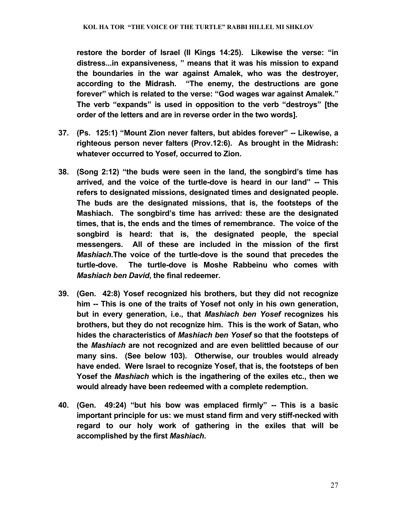**restore the border of Israel (II Kings 14:25). Likewise the verse: "in distress...in expansiveness, " means that it was his mission to expand the boundaries in the war against Amalek, who was the destroyer, according to the Midrash. "The enemy, the destructions are gone forever" which is related to the verse: "God wages war against Amalek." The verb "expands" is used in opposition to the verb "destroys" [the order of the letters and are in reverse order in the two words].** 

- **37. (Ps. 125:1) "Mount Zion never falters, but abides forever" -- Likewise, a righteous person never falters (Prov.12:6). As brought in the Midrash: whatever occurred to Yosef, occurred to Zion.**
- **38. (Song 2:12) "the buds were seen in the land, the songbird's time has arrived, and the voice of the turtle-dove is heard in our land" -- This refers to designated missions, designated times and designated people. The buds are the designated missions, that is, the footsteps of the Mashiach. The songbird's time has arrived: these are the designated times, that is, the ends and the times of remembrance. The voice of the songbird is heard: that is, the designated people, the special messengers. All of these are included in the mission of the first**  *Mashiach***.The voice of the turtle-dove is the sound that precedes the turtle-dove. The turtle-dove is Moshe Rabbeinu who comes with**  *Mashiach ben David***, the final redeemer.**
- **39. (Gen. 42:8) Yosef recognized his brothers, but they did not recognize him -- This is one of the traits of Yosef not only in his own generation, but in every generation, i.e., that** *Mashiach ben Yosef* **recognizes his brothers, but they do not recognize him. This is the work of Satan, who hides the characteristics of** *Mashiach ben Yosef* **so that the footsteps of the** *Mashiach* **are not recognized and are even belittled because of our many sins. (See below 103). Otherwise, our troubles would already have ended. Were Israel to recognize Yosef, that is, the footsteps of ben Yosef the** *Mashiach* **which is the ingathering of the exiles etc., then we would already have been redeemed with a complete redemption.**
- **40. (Gen. 49:24) "but his bow was emplaced firmly" -- This is a basic important principle for us: we must stand firm and very stiff-necked with regard to our holy work of gathering in the exiles that will be accomplished by the first** *Mashiach***.**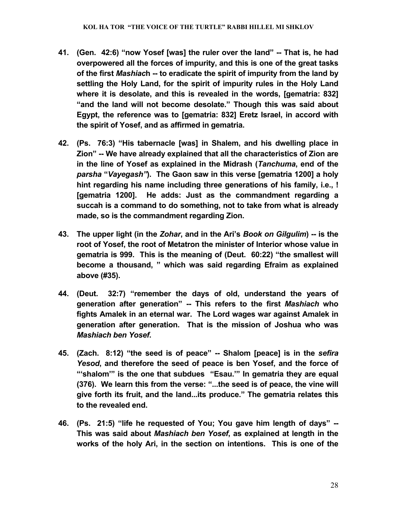- **41. (Gen. 42:6) "now Yosef [was] the ruler over the land" -- That is, he had overpowered all the forces of impurity, and this is one of the great tasks of the first** *Mashiac***h -- to eradicate the spirit of impurity from the land by settling the Holy Land, for the spirit of impurity rules in the Holy Land where it is desolate, and this is revealed in the words, [gematria: 832] "and the land will not become desolate." Though this was said about Egypt, the reference was to [gematria: 832] Eretz Israel, in accord with the spirit of Yosef, and as affirmed in gematria.**
- **42. (Ps. 76:3) "His tabernacle [was] in Shalem, and his dwelling place in Zion" -- We have already explained that all the characteristics of Zion are in the line of Yosef as explained in the Midrash (***Tanchuma***, end of the**  *parsha* **"***Vayegash"***). The Gaon saw in this verse [gematria 1200] a holy hint regarding his name including three generations of his family, i.e., ! [gematria 1200]. He adds: Just as the commandment regarding a succah is a command to do something, not to take from what is already made, so is the commandment regarding Zion.**
- **43. The upper light (in the** *Zohar***, and in the Ari's** *Book on Gilgulim***) -- is the root of Yosef, the root of Metatron the minister of Interior whose value in gematria is 999. This is the meaning of (Deut. 60:22) "the smallest will become a thousand, " which was said regarding Efraim as explained above (#35).**
- **44. (Deut. 32:7) "remember the days of old, understand the years of generation after generation" -- This refers to the first** *Mashiach* **who fights Amalek in an eternal war. The Lord wages war against Amalek in generation after generation. That is the mission of Joshua who was**  *Mashiach ben Yosef***.**
- **45. (Zach. 8:12) "the seed is of peace" -- Shalom [peace] is in the** *sefira Yesod***, and therefore the seed of peace is ben Yosef, and the force of "'shalom'" is the one that subdues "Esau.'" In gematria they are equal (376). We learn this from the verse: "...the seed is of peace, the vine will give forth its fruit, and the land...its produce." The gematria relates this to the revealed end.**
- **46. (Ps. 21:5) "life he requested of You; You gave him length of days" -- This was said about** *Mashiach ben Yosef***, as explained at length in the works of the holy Ari, in the section on intentions. This is one of the**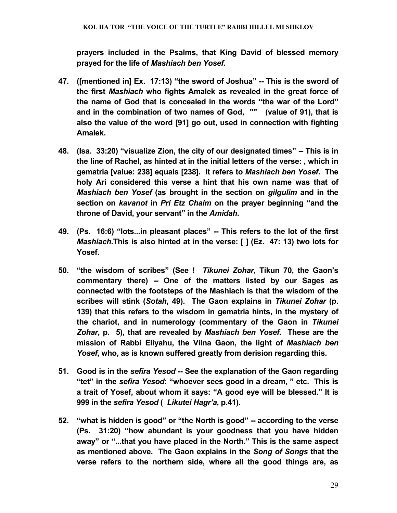**prayers included in the Psalms, that King David of blessed memory prayed for the life of** *Mashiach ben Yosef***.** 

- **47. ([mentioned in] Ex. 17:13) "the sword of Joshua" -- This is the sword of the first** *Mashiach* **who fights Amalek as revealed in the great force of the name of God that is concealed in the words "the war of the Lord" and in the combination of two names of God, "" (value of 91), that is also the value of the word [91] go out, used in connection with fighting Amalek.**
- **48. (Isa. 33:20) "visualize Zion, the city of our designated times" -- This is in the line of Rachel, as hinted at in the initial letters of the verse: , which in gematria [value: 238] equals [238]. It refers to** *Mashiach ben Yosef***. The holy Ari considered this verse a hint that his own name was that of**  *Mashiach ben Yosef* **(as brought in the section on** *gilgulim* **and in the section on** *kavanot* **in** *Pri Etz Chaim* **on the prayer beginning "and the throne of David, your servant" in the** *Amidah***.**
- **49. (Ps. 16:6) "lots...in pleasant places" -- This refers to the lot of the first**  *Mashiach***.This is also hinted at in the verse: [ ] (Ez. 47: 13) two lots for Yosef.**
- **50. "the wisdom of scribes" (See !** *Tikunei Zohar***, Tikun 70, the Gaon's commentary there) -- One of the matters listed by our Sages as connected with the footsteps of the Mashiach is that the wisdom of the scribes will stink (***Sotah***, 49). The Gaon explains in** *Tikunei Zohar* **(p. 139) that this refers to the wisdom in gematria hints, in the mystery of the chariot, and in numerology (commentary of the Gaon in** *Tikunei Zohar***, p. 5), that are revealed by** *Mashiach ben Yosef***. These are the mission of Rabbi Eliyahu, the Vilna Gaon, the light of** *Mashiach ben Yosef***, who, as is known suffered greatly from derision regarding this.**
- **51. Good is in the** *sefira Yesod* **-- See the explanation of the Gaon regarding "tet" in the** *sefira Yesod***: "whoever sees good in a dream, " etc. This is a trait of Yosef, about whom it says: "A good eye will be blessed." It is 999 in the** *sefira Yesod* **(** *Likutei Hagr'a***, p.41).**
- **52. "what is hidden is good" or "the North is good" -- according to the verse (Ps. 31:20) "how abundant is your goodness that you have hidden away" or "...that you have placed in the North." This is the same aspect as mentioned above. The Gaon explains in the** *Song of Songs* **that the verse refers to the northern side, where all the good things are, as**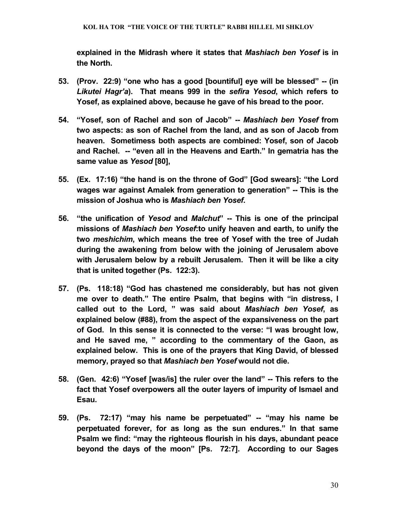**explained in the Midrash where it states that** *Mashiach ben Yosef* **is in the North.** 

- **53. (Prov. 22:9) "one who has a good [bountiful] eye will be blessed" -- (in**  *Likutei Hagr'a***). That means 999 in the** *sefira Yesod***, which refers to Yosef, as explained above, because he gave of his bread to the poor.**
- **54. "Yosef, son of Rachel and son of Jacob" --** *Mashiach ben Yosef* **from two aspects: as son of Rachel from the land, and as son of Jacob from heaven. Sometimess both aspects are combined: Yosef, son of Jacob and Rachel. -- "even all in the Heavens and Earth." In gematria has the same value as** *Yesod* **[80],**
- **55. (Ex. 17:16) "the hand is on the throne of God" [God swears]: "the Lord wages war against Amalek from generation to generation" -- This is the mission of Joshua who is** *Mashiach ben Yosef***.**
- **56. "the unification of** *Yesod* **and** *Malchut***" -- This is one of the principal missions of** *Mashiach ben Yosef***:to unify heaven and earth, to unify the two** *meshichim***, which means the tree of Yosef with the tree of Judah during the awakening from below with the joining of Jerusalem above with Jerusalem below by a rebuilt Jerusalem. Then it will be like a city that is united together (Ps. 122:3).**
- **57. (Ps. 118:18) "God has chastened me considerably, but has not given me over to death." The entire Psalm, that begins with "in distress, I called out to the Lord, " was said about** *Mashiach ben Yosef***, as explained below (#88), from the aspect of the expansiveness on the part of God. In this sense it is connected to the verse: "I was brought low, and He saved me, " according to the commentary of the Gaon, as explained below. This is one of the prayers that King David, of blessed memory, prayed so that** *Mashiach ben Yosef* **would not die.**
- **58. (Gen. 42:6) "Yosef [was/is] the ruler over the land" -- This refers to the fact that Yosef overpowers all the outer layers of impurity of Ismael and Esau.**
- **59. (Ps. 72:17) "may his name be perpetuated" -- "may his name be perpetuated forever, for as long as the sun endures." In that same Psalm we find: "may the righteous flourish in his days, abundant peace beyond the days of the moon" [Ps. 72:7]. According to our Sages**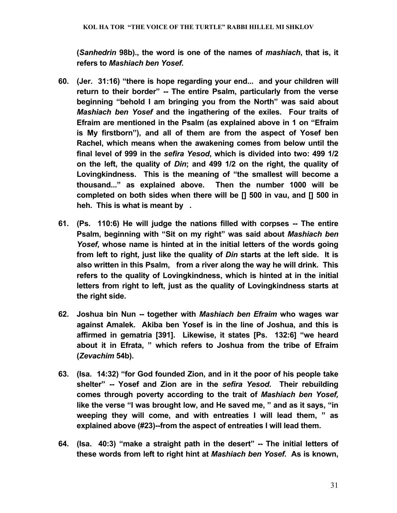**(***Sanhedrin* **98b)., the word is one of the names of** *mashiach***, that is, it refers to** *Mashiach ben Yosef***.**

- **60. (Jer. 31:16) "there is hope regarding your end... and your children will return to their border" -- The entire Psalm, particularly from the verse beginning "behold I am bringing you from the North" was said about**  *Mashiach ben Yosef* **and the ingathering of the exiles. Four traits of Efraim are mentioned in the Psalm (as explained above in 1 on "Efraim is My firstborn"), and all of them are from the aspect of Yosef ben Rachel, which means when the awakening comes from below until the final level of 999 in the** *sefira Yesod***, which is divided into two: 499 1/2 on the left, the quality of** *Din***; and 499 1/2 on the right, the quality of Lovingkindness. This is the meaning of "the smallest will become a thousand..." as explained above. Then the number 1000 will be completed on both sides when there will be [] 500 in vau, and [] 500 in heh. This is what is meant by .**
- **61. (Ps. 110:6) He will judge the nations filled with corpses -- The entire Psalm, beginning with "Sit on my right" was said about** *Mashiach ben Yosef***, whose name is hinted at in the initial letters of the words going from left to right, just like the quality of** *Din* **starts at the left side. It is also written in this Psalm, from a river along the way he will drink. This refers to the quality of Lovingkindness, which is hinted at in the initial letters from right to left, just as the quality of Lovingkindness starts at the right side.**
- **62. Joshua bin Nun -- together with** *Mashiach ben Efraim* **who wages war against Amalek. Akiba ben Yosef is in the line of Joshua, and this is affirmed in gematria [391]. Likewise, it states [Ps. 132:6] "we heard about it in Efrata, " which refers to Joshua from the tribe of Efraim (***Zevachim* **54b).**
- **63. (Isa. 14:32) "for God founded Zion, and in it the poor of his people take shelter" -- Yosef and Zion are in the** *sefira Yesod***. Their rebuilding comes through poverty according to the trait of** *Mashiach ben Yosef,*  **like the verse "I was brought low, and He saved me, " and as it says, "in weeping they will come, and with entreaties I will lead them, " as explained above (#23)--from the aspect of entreaties I will lead them.**
- **64. (Isa. 40:3) "make a straight path in the desert" -- The initial letters of these words from left to right hint at** *Mashiach ben Yosef***. As is known,**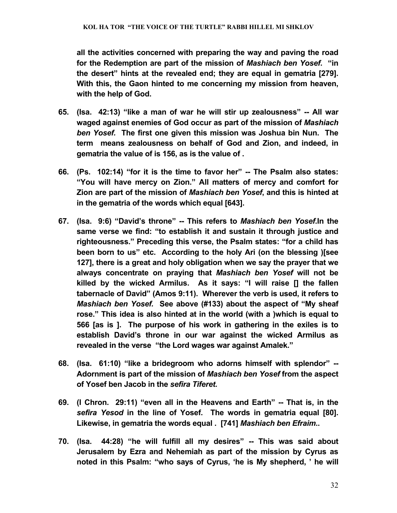**all the activities concerned with preparing the way and paving the road for the Redemption are part of the mission of** *Mashiach ben Yosef***. "in the desert" hints at the revealed end; they are equal in gematria [279]. With this, the Gaon hinted to me concerning my mission from heaven, with the help of God.** 

- **65. (Isa. 42:13) "like a man of war he will stir up zealousness" -- All war waged against enemies of God occur as part of the mission of** *Mashiach ben Yosef.* **The first one given this mission was Joshua bin Nun. The term means zealousness on behalf of God and Zion, and indeed, in gematria the value of is 156, as is the value of .**
- **66. (Ps. 102:14) "for it is the time to favor her" -- The Psalm also states: "You will have mercy on Zion." All matters of mercy and comfort for Zion are part of the mission of** *Mashiach ben Yosef***, and this is hinted at in the gematria of the words which equal [643].**
- **67. (Isa. 9:6) "David's throne" -- This refers to** *Mashiach ben Yosef***.In the same verse we find: "to establish it and sustain it through justice and righteousness." Preceding this verse, the Psalm states: "for a child has been born to us" etc. According to the holy Ari (on the blessing )[see 127], there is a great and holy obligation when we say the prayer that we always concentrate on praying that** *Mashiach ben Yosef* **will not be killed by the wicked Armilus. As it says: "I will raise [] the fallen tabernacle of David" (Amos 9:11). Wherever the verb is used, it refers to**  *Mashiach ben Yosef.* **See above (#133) about the aspect of "My sheaf rose." This idea is also hinted at in the world (with a )which is equal to 566 [as is ]. The purpose of his work in gathering in the exiles is to establish David's throne in our war against the wicked Armilus as revealed in the verse "the Lord wages war against Amalek."**
- **68. (Isa. 61:10) "like a bridegroom who adorns himself with splendor" -- Adornment is part of the mission of** *Mashiach ben Yosef* **from the aspect of Yosef ben Jacob in the** *sefira Tiferet***.**
- **69. (I Chron. 29:11) "even all in the Heavens and Earth" -- That is, in the**  *sefira Yesod* **in the line of Yosef. The words in gematria equal [80]. Likewise, in gematria the words equal . [741]** *Mashiach ben Efraim***..**
- **70. (Isa. 44:28) "he will fulfill all my desires" -- This was said about Jerusalem by Ezra and Nehemiah as part of the mission by Cyrus as noted in this Psalm: "who says of Cyrus, 'he is My shepherd, ' he will**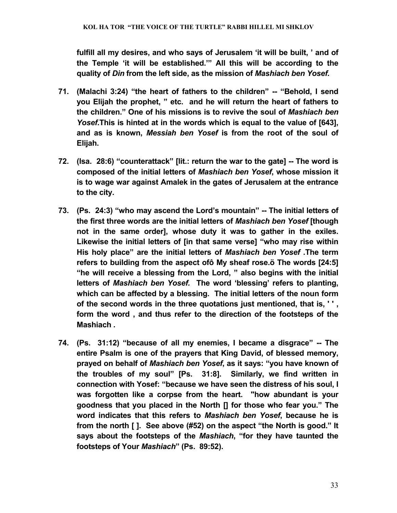**fulfill all my desires, and who says of Jerusalem 'it will be built, ' and of the Temple 'it will be established.'" All this will be according to the quality of** *Din* **from the left side, as the mission of** *Mashiach ben Yosef.* 

- **71. (Malachi 3:24) "the heart of fathers to the children" -- "Behold, I send you Elijah the prophet, " etc. and he will return the heart of fathers to the children." One of his missions is to revive the soul of** *Mashiach ben Yosef***.This is hinted at in the words which is equal to the value of [643], and as is known,** *Messiah ben Yosef* **is from the root of the soul of Elijah.**
- **72. (Isa. 28:6) "counterattack" [lit.: return the war to the gate] -- The word is composed of the initial letters of** *Mashiach ben Yosef***, whose mission it is to wage war against Amalek in the gates of Jerusalem at the entrance to the city.**
- **73. (Ps. 24:3) "who may ascend the Lord's mountain" -- The initial letters of the first three words are the initial letters of** *Mashiach ben Yosef* **[though not in the same order], whose duty it was to gather in the exiles. Likewise the initial letters of [in that same verse] "who may rise within His holy place" are the initial letters of** *Mashiach ben Yosef* **.The term refers to building from the aspect ofô My sheaf rose.ö The words [24:5] "he will receive a blessing from the Lord, " also begins with the initial letters of** *Mashiach ben Yosef.* **The word 'blessing' refers to planting, which can be affected by a blessing. The initial letters of the noun form of the second words in the three quotations just mentioned, that is, ' ' , form the word , and thus refer to the direction of the footsteps of the Mashiach .**
- **74. (Ps. 31:12) "because of all my enemies, I became a disgrace" -- The entire Psalm is one of the prayers that King David, of blessed memory, prayed on behalf of** *Mashiach ben Yosef***, as it says: "you have known of the troubles of my soul" [Ps. 31:8]. Similarly, we find written in connection with Yosef: "because we have seen the distress of his soul, I was forgotten like a corpse from the heart. "how abundant is your goodness that you placed in the North [] for those who fear you." The word indicates that this refers to** *Mashiach ben Yosef***, because he is from the north [ ]. See above (#52) on the aspect "the North is good." It says about the footsteps of the** *Mashiach***, "for they have taunted the footsteps of Your** *Mashiach***" (Ps. 89:52).**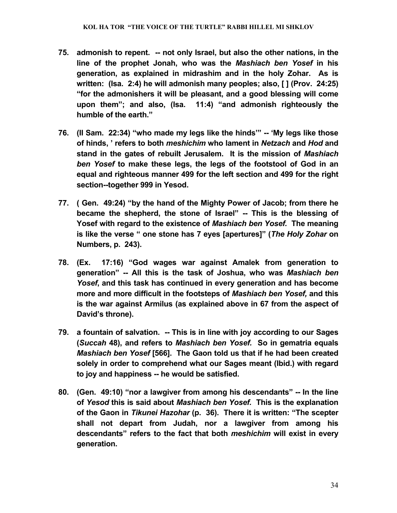- **75. admonish to repent. -- not only Israel, but also the other nations, in the line of the prophet Jonah, who was the** *Mashiach ben Yosef* **in his generation, as explained in midrashim and in the holy Zohar. As is written: (Isa. 2:4) he will admonish many peoples; also, [ ] (Prov. 24:25) "for the admonishers it will be pleasant, and a good blessing will come upon them"; and also, (Isa. 11:4) "and admonish righteously the humble of the earth."**
- **76. (II Sam. 22:34) "who made my legs like the hinds'" -- 'My legs like those of hinds, ' refers to both** *meshichim* **who lament in** *Netzach* **and** *Hod* **and stand in the gates of rebuilt Jerusalem. It is the mission of** *Mashiach ben Yosef* **to make these legs, the legs of the footstool of God in an equal and righteous manner 499 for the left section and 499 for the right section--together 999 in Yesod.**
- **77. ( Gen. 49:24) "by the hand of the Mighty Power of Jacob; from there he became the shepherd, the stone of Israel" -- This is the blessing of Yosef with regard to the existence of** *Mashiach ben Yosef.* **The meaning is like the verse " one stone has 7 eyes [apertures]" (***The Holy Zohar* **on Numbers, p. 243).**
- **78. (Ex. 17:16) "God wages war against Amalek from generation to generation" -- All this is the task of Joshua, who was** *Mashiach ben Yosef***, and this task has continued in every generation and has become more and more difficult in the footsteps of** *Mashiach ben Yosef,* **and this is the war against Armilus (as explained above in 67 from the aspect of David's throne).**
- **79. a fountain of salvation. -- This is in line with joy according to our Sages (***Succah* **48), and refers to** *Mashiach ben Yosef.* **So in gematria equals**  *Mashiach ben Yosef* **[566]. The Gaon told us that if he had been created solely in order to comprehend what our Sages meant (Ibid.) with regard to joy and happiness -- he would be satisfied.**
- **80. (Gen. 49:10) "nor a lawgiver from among his descendants" -- In the line of** *Yesod* **this is said about** *Mashiach ben Yosef.* **This is the explanation of the Gaon in** *Tikunei Hazohar* **(p. 36). There it is written: "The scepter shall not depart from Judah, nor a lawgiver from among his descendants" refers to the fact that both** *meshichim* **will exist in every generation.**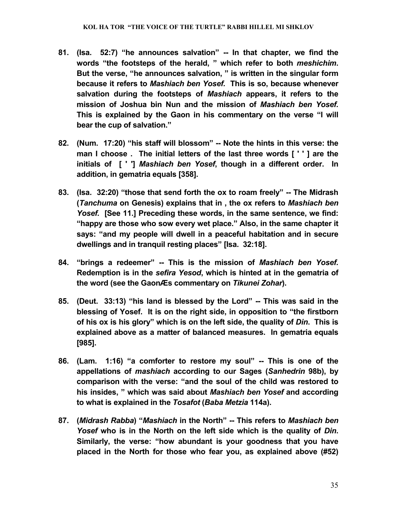- **81. (Isa. 52:7) "he announces salvation" -- In that chapter, we find the words "the footsteps of the herald, " which refer to both** *meshichim***. But the verse, "he announces salvation, " is written in the singular form because it refers to** *Mashiach ben Yosef.* **This is so, because whenever salvation during the footsteps of** *Mashiach* **appears, it refers to the mission of Joshua bin Nun and the mission of** *Mashiach ben Yosef.*  **This is explained by the Gaon in his commentary on the verse "I will bear the cup of salvation."**
- **82. (Num. 17:20) "his staff will blossom" -- Note the hints in this verse: the man I choose . The initial letters of the last three words [ ' ' ] are the initials of [ ' ']** *Mashiach ben Yosef***, though in a different order. In addition, in gematria equals [358].**
- **83. (Isa. 32:20) "those that send forth the ox to roam freely" -- The Midrash (***Tanchuma* **on Genesis) explains that in , the ox refers to** *Mashiach ben Yosef.* **[See 11.] Preceding these words, in the same sentence, we find: "happy are those who sow every wet place." Also, in the same chapter it says: "and my people will dwell in a peaceful habitation and in secure dwellings and in tranquil resting places" [Isa. 32:18].**
- **84. "brings a redeemer" -- This is the mission of** *Mashiach ben Yosef.*  **Redemption is in the** *sefira Yesod***, which is hinted at in the gematria of the word (see the GaonÆs commentary on** *Tikunei Zohar***).**
- **85. (Deut. 33:13) "his land is blessed by the Lord" -- This was said in the blessing of Yosef. It is on the right side, in opposition to "the firstborn of his ox is his glory" which is on the left side, the quality of** *Din***. This is explained above as a matter of balanced measures. In gematria equals [985].**
- **86. (Lam. 1:16) "a comforter to restore my soul" -- This is one of the appellations of** *mashiach* **according to our Sages (***Sanhedrin* **98b), by comparison with the verse: "and the soul of the child was restored to his insides, " which was said about** *Mashiach ben Yosef* **and according to what is explained in the** *Tosafot* **(***Baba Metzia* **114a).**
- **87. (***Midrash Rabba***) "***Mashiach* **in the North" -- This refers to** *Mashiach ben Yosef* **who is in the North on the left side which is the quality of** *Din***. Similarly, the verse: "how abundant is your goodness that you have placed in the North for those who fear you, as explained above (#52)**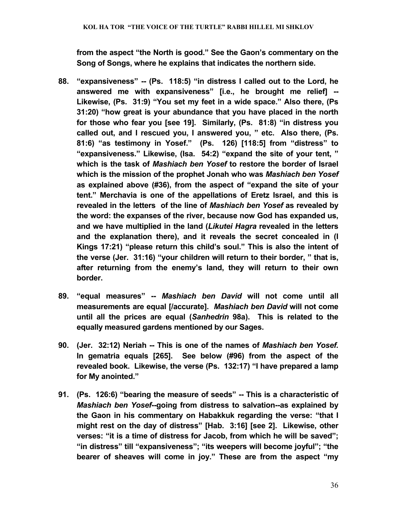**from the aspect "the North is good." See the Gaon's commentary on the Song of Songs, where he explains that indicates the northern side.**

- **88. "expansiveness" -- (Ps. 118:5) "in distress I called out to the Lord, he answered me with expansiveness" [i.e., he brought me relief] -- Likewise, (Ps. 31:9) "You set my feet in a wide space." Also there, (Ps 31:20) "how great is your abundance that you have placed in the north for those who fear you [see 19]. Similarly, (Ps. 81:8) "in distress you called out, and I rescued you, I answered you, " etc. Also there, (Ps. 81:6) "as testimony in Yosef." (Ps. 126) [118:5] from "distress" to "expansiveness." Likewise, (Isa. 54:2) "expand the site of your tent, " which is the task of** *Mashiach ben Yosef* **to restore the border of Israel which is the mission of the prophet Jonah who was** *Mashiach ben Yosef*  **as explained above (#36), from the aspect of "expand the site of your tent." Merchavia is one of the appellations of Eretz Israel, and this is revealed in the letters of the line of** *Mashiach ben Yosef* **as revealed by the word: the expanses of the river, because now God has expanded us, and we have multiplied in the land (***Likutei Hagra* **revealed in the letters and the explanation there), and it reveals the secret concealed in (I Kings 17:21) "please return this child's soul." This is also the intent of the verse (Jer. 31:16) "your children will return to their border, " that is, after returning from the enemy's land, they will return to their own border.**
- **89. "equal measures" --** *Mashiach ben David* **will not come until all measurements are equal [/accurate].** *Mashiach ben David* **will not come until all the prices are equal (***Sanhedrin* **98a). This is related to the equally measured gardens mentioned by our Sages.**
- **90. (Jer. 32:12) Neriah -- This is one of the names of** *Mashiach ben Yosef.*  **In gematria equals [265]. See below (#96) from the aspect of the revealed book. Likewise, the verse (Ps. 132:17) "I have prepared a lamp for My anointed."**
- **91. (Ps. 126:6) "bearing the measure of seeds" -- This is a characteristic of**  *Mashiach ben Yosef***--going from distress to salvation--as explained by the Gaon in his commentary on Habakkuk regarding the verse: "that I might rest on the day of distress" [Hab. 3:16] [see 2]. Likewise, other verses: "it is a time of distress for Jacob, from which he will be saved"; "in distress" till "expansiveness"; "its weepers will become joyful"; "the bearer of sheaves will come in joy." These are from the aspect "my**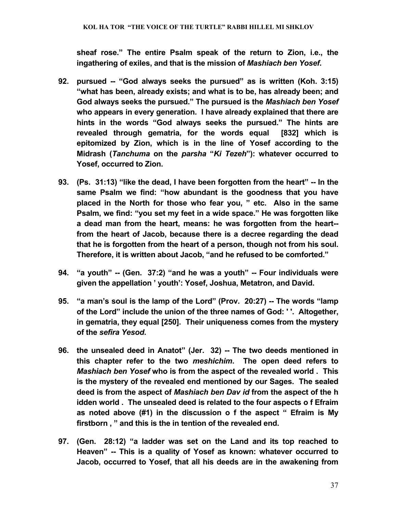**sheaf rose." The entire Psalm speak of the return to Zion, i.e., the ingathering of exiles, and that is the mission of** *Mashiach ben Yosef***.**

- **92. pursued -- "God always seeks the pursued" as is written (Koh. 3:15) "what has been, already exists; and what is to be, has already been; and God always seeks the pursued." The pursued is the** *Mashiach ben Yosef*  **who appears in every generation. I have already explained that there are hints in the words "God always seeks the pursued." The hints are revealed through gematria, for the words equal [832] which is epitomized by Zion, which is in the line of Yosef according to the Midrash (***Tanchuma* **on the** *parsha* **"***Ki Tezeh***"): whatever occurred to Yosef, occurred to Zion.**
- **93. (Ps. 31:13) "like the dead, I have been forgotten from the heart" -- In the same Psalm we find: "how abundant is the goodness that you have placed in the North for those who fear you, " etc. Also in the same Psalm, we find: "you set my feet in a wide space." He was forgotten like a dead man from the heart, means: he was forgotten from the heart- from the heart of Jacob, because there is a decree regarding the dead that he is forgotten from the heart of a person, though not from his soul. Therefore, it is written about Jacob, "and he refused to be comforted."**
- **94. "a youth" -- (Gen. 37:2) "and he was a youth" -- Four individuals were given the appellation ' youth': Yosef, Joshua, Metatron, and David.**
- **95. "a man's soul is the lamp of the Lord" (Prov. 20:27) -- The words "lamp of the Lord" include the union of the three names of God: ' '. Altogether, in gematria, they equal [250]. Their uniqueness comes from the mystery of the** *sefira Yesod***.**
- **96. the unsealed deed in Anatot" (Jer. 32) -- The two deeds mentioned in this chapter refer to the two** *meshichim***. The open deed refers to**  *Mashiach ben Yosef* **who is from the aspect of the revealed world . This is the mystery of the revealed end mentioned by our Sages. The sealed deed is from the aspect of** *Mashiach ben Dav id* **from the aspect of the h idden world . The unsealed deed is related to the four aspects o f Efraim as noted above (#1) in the discussion o f the aspect " Efraim is My firstborn , " and this is the in tention of the revealed end.**
- **97. (Gen. 28:12) "a ladder was set on the Land and its top reached to Heaven" -- This is a quality of Yosef as known: whatever occurred to Jacob, occurred to Yosef, that all his deeds are in the awakening from**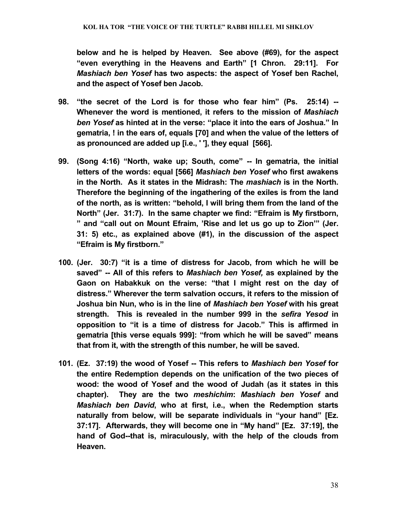**below and he is helped by Heaven. See above (#69), for the aspect "even everything in the Heavens and Earth" [1 Chron. 29:11]. For**  *Mashiach ben Yosef* **has two aspects: the aspect of Yosef ben Rachel, and the aspect of Yosef ben Jacob.** 

- **98. "the secret of the Lord is for those who fear him" (Ps. 25:14) -- Whenever the word is mentioned, it refers to the mission of** *Mashiach ben Yosef* **as hinted at in the verse: "place it into the ears of Joshua." In gematria, ! in the ears of, equals [70] and when the value of the letters of as pronounced are added up [i.e., ' '], they equal [566].**
- **99. (Song 4:16) "North, wake up; South, come" -- In gematria, the initial letters of the words: equal [566]** *Mashiach ben Yosef* **who first awakens in the North. As it states in the Midrash: The** *mashiach* **is in the North. Therefore the beginning of the ingathering of the exiles is from the land of the north, as is written: "behold, I will bring them from the land of the North" (Jer. 31:7). In the same chapter we find: "Efraim is My firstborn, " and "call out on Mount Efraim, 'Rise and let us go up to Zion'" (Jer. 31: 5) etc., as explained above (#1), in the discussion of the aspect "Efraim is My firstborn."**
- **100. (Jer. 30:7) "it is a time of distress for Jacob, from which he will be saved" -- All of this refers to** *Mashiach ben Yosef,* **as explained by the Gaon on Habakkuk on the verse: "that I might rest on the day of distress." Wherever the term salvation occurs, it refers to the mission of Joshua bin Nun, who is in the line of** *Mashiach ben Yosef* **with his great strength. This is revealed in the number 999 in the** *sefira Yesod* **in opposition to "it is a time of distress for Jacob." This is affirmed in gematria [this verse equals 999]: "from which he will be saved" means that from it, with the strength of this number, he will be saved.**
- **101. (Ez. 37:19) the wood of Yosef -- This refers to** *Mashiach ben Yosef* **for the entire Redemption depends on the unification of the two pieces of wood: the wood of Yosef and the wood of Judah (as it states in this chapter). They are the two** *meshichim***:** *Mashiach ben Yosef* **and**  *Mashiach ben David***, who at first, i.e., when the Redemption starts naturally from below, will be separate individuals in "your hand" [Ez. 37:17]. Afterwards, they will become one in "My hand" [Ez. 37:19], the hand of God--that is, miraculously, with the help of the clouds from Heaven.**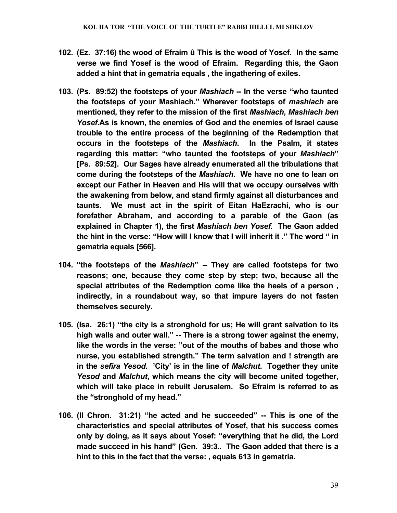- **102. (Ez. 37:16) the wood of Efraim û This is the wood of Yosef. In the same verse we find Yosef is the wood of Efraim. Regarding this, the Gaon added a hint that in gematria equals , the ingathering of exiles.**
- **103. (Ps. 89:52) the footsteps of your** *Mashiach* **-- In the verse "who taunted the footsteps of your Mashiach." Wherever footsteps of** *mashiach* **are mentioned, they refer to the mission of the first** *Mashiach***,** *Mashiach ben Yosef***.As is known, the enemies of God and the enemies of Israel cause trouble to the entire process of the beginning of the Redemption that occurs in the footsteps of the** *Mashiach***. In the Psalm, it states regarding this matter: "who taunted the footsteps of your** *Mashiach***" [Ps. 89:52]. Our Sages have already enumerated all the tribulations that come during the footsteps of the** *Mashiach***. We have no one to lean on except our Father in Heaven and His will that we occupy ourselves with the awakening from below, and stand firmly against all disturbances and taunts. We must act in the spirit of Eitan HaEzrachi, who is our forefather Abraham, and according to a parable of the Gaon (as explained in Chapter 1), the first** *Mashiach ben Yosef.* **The Gaon added the hint in the verse: "How will I know that I will inherit it ." The word '' in gematria equals [566].**
- **104. "the footsteps of the** *Mashiach***" -- They are called footsteps for two reasons; one, because they come step by step; two, because all the special attributes of the Redemption come like the heels of a person , indirectly, in a roundabout way, so that impure layers do not fasten themselves securely.**
- **105. (Isa. 26:1) "the city is a stronghold for us; He will grant salvation to its high walls and outer wall." -- There is a strong tower against the enemy, like the words in the verse: "out of the mouths of babes and those who nurse, you established strength." The term salvation and ! strength are in the** *sefira Yesod***. 'City' is in the line of** *Malchut***. Together they unite**  *Yesod* **and** *Malchut***, which means the city will become united together, which will take place in rebuilt Jerusalem. So Efraim is referred to as the "stronghold of my head."**
- **106. (II Chron. 31:21) "he acted and he succeeded" -- This is one of the characteristics and special attributes of Yosef, that his success comes only by doing, as it says about Yosef: "everything that he did, the Lord made succeed in his hand" (Gen. 39:3.. The Gaon added that there is a hint to this in the fact that the verse: , equals 613 in gematria.**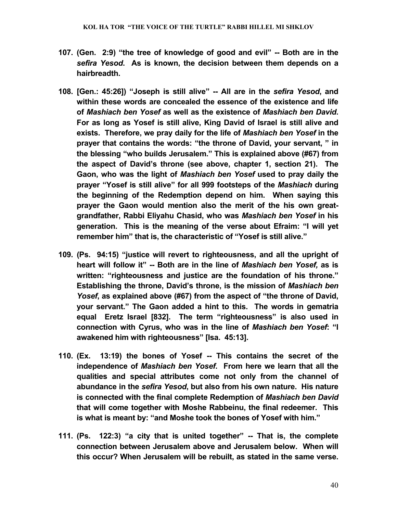- **107. (Gen. 2:9) "the tree of knowledge of good and evil" -- Both are in the**  *sefira Yesod***. As is known, the decision between them depends on a hairbreadth.**
- **108. [Gen.: 45:26]) "Joseph is still alive" -- All are in the** *sefira Yesod***, and within these words are concealed the essence of the existence and life of** *Mashiach ben Yosef* **as well as the existence of** *Mashiach ben David***. For as long as Yosef is still alive, King David of Israel is still alive and exists. Therefore, we pray daily for the life of** *Mashiach ben Yosef* **in the prayer that contains the words: "the throne of David, your servant, " in the blessing "who builds Jerusalem." This is explained above (#67) from the aspect of David's throne (see above, chapter 1, section 21). The Gaon, who was the light of** *Mashiach ben Yosef* **used to pray daily the prayer "Yosef is still alive" for all 999 footsteps of the** *Mashiach* **during the beginning of the Redemption depend on him. When saying this prayer the Gaon would mention also the merit of the his own greatgrandfather, Rabbi Eliyahu Chasid, who was** *Mashiach ben Yosef* **in his generation. This is the meaning of the verse about Efraim: "I will yet remember him" that is, the characteristic of "Yosef is still alive."**
- **109. (Ps. 94:15) "justice will revert to righteousness, and all the upright of heart will follow it" -- Both are in the line of** *Mashiach ben Yosef,* **as is written: "righteousness and justice are the foundation of his throne." Establishing the throne, David's throne, is the mission of** *Mashiach ben Yosef***, as explained above (#67) from the aspect of "the throne of David, your servant." The Gaon added a hint to this. The words in gematria equal Eretz Israel [832]. The term "righteousness" is also used in connection with Cyrus, who was in the line of** *Mashiach ben Yosef***: "I awakened him with righteousness" [Isa. 45:13].**
- **110. (Ex. 13:19) the bones of Yosef -- This contains the secret of the independence of** *Mashiach ben Yosef***. From here we learn that all the qualities and special attributes come not only from the channel of abundance in the** *sefira Yesod***, but also from his own nature. His nature is connected with the final complete Redemption of** *Mashiach ben David*  **that will come together with Moshe Rabbeinu, the final redeemer. This is what is meant by: "and Moshe took the bones of Yosef with him."**
- **111. (Ps. 122:3) "a city that is united together" -- That is, the complete connection between Jerusalem above and Jerusalem below. When will this occur? When Jerusalem will be rebuilt, as stated in the same verse.**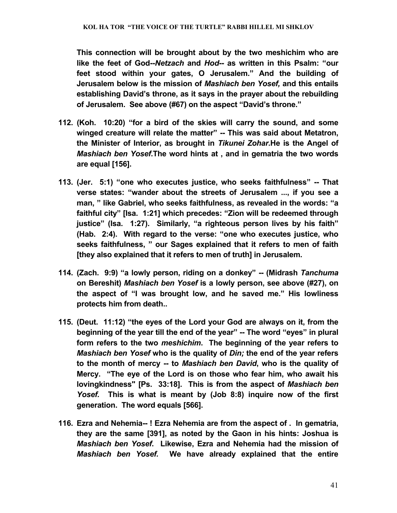**This connection will be brought about by the two meshichim who are like the feet of God--***Netzach* **and** *Hod***-- as written in this Psalm: "our feet stood within your gates, O Jerusalem." And the building of Jerusalem below is the mission of** *Mashiach ben Yosef,* **and this entails establishing David's throne, as it says in the prayer about the rebuilding of Jerusalem. See above (#67) on the aspect "David's throne."** 

- **112. (Koh. 10:20) "for a bird of the skies will carry the sound, and some winged creature will relate the matter" -- This was said about Metatron, the Minister of Interior, as brought in** *Tikunei Zohar***.He is the Angel of**  *Mashiach ben Yosef***.The word hints at , and in gematria the two words are equal [156].**
- **113. (Jer. 5:1) "one who executes justice, who seeks faithfulness" -- That verse states: "wander about the streets of Jerusalem ..., if you see a man, " like Gabriel, who seeks faithfulness, as revealed in the words: "a faithful city" [Isa. 1:21] which precedes: "Zion will be redeemed through justice" (Isa. 1:27). Similarly, "a righteous person lives by his faith" (Hab. 2:4). With regard to the verse: "one who executes justice, who seeks faithfulness, " our Sages explained that it refers to men of faith [they also explained that it refers to men of truth] in Jerusalem.**
- **114. (Zach. 9:9) "a lowly person, riding on a donkey" -- (Midrash** *Tanchuma*  **on Bereshit)** *Mashiach ben Yosef* **is a lowly person, see above (#27), on the aspect of "I was brought low, and he saved me." His lowliness protects him from death..**
- **115. (Deut. 11:12) "the eyes of the Lord your God are always on it, from the beginning of the year till the end of the year" -- The word "eyes" in plural form refers to the two** *meshichim***. The beginning of the year refers to**  *Mashiach ben Yosef* **who is the quality of** *Din;* **the end of the year refers to the month of mercy -- to** *Mashiach ben David***, who is the quality of Mercy. "The eye of the Lord is on those who fear him, who await his lovingkindness" [Ps. 33:18]. This is from the aspect of** *Mashiach ben Yosef.* **This is what is meant by (Job 8:8) inquire now of the first generation. The word equals [566].**
- **116. Ezra and Nehemia-- ! Ezra Nehemia are from the aspect of . In gematria, they are the same [391], as noted by the Gaon in his hints: Joshua is**  *Mashiach ben Yosef***. Likewise, Ezra and Nehemia had the mission of**  *Mashiach ben Yosef.* **We have already explained that the entire**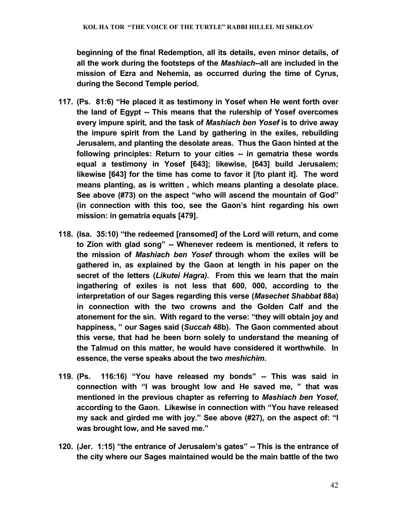**beginning of the final Redemption, all its details, even minor details, of all the work during the footsteps of the** *Mashiach***--all are included in the mission of Ezra and Nehemia, as occurred during the time of Cyrus, during the Second Temple period.** 

- **117. (Ps. 81:6) "He placed it as testimony in Yosef when He went forth over the land of Egypt -- This means that the rulership of Yosef overcomes every impure spirit, and the task of** *Mashiach ben Yosef* **is to drive away the impure spirit from the Land by gathering in the exiles, rebuilding Jerusalem, and planting the desolate areas. Thus the Gaon hinted at the following principles: Return to your cities -- in gematria these words equal a testimony in Yosef [643]; likewise, [643] build Jerusalem; likewise [643] for the time has come to favor it [/to plant it]. The word means planting, as is written , which means planting a desolate place. See above (#73) on the aspect "who will ascend the mountain of God" (in connection with this too, see the Gaon's hint regarding his own mission: in gematria equals [479].**
- **118. (Isa. 35:10) "the redeemed [ransomed] of the Lord will return, and come to Zion with glad song" -- Whenever redeem is mentioned, it refers to the mission of** *Mashiach ben Yosef* **through whom the exiles will be gathered in, as explained by the Gaon at length in his paper on the secret of the letters (***Likutei Hagra)***. From this we learn that the main ingathering of exiles is not less that 600, 000, according to the interpretation of our Sages regarding this verse (***Masechet Shabbat* **88a) in connection with the two crowns and the Golden Calf and the atonement for the sin. With regard to the verse: "they will obtain joy and happiness, " our Sages said (***Succah* **48b). The Gaon commented about this verse, that had he been born solely to understand the meaning of the Talmud on this matter, he would have considered it worthwhile. In essence, the verse speaks about the two** *meshichim***.**
- **119. (Ps. 116:16) "You have released my bonds" -- This was said in connection with "I was brought low and He saved me, " that was mentioned in the previous chapter as referring to** *Mashiach ben Yosef***, according to the Gaon. Likewise in connection with "You have released my sack and girded me with joy." See above (#27), on the aspect of: "I was brought low, and He saved me."**
- **120. (Jer. 1:15) "the entrance of Jerusalem's gates" -- This is the entrance of the city where our Sages maintained would be the main battle of the two**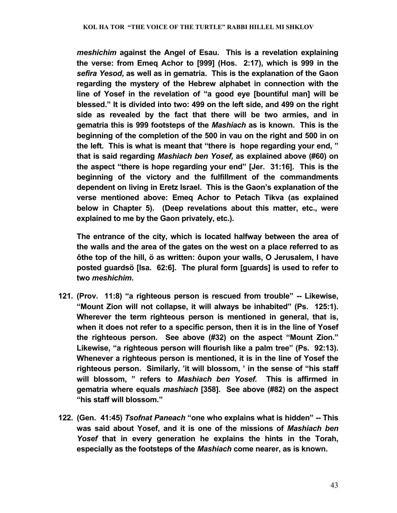*meshichim* **against the Angel of Esau. This is a revelation explaining the verse: from Emeq Achor to [999] (Hos. 2:17), which is 999 in the**  *sefira Yesod***, as well as in gematria. This is the explanation of the Gaon regarding the mystery of the Hebrew alphabet in connection with the line of Yosef in the revelation of "a good eye [bountiful man] will be blessed." It is divided into two: 499 on the left side, and 499 on the right side as revealed by the fact that there will be two armies, and in gematria this is 999 footsteps of the** *Mashiach* **as is known. This is the beginning of the completion of the 500 in vau on the right and 500 in on the left. This is what is meant that "there is hope regarding your end, " that is said regarding** *Mashiach ben Yosef,* **as explained above (#60) on the aspect "there is hope regarding your end" [Jer. 31:16]. This is the beginning of the victory and the fulfillment of the commandments dependent on living in Eretz Israel. This is the Gaon's explanation of the verse mentioned above: Emeq Achor to Petach Tikva (as explained below in Chapter 5). (Deep revelations about this matter, etc., were explained to me by the Gaon privately, etc.).**

 **The entrance of the city, which is located halfway between the area of the walls and the area of the gates on the west on a place referred to as ôthe top of the hill, ö as written: ôupon your walls, O Jerusalem, I have posted guardsö [Isa. 62:6]. The plural form [guards] is used to refer to two** *meshichim***.**

- **121. (Prov. 11:8) "a righteous person is rescued from trouble" -- Likewise, "Mount Zion will not collapse, it will always be inhabited" (Ps. 125:1). Wherever the term righteous person is mentioned in general, that is, when it does not refer to a specific person, then it is in the line of Yosef the righteous person. See above (#32) on the aspect "Mount Zion." Likewise, "a righteous person will flourish like a palm tree" (Ps. 92:13). Whenever a righteous person is mentioned, it is in the line of Yosef the righteous person. Similarly, 'it will blossom, ' in the sense of "his staff will blossom, " refers to** *Mashiach ben Yosef.* **This is affirmed in gematria where equals** *mashiach* **[358]. See above (#82) on the aspect "his staff will blossom."**
- **122. (Gen. 41:45)** *Tsofnat Paneach* **"one who explains what is hidden" -- This was said about Yosef, and it is one of the missions of** *Mashiach ben Yosef* **that in every generation he explains the hints in the Torah, especially as the footsteps of the** *Mashiach* **come nearer, as is known.**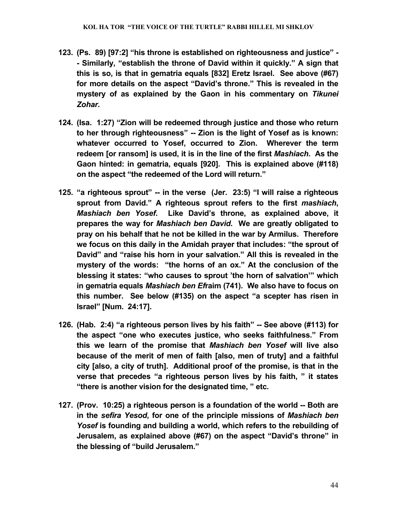- **123. (Ps. 89) [97:2] "his throne is established on righteousness and justice" - - Similarly, "establish the throne of David within it quickly." A sign that this is so, is that in gematria equals [832] Eretz Israel. See above (#67) for more details on the aspect "David's throne." This is revealed in the mystery of as explained by the Gaon in his commentary on** *Tikunei Zohar***.**
- **124. (Isa. 1:27) "Zion will be redeemed through justice and those who return to her through righteousness" -- Zion is the light of Yosef as is known: whatever occurred to Yosef, occurred to Zion. Wherever the term redeem [or ransom] is used, it is in the line of the first** *Mashiach***. As the Gaon hinted: in gematria, equals [920]. This is explained above (#118) on the aspect "the redeemed of the Lord will return."**
- **125. "a righteous sprout" -- in the verse (Jer. 23:5) "I will raise a righteous sprout from David." A righteous sprout refers to the first** *mashiach***,**  *Mashiach ben Yosef***. Like David's throne, as explained above, it prepares the way for** *Mashiach ben David***. We are greatly obligated to pray on his behalf that he not be killed in the war by Armilus. Therefore we focus on this daily in the Amidah prayer that includes: "the sprout of David" and "raise his horn in your salvation." All this is revealed in the mystery of the words: "the horns of an ox." At the conclusion of the blessing it states: "who causes to sprout 'the horn of salvation'" which in gematria equals** *Mashiach ben Ef***raim (741). We also have to focus on this number. See below (#135) on the aspect "a scepter has risen in Israel" [Num. 24:17].**
- **126. (Hab. 2:4) "a righteous person lives by his faith" -- See above (#113) for the aspect "one who executes justice, who seeks faithfulness." From this we learn of the promise that** *Mashiach ben Yosef* **will live also because of the merit of men of faith [also, men of truty] and a faithful city [also, a city of truth]. Additional proof of the promise, is that in the verse that precedes "a righteous person lives by his faith, " it states "there is another vision for the designated time, " etc.**
- **127. (Prov. 10:25) a righteous person is a foundation of the world -- Both are in the** *sefira Yesod***, for one of the principle missions of** *Mashiach ben Yosef* **is founding and building a world, which refers to the rebuilding of Jerusalem, as explained above (#67) on the aspect "David's throne" in the blessing of "build Jerusalem."**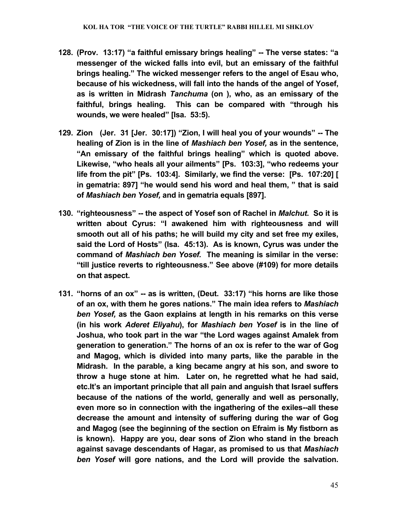- **128. (Prov. 13:17) "a faithful emissary brings healing" -- The verse states: "a messenger of the wicked falls into evil, but an emissary of the faithful brings healing." The wicked messenger refers to the angel of Esau who, because of his wickedness, will fall into the hands of the angel of Yosef, as is written in Midrash** *Tanchuma* **(on ), who, as an emissary of the faithful, brings healing. This can be compared with "through his wounds, we were healed" [Isa. 53:5).**
- **129. Zion (Jer. 31 [Jer. 30:17]) "Zion, I will heal you of your wounds" -- The healing of Zion is in the line of** *Mashiach ben Yosef,* **as in the sentence, "An emissary of the faithful brings healing" which is quoted above. Likewise, "who heals all your ailments" [Ps. 103:3], "who redeems your life from the pit" [Ps. 103:4]. Similarly, we find the verse: [Ps. 107:20] [ in gematria: 897] "he would send his word and heal them, " that is said of** *Mashiach ben Yosef,* **and in gematria equals [897].**
- **130. "righteousness" -- the aspect of Yosef son of Rachel in** *Malchut***. So it is written about Cyrus: "I awakened him with righteousness and will smooth out all of his paths; he will build my city and set free my exiles, said the Lord of Hosts" (Isa. 45:13). As is known, Cyrus was under the command of** *Mashiach ben Yosef.* **The meaning is similar in the verse: "till justice reverts to righteousness." See above (#109) for more details on that aspect.**
- **131. "horns of an ox" -- as is written, (Deut. 33:17) "his horns are like those of an ox, with them he gores nations." The main idea refers to** *Mashiach ben Yosef,* **as the Gaon explains at length in his remarks on this verse (in his work** *Aderet Eliyahu***), for** *Mashiach ben Yosef* **is in the line of Joshua, who took part in the war "the Lord wages against Amalek from generation to generation." The horns of an ox is refer to the war of Gog and Magog, which is divided into many parts, like the parable in the Midrash. In the parable, a king became angry at his son, and swore to throw a huge stone at him. Later on, he regretted what he had said, etc.It's an important principle that all pain and anguish that Israel suffers because of the nations of the world, generally and well as personally, even more so in connection with the ingathering of the exiles--all these decrease the amount and intensity of suffering during the war of Gog and Magog (see the beginning of the section on Efraim is My fistborn as is known). Happy are you, dear sons of Zion who stand in the breach against savage descendants of Hagar, as promised to us that** *Mashiach ben Yosef* **will gore nations, and the Lord will provide the salvation.**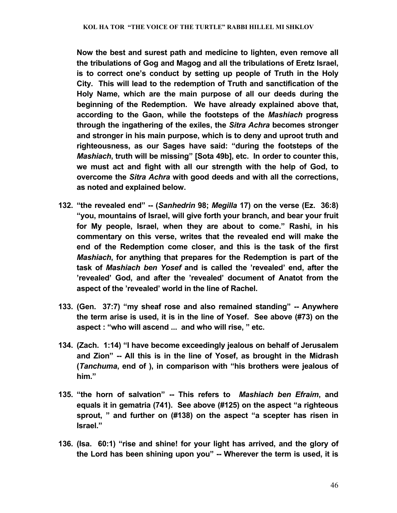**Now the best and surest path and medicine to lighten, even remove all the tribulations of Gog and Magog and all the tribulations of Eretz Israel, is to correct one's conduct by setting up people of Truth in the Holy City. This will lead to the redemption of Truth and sanctification of the Holy Name, which are the main purpose of all our deeds during the beginning of the Redemption. We have already explained above that, according to the Gaon, while the footsteps of the** *Mashiach* **progress through the ingathering of the exiles, the** *Sitra Achra* **becomes stronger and stronger in his main purpose, which is to deny and uproot truth and righteousness, as our Sages have said: "during the footsteps of the**  *Mashiach***, truth will be missing" [Sota 49b], etc. In order to counter this, we must act and fight with all our strength with the help of God, to overcome the** *Sitra Achra* **with good deeds and with all the corrections, as noted and explained below.**

- **132. "the revealed end" -- (***Sanhedrin* **98;** *Megilla* **17) on the verse (Ez. 36:8) "you, mountains of Israel, will give forth your branch, and bear your fruit for My people, Israel, when they are about to come." Rashi, in his commentary on this verse, writes that the revealed end will make the end of the Redemption come closer, and this is the task of the first**  *Mashiach***, for anything that prepares for the Redemption is part of the task of** *Mashiach ben Yosef* **and is called the 'revealed' end, after the 'revealed' God, and after the 'revealed' document of Anatot from the aspect of the 'revealed' world in the line of Rachel.**
- **133. (Gen. 37:7) "my sheaf rose and also remained standing" -- Anywhere the term arise is used, it is in the line of Yosef. See above (#73) on the aspect : "who will ascend ... and who will rise, " etc.**
- **134. (Zach. 1:14) "I have become exceedingly jealous on behalf of Jerusalem and Zion" -- All this is in the line of Yosef, as brought in the Midrash (***Tanchuma***, end of ), in comparison with "his brothers were jealous of him."**
- **135. "the horn of salvation" -- This refers to** *Mashiach ben Efraim***, and equals it in gematria (741). See above (#125) on the aspect "a righteous sprout, " and further on (#138) on the aspect "a scepter has risen in Israel."**
- **136. (Isa. 60:1) "rise and shine! for your light has arrived, and the glory of the Lord has been shining upon you" -- Wherever the term is used, it is**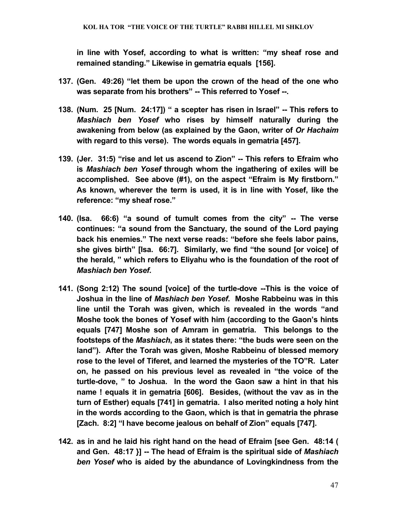**in line with Yosef, according to what is written: "my sheaf rose and remained standing." Likewise in gematria equals [156].**

- **137. (Gen. 49:26) "let them be upon the crown of the head of the one who was separate from his brothers" -- This referred to Yosef --.**
- **138. (Num. 25 [Num. 24:17]) " a scepter has risen in Israel" -- This refers to**  *Mashiach ben Yosef* **who rises by himself naturally during the awakening from below (as explained by the Gaon, writer of** *Or Hachaim*  **with regard to this verse). The words equals in gematria [457].**
- **139. (Jer. 31:5) "rise and let us ascend to Zion" -- This refers to Efraim who is** *Mashiach ben Yosef* **through whom the ingathering of exiles will be accomplished. See above (#1), on the aspect "Efraim is My firstborn." As known, wherever the term is used, it is in line with Yosef, like the reference: "my sheaf rose."**
- **140. (Isa. 66:6) "a sound of tumult comes from the city" -- The verse continues: "a sound from the Sanctuary, the sound of the Lord paying back his enemies." The next verse reads: "before she feels labor pains, she gives birth" [Isa. 66:7]. Similarly, we find "the sound [or voice] of the herald, " which refers to Eliyahu who is the foundation of the root of**  *Mashiach ben Yosef***.**
- **141. (Song 2:12) The sound [voice] of the turtle-dove --This is the voice of Joshua in the line of** *Mashiach ben Yosef***. Moshe Rabbeinu was in this line until the Torah was given, which is revealed in the words "and Moshe took the bones of Yosef with him (according to the Gaon's hints equals [747] Moshe son of Amram in gematria. This belongs to the footsteps of the** *Mashiach***, as it states there: "the buds were seen on the land"). After the Torah was given, Moshe Rabbeinu of blessed memory rose to the level of Tiferet, and learned the mysteries of the TO"R. Later on, he passed on his previous level as revealed in "the voice of the turtle-dove, " to Joshua. In the word the Gaon saw a hint in that his name ! equals it in gematria [606]. Besides, (without the vav as in the turn of Esther) equals [741] in gematria. I also merited noting a holy hint in the words according to the Gaon, which is that in gematria the phrase [Zach. 8:2] "I have become jealous on behalf of Zion" equals [747].**
- **142. as in and he laid his right hand on the head of Efraim [see Gen. 48:14 ( and Gen. 48:17 }] -- The head of Efraim is the spiritual side of** *Mashiach ben Yosef* **who is aided by the abundance of Lovingkindness from the**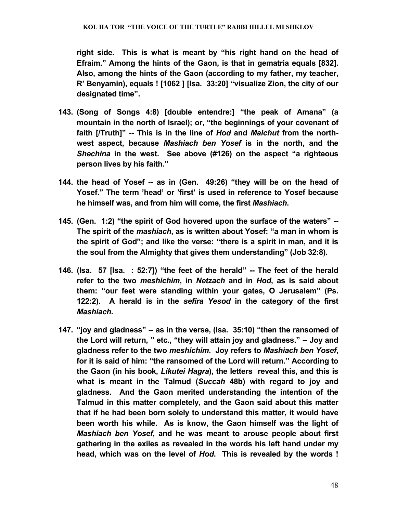**right side. This is what is meant by "his right hand on the head of Efraim." Among the hints of the Gaon, is that in gematria equals [832]. Also, among the hints of the Gaon (according to my father, my teacher, R' Benyamin), equals ! [1062 ] [Isa. 33:20] "visualize Zion, the city of our designated time".** 

- **143. (Song of Songs 4:8) [double entendre:] "the peak of Amana" (a mountain in the north of Israel); or, "the beginnings of your covenant of faith [/Truth]" -- This is in the line of** *Hod* **and** *Malchut* **from the northwest aspect, because** *Mashiach ben Yosef* **is in the north, and the**  *Shechina* **in the west. See above (#126) on the aspect "a righteous person lives by his faith."**
- **144. the head of Yosef -- as in (Gen. 49:26) "they will be on the head of Yosef." The term 'head' or 'first' is used in reference to Yosef because he himself was, and from him will come, the first** *Mashiach***.**
- **145. (Gen. 1:2) "the spirit of God hovered upon the surface of the waters" -- The spirit of the** *mashiach***, as is written about Yosef: "a man in whom is the spirit of God"; and like the verse: "there is a spirit in man, and it is the soul from the Almighty that gives them understanding" (Job 32:8).**
- **146. (Isa. 57 [Isa. : 52:7]) "the feet of the herald" -- The feet of the herald refer to the two** *meshichim***, in** *Netzach* **and in** *Hod***, as is said about them: "our feet were standing within your gates, O Jerusalem" (Ps. 122:2). A herald is in the** *sefira Yesod* **in the category of the first**  *Mashiach***.**
- **147. "joy and gladness" -- as in the verse, (Isa. 35:10) "then the ransomed of the Lord will return, " etc., "they will attain joy and gladness." -- Joy and gladness refer to the two** *meshichim***. Joy refers to** *Mashiach ben Yosef***, for it is said of him: "the ransomed of the Lord will return." According to the Gaon (in his book,** *Likutei Hagra***), the letters reveal this, and this is what is meant in the Talmud (***Succah* **48b) with regard to joy and gladness. And the Gaon merited understanding the intention of the Talmud in this matter completely, and the Gaon said about this matter that if he had been born solely to understand this matter, it would have been worth his while. As is know, the Gaon himself was the light of**  *Mashiach ben Yosef***, and he was meant to arouse people about first gathering in the exiles as revealed in the words his left hand under my head, which was on the level of** *Hod***. This is revealed by the words !**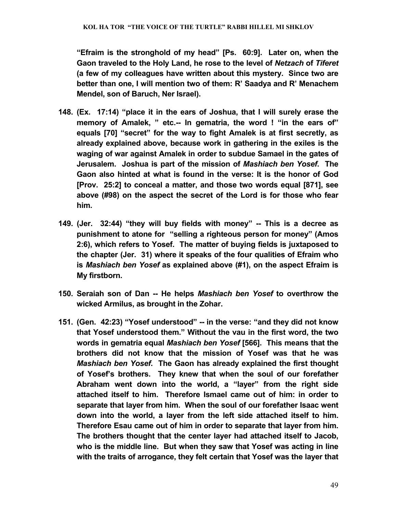**"Efraim is the stronghold of my head" [Ps. 60:9]. Later on, when the Gaon traveled to the Holy Land, he rose to the level of** *Netzach* **of** *Tiferet*  **(a few of my colleagues have written about this mystery. Since two are better than one, I will mention two of them: R' Saadya and R' Menachem Mendel, son of Baruch, Ner Israel).**

- **148. (Ex. 17:14) "place it in the ears of Joshua, that I will surely erase the memory of Amalek, " etc.-- In gematria, the word ! "in the ears of" equals [70] "secret" for the way to fight Amalek is at first secretly, as already explained above, because work in gathering in the exiles is the waging of war against Amalek in order to subdue Samael in the gates of Jerusalem. Joshua is part of the mission of** *Mashiach ben Yosef***. The Gaon also hinted at what is found in the verse: It is the honor of God [Prov. 25:2] to conceal a matter, and those two words equal [871], see above (#98) on the aspect the secret of the Lord is for those who fear him.**
- **149. (Jer. 32:44) "they will buy fields with money" -- This is a decree as punishment to atone for "selling a righteous person for money" (Amos 2:6), which refers to Yosef. The matter of buying fields is juxtaposed to the chapter (Jer. 31) where it speaks of the four qualities of Efraim who is** *Mashiach ben Yosef* **as explained above (#1), on the aspect Efraim is My firstborn.**
- **150. Seraiah son of Dan -- He helps** *Mashiach ben Yosef* **to overthrow the wicked Armilus, as brought in the Zohar.**
- **151. (Gen. 42:23) "Yosef understood" -- in the verse: "and they did not know that Yosef understood them." Without the vau in the first word, the two words in gematria equal** *Mashiach ben Yosef* **[566]. This means that the brothers did not know that the mission of Yosef was that he was**  *Mashiach ben Yosef***. The Gaon has already explained the first thought of Yosef's brothers. They knew that when the soul of our forefather Abraham went down into the world, a "layer" from the right side attached itself to him. Therefore Ismael came out of him: in order to separate that layer from him. When the soul of our forefather Isaac went down into the world, a layer from the left side attached itself to him. Therefore Esau came out of him in order to separate that layer from him. The brothers thought that the center layer had attached itself to Jacob, who is the middle line. But when they saw that Yosef was acting in line with the traits of arrogance, they felt certain that Yosef was the layer that**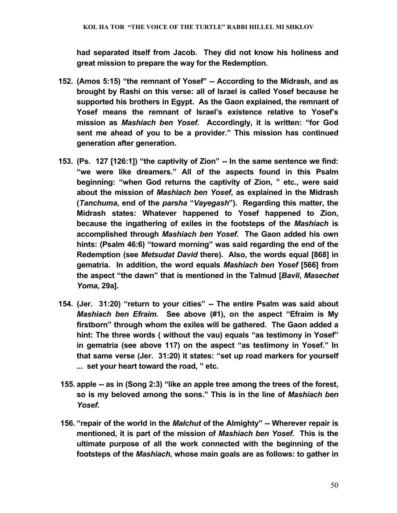**had separated itself from Jacob. They did not know his holiness and great mission to prepare the way for the Redemption.**

- **152. (Amos 5:15) "the remnant of Yosef" -- According to the Midrash, and as brought by Rashi on this verse: all of Israel is called Yosef because he supported his brothers in Egypt. As the Gaon explained, the remnant of Yosef means the remnant of Israel's existence relative to Yosef's mission as** *Mashiach ben Yosef***. Accordingly, it is written: "for God sent me ahead of you to be a provider." This mission has continued generation after generation.**
- **153. (Ps. 127 [126:1]) "the captivity of Zion" -- In the same sentence we find: "we were like dreamers." All of the aspects found in this Psalm beginning: "when God returns the captivity of Zion, " etc., were said about the mission of** *Mashiach ben Yosef***, as explained in the Midrash (***Tanchuma***, end of the** *parsha* **"***Vayegash***"). Regarding this matter, the Midrash states: Whatever happened to Yosef happened to Zion, because the ingathering of exiles in the footsteps of the** *Mashiach* **is accomplished through** *Mashiach ben Yosef***. The Gaon added his own hints: (Psalm 46:6) "toward morning" was said regarding the end of the Redemption (see** *Metsudat David* **there). Also, the words equal [868] in gematria. In addition, the word equals** *Mashiach ben Yosef* **[566] from the aspect "the dawn" that is mentioned in the Talmud [***Bavli***,** *Masechet Yoma***, 29a].**
- **154. (Jer. 31:20) "return to your cities" -- The entire Psalm was said about**  *Mashiach ben Efraim***. See above (#1), on the aspect "Efraim is My firstborn" through whom the exiles will be gathered. The Gaon added a hint: The three words ( without the vau) equals "as testimony in Yosef" in gematria (see above 117) on the aspect "as testimony in Yosef." In that same verse (Jer. 31:20) it states: "set up road markers for yourself ... set your heart toward the road, " etc.**
- **155. apple -- as in (Song 2:3) "like an apple tree among the trees of the forest, so is my beloved among the sons." This is in the line of** *Mashiach ben Yosef.*
- **156. "repair of the world in the** *Malchut* **of the Almighty" -- Wherever repair is mentioned, it is part of the mission of** *Mashiach ben Yosef***. This is the ultimate purpose of all the work connected with the beginning of the footsteps of the** *Mashiach***, whose main goals are as follows: to gather in**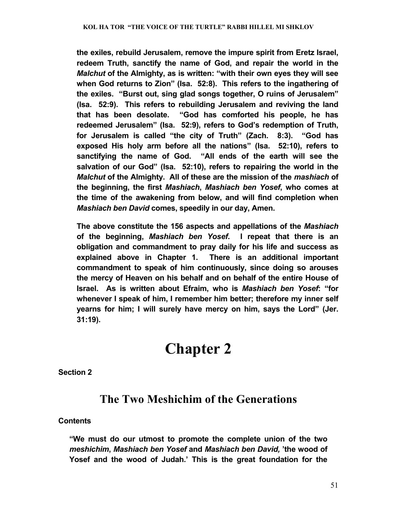**the exiles, rebuild Jerusalem, remove the impure spirit from Eretz Israel, redeem Truth, sanctify the name of God, and repair the world in the**  *Malchut* **of the Almighty, as is written: "with their own eyes they will see when God returns to Zion" (Isa. 52:8). This refers to the ingathering of the exiles. "Burst out, sing glad songs together, O ruins of Jerusalem" (Isa. 52:9). This refers to rebuilding Jerusalem and reviving the land that has been desolate. "God has comforted his people, he has redeemed Jerusalem" (Isa. 52:9), refers to God's redemption of Truth, for Jerusalem is called "the city of Truth" (Zach. 8:3). "God has exposed His holy arm before all the nations" (Isa. 52:10), refers to sanctifying the name of God. "All ends of the earth will see the salvation of our God" (Isa. 52:10), refers to repairing the world in the**  *Malchut* **of the Almighty. All of these are the mission of the** *mashiach* **of the beginning, the first** *Mashiach***,** *Mashiach ben Yosef***, who comes at the time of the awakening from below, and will find completion when**  *Mashiach ben David* **comes, speedily in our day, Amen.**

 **The above constitute the 156 aspects and appellations of the** *Mashiach*  **of the beginning,** *Mashiach ben Yosef***. I repeat that there is an obligation and commandment to pray daily for his life and success as explained above in Chapter 1. There is an additional important commandment to speak of him continuously, since doing so arouses the mercy of Heaven on his behalf and on behalf of the entire House of Israel. As is written about Efraim, who is** *Mashiach ben Yosef***: "for whenever I speak of him, I remember him better; therefore my inner self yearns for him; I will surely have mercy on him, says the Lord" (Jer. 31:19).**

# **Chapter 2**

**Section 2**

### **The Two Meshichim of the Generations**

#### **Contents**

 **"We must do our utmost to promote the complete union of the two**  *meshichim***,** *Mashiach ben Yosef* **and** *Mashiach ben David,* **'the wood of Yosef and the wood of Judah.' This is the great foundation for the**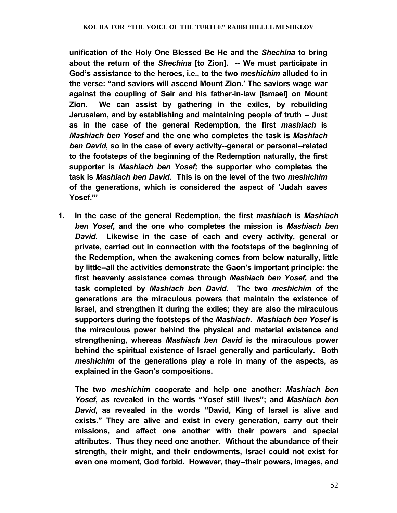**unification of the Holy One Blessed Be He and the** *Shechina* **to bring about the return of the** *Shechina* **[to Zion]. -- We must participate in God's assistance to the heroes, i.e., to the two** *meshichim* **alluded to in the verse: "and saviors will ascend Mount Zion.' The saviors wage war against the coupling of Seir and his father-in-law [Ismael] on Mount Zion. We can assist by gathering in the exiles, by rebuilding Jerusalem, and by establishing and maintaining people of truth -- Just as in the case of the general Redemption, the first** *mashiach* **is**  *Mashiach ben Yosef* **and the one who completes the task is** *Mashiach ben David***, so in the case of every activity--general or personal--related to the footsteps of the beginning of the Redemption naturally, the first supporter is** *Mashiach ben Yosef;* **the supporter who completes the task is** *Mashiach ben David***. This is on the level of the two** *meshichim*  **of the generations, which is considered the aspect of 'Judah saves Yosef.'"** 

**1. In the case of the general Redemption, the first** *mashiach* **is** *Mashiach ben Yosef***, and the one who completes the mission is** *Mashiach ben David***. Likewise in the case of each and every activity, general or private, carried out in connection with the footsteps of the beginning of the Redemption, when the awakening comes from below naturally, little by little--all the activities demonstrate the Gaon's important principle: the first heavenly assistance comes through** *Mashiach ben Yosef,* **and the task completed by** *Mashiach ben David***. The two** *meshichim* **of the generations are the miraculous powers that maintain the existence of Israel, and strengthen it during the exiles; they are also the miraculous supporters during the footsteps of the** *Mashiach***.** *Mashiach ben Yosef* **is the miraculous power behind the physical and material existence and strengthening, whereas** *Mashiach ben David* **is the miraculous power behind the spiritual existence of Israel generally and particularly. Both**  *meshichim* **of the generations play a role in many of the aspects, as explained in the Gaon's compositions.**

 **The two** *meshichim* **cooperate and help one another:** *Mashiach ben Yosef***, as revealed in the words "Yosef still lives"; and** *Mashiach ben David***, as revealed in the words "David, King of Israel is alive and exists." They are alive and exist in every generation, carry out their missions, and affect one another with their powers and special attributes. Thus they need one another. Without the abundance of their strength, their might, and their endowments, Israel could not exist for even one moment, God forbid. However, they--their powers, images, and**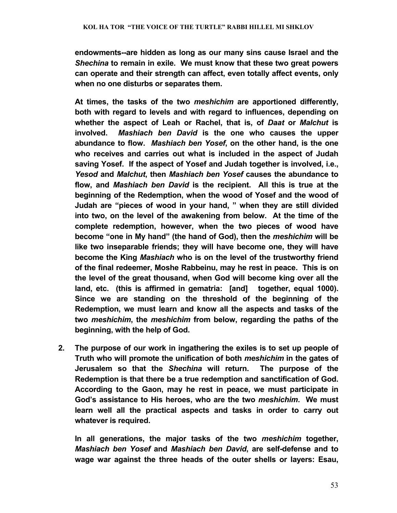**endowments--are hidden as long as our many sins cause Israel and the**  *Shechina* **to remain in exile. We must know that these two great powers can operate and their strength can affect, even totally affect events, only when no one disturbs or separates them.**

 **At times, the tasks of the two** *meshichim* **are apportioned differently, both with regard to levels and with regard to influences, depending on whether the aspect of Leah or Rachel, that is, of** *Daat* **or** *Malchut* **is involved.** *Mashiach ben David* **is the one who causes the upper abundance to flow.** *Mashiach ben Yosef***, on the other hand, is the one who receives and carries out what is included in the aspect of Judah saving Yosef. If the aspect of Yosef and Judah together is involved, i.e.,**  *Yesod* **and** *Malchut***, then** *Mashiach ben Yosef* **causes the abundance to flow, and** *Mashiach ben David* **is the recipient. All this is true at the beginning of the Redemption, when the wood of Yosef and the wood of Judah are "pieces of wood in your hand, " when they are still divided into two, on the level of the awakening from below. At the time of the complete redemption, however, when the two pieces of wood have become "one in My hand" (the hand of God), then the** *meshichim* **will be like two inseparable friends; they will have become one, they will have become the King** *Mashiach* **who is on the level of the trustworthy friend of the final redeemer, Moshe Rabbeinu, may he rest in peace. This is on the level of the great thousand, when God will become king over all the land, etc. (this is affirmed in gematria: [and] together, equal 1000). Since we are standing on the threshold of the beginning of the Redemption, we must learn and know all the aspects and tasks of the two** *meshichim***, the** *meshichim* **from below, regarding the paths of the beginning, with the help of God.**

**2. The purpose of our work in ingathering the exiles is to set up people of Truth who will promote the unification of both** *meshichim* **in the gates of Jerusalem so that the** *Shechina* **will return. The purpose of the Redemption is that there be a true redemption and sanctification of God. According to the Gaon, may he rest in peace, we must participate in God's assistance to His heroes, who are the two** *meshichim***. We must learn well all the practical aspects and tasks in order to carry out whatever is required.**

 **In all generations, the major tasks of the two** *meshichim* **together,**  *Mashiach ben Yosef* **and** *Mashiach ben David***, are self-defense and to wage war against the three heads of the outer shells or layers: Esau,**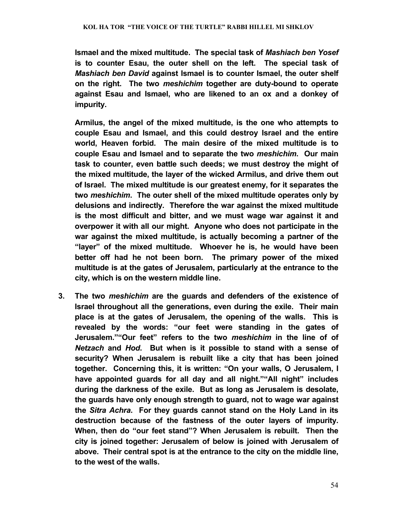**Ismael and the mixed multitude. The special task of** *Mashiach ben Yosef*  **is to counter Esau, the outer shell on the left. The special task of**  *Mashiach ben David* **against Ismael is to counter Ismael, the outer shelf on the right. The two** *meshichim* **together are duty-bound to operate against Esau and Ismael, who are likened to an ox and a donkey of impurity.**

 **Armilus, the angel of the mixed multitude, is the one who attempts to couple Esau and Ismael, and this could destroy Israel and the entire world, Heaven forbid. The main desire of the mixed multitude is to couple Esau and Ismael and to separate the two** *meshichim***. Our main task to counter, even battle such deeds; we must destroy the might of the mixed multitude, the layer of the wicked Armilus, and drive them out of Israel. The mixed multitude is our greatest enemy, for it separates the two** *meshichim***. The outer shell of the mixed multitude operates only by delusions and indirectly. Therefore the war against the mixed multitude is the most difficult and bitter, and we must wage war against it and overpower it with all our might. Anyone who does not participate in the war against the mixed multitude, is actually becoming a partner of the "layer" of the mixed multitude. Whoever he is, he would have been better off had he not been born. The primary power of the mixed multitude is at the gates of Jerusalem, particularly at the entrance to the city, which is on the western middle line.**

**3. The two** *meshichim* **are the guards and defenders of the existence of Israel throughout all the generations, even during the exile. Their main place is at the gates of Jerusalem, the opening of the walls. This is revealed by the words: "our feet were standing in the gates of Jerusalem.""Our feet" refers to the two** *meshichim* **in the line of of**  *Netzach* **and** *Hod***. But when is it possible to stand with a sense of security? When Jerusalem is rebuilt like a city that has been joined together. Concerning this, it is written: "On your walls, O Jerusalem, I have appointed guards for all day and all night.""All night" includes during the darkness of the exile. But as long as Jerusalem is desolate, the guards have only enough strength to guard, not to wage war against the** *Sitra Achra***. For they guards cannot stand on the Holy Land in its destruction because of the fastness of the outer layers of impurity. When, then do "our feet stand"? When Jerusalem is rebuilt. Then the city is joined together: Jerusalem of below is joined with Jerusalem of above. Their central spot is at the entrance to the city on the middle line, to the west of the walls.**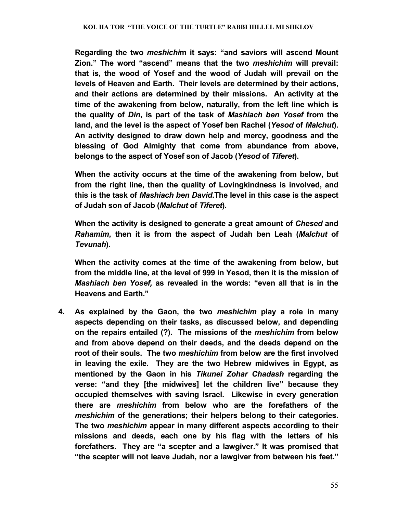**Regarding the two** *meshichi***m it says: "and saviors will ascend Mount Zion." The word "ascend" means that the two** *meshichim* **will prevail: that is, the wood of Yosef and the wood of Judah will prevail on the levels of Heaven and Earth. Their levels are determined by their actions, and their actions are determined by their missions. An activity at the time of the awakening from below, naturally, from the left line which is the quality of** *Din***, is part of the task of** *Mashiach ben Yosef* **from the land, and the level is the aspect of Yosef ben Rachel (***Yesod* **of** *Malchut***). An activity designed to draw down help and mercy, goodness and the blessing of God Almighty that come from abundance from above, belongs to the aspect of Yosef son of Jacob (***Yesod* **of** *Tiferet***).**

 **When the activity occurs at the time of the awakening from below, but from the right line, then the quality of Lovingkindness is involved, and this is the task of** *Mashiach ben David***.The level in this case is the aspect of Judah son of Jacob (***Malchut* **of** *Tiferet***).**

 **When the activity is designed to generate a great amount of** *Chesed* **and**  *Rahamim***, then it is from the aspect of Judah ben Leah (***Malchut* **of**  *Tevunah***).**

 **When the activity comes at the time of the awakening from below, but from the middle line, at the level of 999 in Yesod, then it is the mission of**  *Mashiach ben Yosef,* **as revealed in the words: "even all that is in the Heavens and Earth."**

**4. As explained by the Gaon, the two** *meshichim* **play a role in many aspects depending on their tasks, as discussed below, and depending on the repairs entailed (?). The missions of the** *meshichim* **from below and from above depend on their deeds, and the deeds depend on the root of their souls. The two** *meshichim* **from below are the first involved in leaving the exile. They are the two Hebrew midwives in Egypt, as mentioned by the Gaon in his** *Tikunei Zohar Chadash* **regarding the verse: "and they [the midwives] let the children live" because they occupied themselves with saving Israel. Likewise in every generation there are** *meshichim* **from below who are the forefathers of the**  *meshichim* **of the generations; their helpers belong to their categories. The two** *meshichim* **appear in many different aspects according to their missions and deeds, each one by his flag with the letters of his forefathers. They are "a scepter and a lawgiver." It was promised that "the scepter will not leave Judah, nor a lawgiver from between his feet."**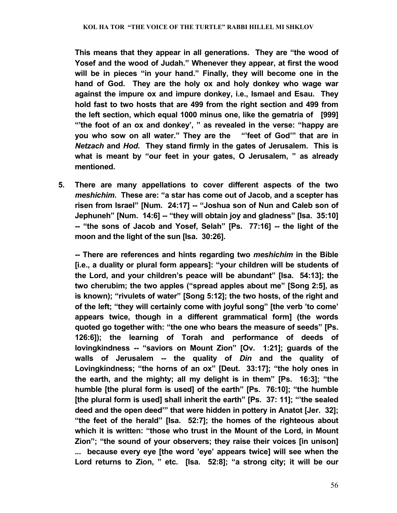**This means that they appear in all generations. They are "the wood of Yosef and the wood of Judah." Whenever they appear, at first the wood will be in pieces "in your hand." Finally, they will become one in the hand of God. They are the holy ox and holy donkey who wage war against the impure ox and impure donkey, i.e., Ismael and Esau. They hold fast to two hosts that are 499 from the right section and 499 from the left section, which equal 1000 minus one, like the gematria of [999] "'the foot of an ox and donkey', " as revealed in the verse: "happy are you who sow on all water." They are the "'feet of God'" that are in**  *Netzach* **and** *Hod***. They stand firmly in the gates of Jerusalem. This is what is meant by "our feet in your gates, O Jerusalem, " as already mentioned.** 

**5. There are many appellations to cover different aspects of the two**  *meshichim***. These are: "a star has come out of Jacob, and a scepter has risen from Israel" [Num. 24:17] -- "Joshua son of Nun and Caleb son of Jephuneh" [Num. 14:6] -- "they will obtain joy and gladness" [Isa. 35:10] -- "the sons of Jacob and Yosef, Selah" [Ps. 77:16] -- the light of the moon and the light of the sun [Isa. 30:26].** 

 **-- There are references and hints regarding two** *meshichim* **in the Bible [i.e., a duality or plural form appears]: "your children will be students of the Lord, and your children's peace will be abundant" [Isa. 54:13]; the two cherubim; the two apples ("spread apples about me" [Song 2:5], as is known); "rivulets of water" [Song 5:12]; the two hosts, of the right and of the left; "they will certainly come with joyful song" [the verb 'to come' appears twice, though in a different grammatical form] (the words quoted go together with: "the one who bears the measure of seeds" [Ps. 126:6]); the learning of Torah and performance of deeds of lovingkindness -- "saviors on Mount Zion" [Ov. 1:21]; guards of the walls of Jerusalem -- the quality of** *Din* **and the quality of Lovingkindness; "the horns of an ox" [Deut. 33:17]; "the holy ones in the earth, and the mighty; all my delight is in them" [Ps. 16:3]; "the humble [the plural form is used] of the earth" [Ps. 76:10]; "the humble [the plural form is used] shall inherit the earth" [Ps. 37: 11]; "'the sealed deed and the open deed'" that were hidden in pottery in Anatot [Jer. 32]; "the feet of the herald" [Isa. 52:7]; the homes of the righteous about which it is written: "those who trust in the Mount of the Lord, in Mount Zion"; "the sound of your observers; they raise their voices [in unison] ... because every eye [the word 'eye' appears twice] will see when the Lord returns to Zion, " etc. [Isa. 52:8]; "a strong city; it will be our**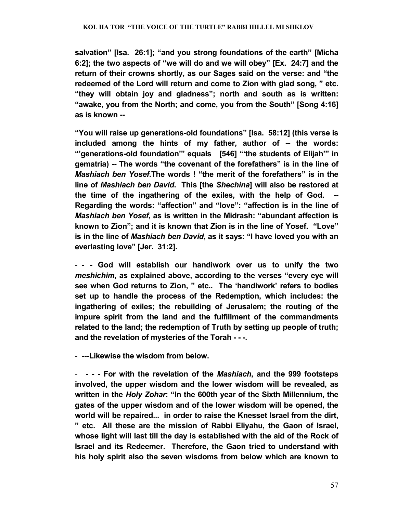**salvation" [Isa. 26:1]; "and you strong foundations of the earth" [Micha 6:2]; the two aspects of "we will do and we will obey" [Ex. 24:7] and the return of their crowns shortly, as our Sages said on the verse: and "the redeemed of the Lord will return and come to Zion with glad song, " etc. "they will obtain joy and gladness"; north and south as is written: "awake, you from the North; and come, you from the South" [Song 4:16] as is known --**

 **"You will raise up generations-old foundations" [Isa. 58:12] (this verse is included among the hints of my father, author of -- the words: "'generations-old foundation'" equals [546] "'the students of Elijah'" in gematria) -- The words "the covenant of the forefathers" is in the line of**  *Mashiach ben Yosef***.The words ! "the merit of the forefathers" is in the line of** *Mashiach ben David***. This [the** *Shechina***] will also be restored at the time of the ingathering of the exiles, with the help of God. -- Regarding the words: "affection" and "love": "affection is in the line of**  *Mashiach ben Yosef***, as is written in the Midrash: "abundant affection is known to Zion"; and it is known that Zion is in the line of Yosef. "Love" is in the line of** *Mashiach ben David***, as it says: "I have loved you with an everlasting love" [Jer. 31:2].**

 **- - - God will establish our handiwork over us to unify the two**  *meshichim***, as explained above, according to the verses "every eye will see when God returns to Zion, " etc.. The 'handiwork' refers to bodies set up to handle the process of the Redemption, which includes: the ingathering of exiles; the rebuilding of Jerusalem; the routing of the impure spirit from the land and the fulfillment of the commandments related to the land; the redemption of Truth by setting up people of truth; and the revelation of mysteries of the Torah - - -.** 

 **- ---Likewise the wisdom from below.**

 **- - - - For with the revelation of the** *Mashiach***, and the 999 footsteps involved, the upper wisdom and the lower wisdom will be revealed, as written in the** *Holy Zohar***: "In the 600th year of the Sixth Millennium, the gates of the upper wisdom and of the lower wisdom will be opened, the world will be repaired... in order to raise the Knesset Israel from the dirt, " etc. All these are the mission of Rabbi Eliyahu, the Gaon of Israel, whose light will last till the day is established with the aid of the Rock of Israel and its Redeemer. Therefore, the Gaon tried to understand with his holy spirit also the seven wisdoms from below which are known to**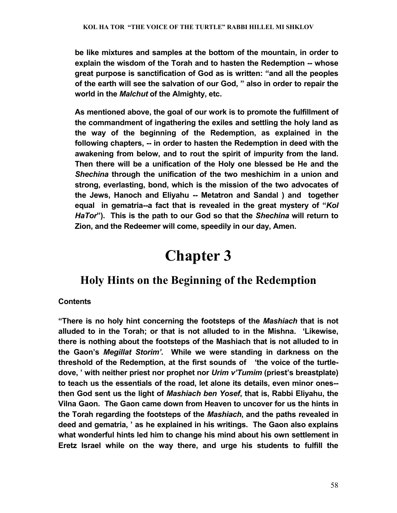**be like mixtures and samples at the bottom of the mountain, in order to explain the wisdom of the Torah and to hasten the Redemption -- whose great purpose is sanctification of God as is written: "and all the peoples of the earth will see the salvation of our God, " also in order to repair the world in the** *Malchut* **of the Almighty, etc.** 

 **As mentioned above, the goal of our work is to promote the fulfillment of the commandment of ingathering the exiles and settling the holy land as the way of the beginning of the Redemption, as explained in the following chapters, -- in order to hasten the Redemption in deed with the awakening from below, and to rout the spirit of impurity from the land. Then there will be a unification of the Holy one blessed be He and the**  *Shechina* **through the unification of the two meshichim in a union and strong, everlasting, bond, which is the mission of the two advocates of the Jews, Hanoch and Eliyahu -- Metatron and Sandal ) and together equal in gematria--a fact that is revealed in the great mystery of "***Kol HaTor***"). This is the path to our God so that the** *Shechina* **will return to Zion, and the Redeemer will come, speedily in our day, Amen.** 

# **Chapter 3**

### **Holy Hints on the Beginning of the Redemption**

#### **Contents**

**"There is no holy hint concerning the footsteps of the** *Mashiach* **that is not alluded to in the Torah; or that is not alluded to in the Mishna. 'Likewise, there is nothing about the footsteps of the Mashiach that is not alluded to in the Gaon's** *Megillat Storim'.* **While we were standing in darkness on the threshold of the Redemption, at the first sounds of 'the voice of the turtledove, ' with neither priest nor prophet nor** *Urim v'Tumim* **(priest's breastplate) to teach us the essentials of the road, let alone its details, even minor ones- then God sent us the light of** *Mashiach ben Yosef***, that is, Rabbi Eliyahu, the Vilna Gaon. The Gaon came down from Heaven to uncover for us the hints in the Torah regarding the footsteps of the** *Mashiach***, and the paths revealed in deed and gematria, ' as he explained in his writings. The Gaon also explains what wonderful hints led him to change his mind about his own settlement in Eretz Israel while on the way there, and urge his students to fulfill the**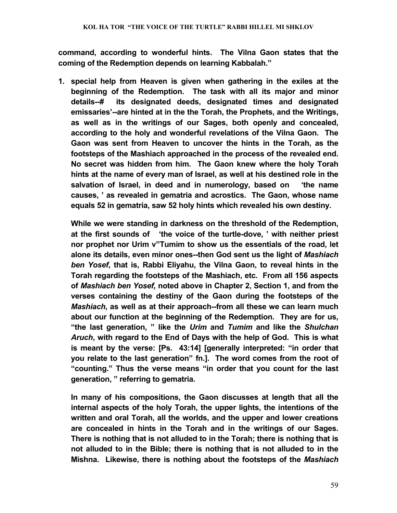**command, according to wonderful hints. The Vilna Gaon states that the coming of the Redemption depends on learning Kabbalah."** 

**1. special help from Heaven is given when gathering in the exiles at the beginning of the Redemption. The task with all its major and minor details--# its designated deeds, designated times and designated emissaries'--are hinted at in the the Torah, the Prophets, and the Writings, as well as in the writings of our Sages, both openly and concealed, according to the holy and wonderful revelations of the Vilna Gaon. The Gaon was sent from Heaven to uncover the hints in the Torah, as the footsteps of the Mashiach approached in the process of the revealed end. No secret was hidden from him. The Gaon knew where the holy Torah hints at the name of every man of Israel, as well at his destined role in the salvation of Israel, in deed and in numerology, based on 'the name causes, ' as revealed in gematria and acrostics. The Gaon, whose name equals 52 in gematria, saw 52 holy hints which revealed his own destiny.** 

 **While we were standing in darkness on the threshold of the Redemption, at the first sounds of 'the voice of the turtle-dove, ' with neither priest nor prophet nor Urim v"Tumim to show us the essentials of the road, let alone its details, even minor ones--then God sent us the light of** *Mashiach ben Yosef***, that is, Rabbi Eliyahu, the Vilna Gaon, to reveal hints in the Torah regarding the footsteps of the Mashiach, etc. From all 156 aspects of** *Mashiach ben Yosef,* **noted above in Chapter 2, Section 1, and from the verses containing the destiny of the Gaon during the footsteps of the**  *Mashiach***, as well as at their approach--from all these we can learn much about our function at the beginning of the Redemption. They are for us, "the last generation, " like the** *Urim* **and** *Tumim* **and like the** *Shulchan Aruch***, with regard to the End of Days with the help of God. This is what is meant by the verse: [Ps. 43:14] [generally interpreted: "in order that you relate to the last generation" fn.]. The word comes from the root of "counting." Thus the verse means "in order that you count for the last generation, " referring to gematria.** 

 **In many of his compositions, the Gaon discusses at length that all the internal aspects of the holy Torah, the upper lights, the intentions of the written and oral Torah, all the worlds, and the upper and lower creations are concealed in hints in the Torah and in the writings of our Sages. There is nothing that is not alluded to in the Torah; there is nothing that is not alluded to in the Bible; there is nothing that is not alluded to in the Mishna. Likewise, there is nothing about the footsteps of the** *Mashiach*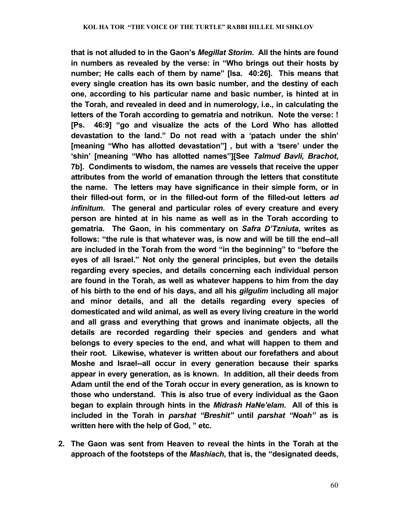**that is not alluded to in the Gaon's** *Megillat Storim***. All the hints are found in numbers as revealed by the verse: in "Who brings out their hosts by number; He calls each of them by name" [Isa. 40:26]. This means that every single creation has its own basic number, and the destiny of each one, according to his particular name and basic number, is hinted at in the Torah, and revealed in deed and in numerology, i.e., in calculating the letters of the Torah according to gematria and notrikun. Note the verse: ! [Ps. 46:9] "go and visualize the acts of the Lord Who has allotted devastation to the land." Do not read with a 'patach under the shin' [meaning "Who has allotted devastation"] , but with a 'tsere' under the 'shin' [meaning "Who has allotted names"][See** *Talmud Bavli, Brachot***, 7b]. Condiments to wisdom, the names are vessels that receive the upper attributes from the world of emanation through the letters that constitute the name. The letters may have significance in their simple form, or in their filled-out form, or in the filled-out form of the filled-out letters** *ad infinitum***. The general and particular roles of every creature and every person are hinted at in his name as well as in the Torah according to gematria. The Gaon, in his commentary on** *Safra D'Tzniuta***, writes as follows: "the rule is that whatever was, is now and will be till the end--all are included in the Torah from the word "in the beginning" to "before the eyes of all Israel." Not only the general principles, but even the details regarding every species, and details concerning each individual person are found in the Torah, as well as whatever happens to him from the day of his birth to the end of his days, and all his** *gilgulim* **including all major and minor details, and all the details regarding every species of domesticated and wild animal, as well as every living creature in the world and all grass and everything that grows and inanimate objects, all the details are recorded regarding their species and genders and what belongs to every species to the end, and what will happen to them and their root. Likewise, whatever is written about our forefathers and about Moshe and Israel--all occur in every generation because their sparks appear in every generation, as is known. In addition, all their deeds from Adam until the end of the Torah occur in every generation, as is known to those who understand. This is also true of every individual as the Gaon began to explain through hints in the** *Midrash HaNe'elam***. All of this is included in the Torah in** *parshat "Breshit"* **until** *parshat "Noah"* **as is written here with the help of God, " etc.** 

**2. The Gaon was sent from Heaven to reveal the hints in the Torah at the approach of the footsteps of the** *Mashiach***, that is, the "designated deeds,**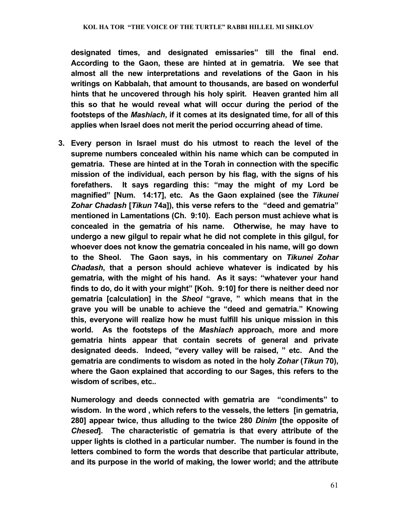**designated times, and designated emissaries" till the final end. According to the Gaon, these are hinted at in gematria. We see that almost all the new interpretations and revelations of the Gaon in his writings on Kabbalah, that amount to thousands, are based on wonderful hints that he uncovered through his holy spirit. Heaven granted him all this so that he would reveal what will occur during the period of the footsteps of the** *Mashiach***, if it comes at its designated time, for all of this applies when Israel does not merit the period occurring ahead of time.** 

**3. Every person in Israel must do his utmost to reach the level of the supreme numbers concealed within his name which can be computed in gematria. These are hinted at in the Torah in connection with the specific mission of the individual, each person by his flag, with the signs of his forefathers. It says regarding this: "may the might of my Lord be magnified" [Num. 14:17], etc. As the Gaon explained (see the** *Tikunei Zohar Chadash* **[***Tikun* **74a]), this verse refers to the "deed and gematria" mentioned in Lamentations (Ch. 9:10). Each person must achieve what is concealed in the gematria of his name. Otherwise, he may have to undergo a new gilgul to repair what he did not complete in this gilgul, for whoever does not know the gematria concealed in his name, will go down to the Sheol. The Gaon says, in his commentary on** *Tikunei Zohar Chadash***, that a person should achieve whatever is indicated by his gematria, with the might of his hand. As it says: "whatever your hand finds to do, do it with your might" [Koh. 9:10] for there is neither deed nor gematria [calculation] in the** *Sheol* **"grave, " which means that in the grave you will be unable to achieve the "deed and gematria." Knowing this, everyone will realize how he must fulfill his unique mission in this world. As the footsteps of the** *Mashiach* **approach, more and more gematria hints appear that contain secrets of general and private designated deeds. Indeed, "every valley will be raised, " etc. And the gematria are condiments to wisdom as noted in the holy** *Zohar* **(***Tikun* **70), where the Gaon explained that according to our Sages, this refers to the wisdom of scribes, etc..** 

 **Numerology and deeds connected with gematria are "condiments" to wisdom. In the word , which refers to the vessels, the letters [in gematria, 280] appear twice, thus alluding to the twice 280** *Dinim* **[the opposite of**  *Chesed***]. The characteristic of gematria is that every attribute of the upper lights is clothed in a particular number. The number is found in the letters combined to form the words that describe that particular attribute, and its purpose in the world of making, the lower world; and the attribute**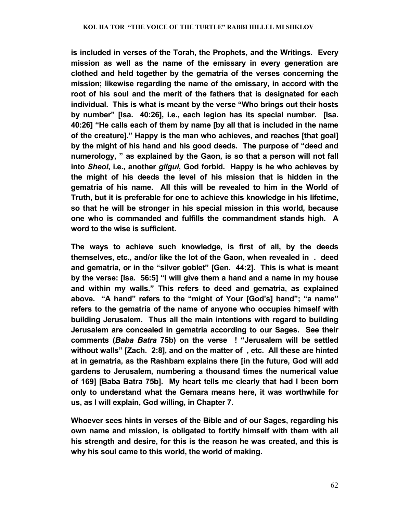**is included in verses of the Torah, the Prophets, and the Writings. Every mission as well as the name of the emissary in every generation are clothed and held together by the gematria of the verses concerning the mission; likewise regarding the name of the emissary, in accord with the root of his soul and the merit of the fathers that is designated for each individual. This is what is meant by the verse "Who brings out their hosts by number" [Isa. 40:26], i.e., each legion has its special number. [Isa. 40:26] "He calls each of them by name [by all that is included in the name of the creature]." Happy is the man who achieves, and reaches [that goal] by the might of his hand and his good deeds. The purpose of "deed and numerology, " as explained by the Gaon, is so that a person will not fall into** *Sheol***, i.e., another** *gilgul***, God forbid. Happy is he who achieves by the might of his deeds the level of his mission that is hidden in the gematria of his name. All this will be revealed to him in the World of Truth, but it is preferable for one to achieve this knowledge in his lifetime, so that he will be stronger in his special mission in this world, because one who is commanded and fulfills the commandment stands high. A word to the wise is sufficient.** 

 **The ways to achieve such knowledge, is first of all, by the deeds themselves, etc., and/or like the lot of the Gaon, when revealed in . deed and gematria, or in the "silver goblet" [Gen. 44:2]. This is what is meant by the verse: [Isa. 56:5] "I will give them a hand and a name in my house and within my walls." This refers to deed and gematria, as explained above. "A hand" refers to the "might of Your [God's] hand"; "a name" refers to the gematria of the name of anyone who occupies himself with building Jerusalem. Thus all the main intentions with regard to building Jerusalem are concealed in gematria according to our Sages. See their comments (***Baba Batra* **75b) on the verse ! "Jerusalem will be settled without walls" [Zach. 2:8], and on the matter of , etc. All these are hinted at in gematria, as the Rashbam explains there [in the future, God will add gardens to Jerusalem, numbering a thousand times the numerical value of 169] [Baba Batra 75b]. My heart tells me clearly that had I been born only to understand what the Gemara means here, it was worthwhile for us, as I will explain, God willing, in Chapter 7.**

 **Whoever sees hints in verses of the Bible and of our Sages, regarding his own name and mission, is obligated to fortify himself with them with all his strength and desire, for this is the reason he was created, and this is why his soul came to this world, the world of making.**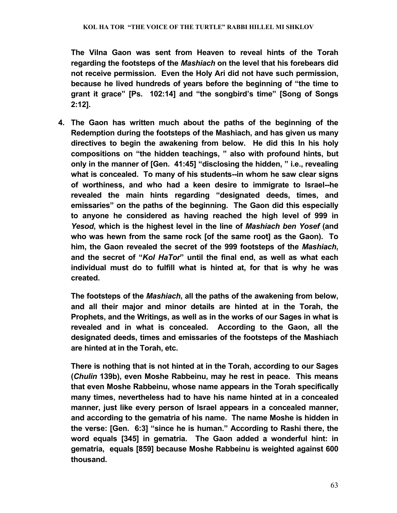**The Vilna Gaon was sent from Heaven to reveal hints of the Torah regarding the footsteps of the** *Mashiach* **on the level that his forebears did not receive permission. Even the Holy Ari did not have such permission, because he lived hundreds of years before the beginning of "the time to grant it grace" [Ps. 102:14] and "the songbird's time" [Song of Songs 2:12].** 

**4. The Gaon has written much about the paths of the beginning of the Redemption during the footsteps of the Mashiach, and has given us many directives to begin the awakening from below. He did this In his holy compositions on "the hidden teachings, " also with profound hints, but only in the manner of [Gen. 41:45] "disclosing the hidden, " i.e., revealing what is concealed. To many of his students--in whom he saw clear signs of worthiness, and who had a keen desire to immigrate to Israel--he revealed the main hints regarding "designated deeds, times, and emissaries" on the paths of the beginning. The Gaon did this especially to anyone he considered as having reached the high level of 999 in**  *Yesod***, which is the highest level in the line of** *Mashiach ben Yosef* **(and who was hewn from the same rock [of the same root] as the Gaon). To him, the Gaon revealed the secret of the 999 footsteps of the** *Mashiach***, and the secret of "***Kol HaTor***" until the final end, as well as what each individual must do to fulfill what is hinted at, for that is why he was created.** 

 **The footsteps of the** *Mashiach***, all the paths of the awakening from below, and all their major and minor details are hinted at in the Torah, the Prophets, and the Writings, as well as in the works of our Sages in what is revealed and in what is concealed. According to the Gaon, all the designated deeds, times and emissaries of the footsteps of the Mashiach are hinted at in the Torah, etc.**

 **There is nothing that is not hinted at in the Torah, according to our Sages (***Chulin* **139b), even Moshe Rabbeinu, may he rest in peace. This means that even Moshe Rabbeinu, whose name appears in the Torah specifically many times, nevertheless had to have his name hinted at in a concealed manner, just like every person of Israel appears in a concealed manner, and according to the gematria of his name. The name Moshe is hidden in the verse: [Gen. 6:3] "since he is human." According to Rashi there, the word equals [345] in gematria. The Gaon added a wonderful hint: in gematria, equals [859] because Moshe Rabbeinu is weighted against 600 thousand.**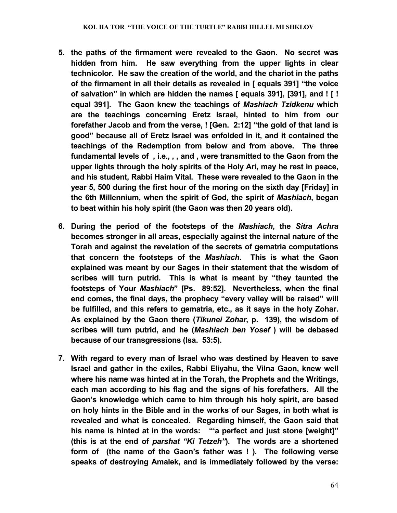- **5. the paths of the firmament were revealed to the Gaon. No secret was hidden from him. He saw everything from the upper lights in clear technicolor. He saw the creation of the world, and the chariot in the paths of the firmament in all their details as revealed in [ equals 391] "the voice of salvation" in which are hidden the names [ equals 391], [391], and ! [ ! equal 391]. The Gaon knew the teachings of** *Mashiach Tzidkenu* **which are the teachings concerning Eretz Israel, hinted to him from our forefather Jacob and from the verse, ! [Gen. 2:12] "the gold of that land is good" because all of Eretz Israel was enfolded in it, and it contained the teachings of the Redemption from below and from above. The three fundamental levels of , i.e., , , and , were transmitted to the Gaon from the upper lights through the holy spirits of the Holy Ari, may he rest in peace, and his student, Rabbi Haim Vital. These were revealed to the Gaon in the year 5, 500 during the first hour of the moring on the sixth day [Friday] in the 6th Millennium, when the spirit of God, the spirit of** *Mashiach***, began to beat within his holy spirit (the Gaon was then 20 years old).**
- **6. During the period of the footsteps of the** *Mashiach***, the** *Sitra Achra*  **becomes stronger in all areas, especially against the internal nature of the Torah and against the revelation of the secrets of gematria computations that concern the footsteps of the** *Mashiach***. This is what the Gaon explained was meant by our Sages in their statement that the wisdom of scribes will turn putrid. This is what is meant by "they taunted the footsteps of Your** *Mashiach***" [Ps. 89:52]. Nevertheless, when the final end comes, the final days, the prophecy "every valley will be raised" will be fulfilled, and this refers to gematria, etc., as it says in the holy Zohar. As explained by the Gaon there (***Tikunei Zohar***, p. 139), the wisdom of scribes will turn putrid, and he (***Mashiach ben Yosef* **) will be debased because of our transgressions (Isa. 53:5).**
- **7. With regard to every man of Israel who was destined by Heaven to save Israel and gather in the exiles, Rabbi Eliyahu, the Vilna Gaon, knew well where his name was hinted at in the Torah, the Prophets and the Writings, each man according to his flag and the signs of his forefathers. All the Gaon's knowledge which came to him through his holy spirit, are based on holy hints in the Bible and in the works of our Sages, in both what is revealed and what is concealed. Regarding himself, the Gaon said that his name is hinted at in the words: "'a perfect and just stone [weight]" (this is at the end of** *parshat "Ki Tetzeh"***). The words are a shortened form of (the name of the Gaon's father was ! ). The following verse speaks of destroying Amalek, and is immediately followed by the verse:**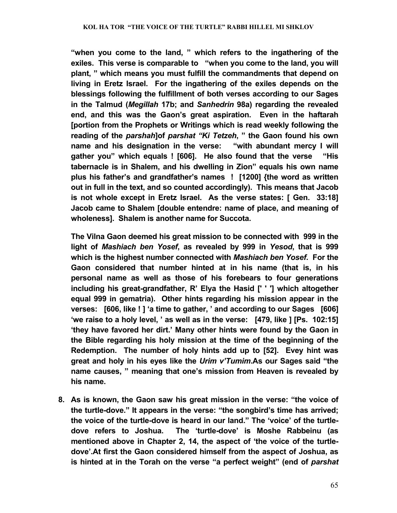**"when you come to the land, " which refers to the ingathering of the exiles. This verse is comparable to "when you come to the land, you will plant, " which means you must fulfill the commandments that depend on living in Eretz Israel. For the ingathering of the exiles depends on the blessings following the fulfillment of both verses according to our Sages in the Talmud (***Megillah* **17b; and** *Sanhedrin* **98a) regarding the revealed end, and this was the Gaon's great aspiration. Even in the haftarah [portion from the Prophets or Writings which is read weekly following the reading of the** *parshah***]of** *parshat "Ki Tetzeh***, " the Gaon found his own name and his designation in the verse: "with abundant mercy I will gather you" which equals ! [606]. He also found that the verse "His tabernacle is in Shalem, and his dwelling in Zion" equals his own name plus his father's and grandfather's names ! [1200] {the word as written out in full in the text, and so counted accordingly). This means that Jacob is not whole except in Eretz Israel. As the verse states: [ Gen. 33:18] Jacob came to Shalem [double entendre: name of place, and meaning of wholeness]. Shalem is another name for Succota.** 

 **The Vilna Gaon deemed his great mission to be connected with 999 in the light of** *Mashiach ben Yosef***, as revealed by 999 in** *Yesod***, that is 999 which is the highest number connected with** *Mashiach ben Yosef***. For the Gaon considered that number hinted at in his name (that is, in his personal name as well as those of his forebears to four generations including his great-grandfather, R' Elya the Hasid [' ' '] which altogether equal 999 in gematria). Other hints regarding his mission appear in the verses: [606, like ! ] 'a time to gather, ' and according to our Sages [606] 'we raise to a holy level, ' as well as in the verse: [479, like ] [Ps. 102:15] 'they have favored her dirt.' Many other hints were found by the Gaon in the Bible regarding his holy mission at the time of the beginning of the Redemption. The number of holy hints add up to [52]. Evey hint was great and holy in his eyes like the** *Urim v'Tumim***.As our Sages said "the name causes, " meaning that one's mission from Heaven is revealed by his name.** 

**8. As is known, the Gaon saw his great mission in the verse: "the voice of the turtle-dove." It appears in the verse: "the songbird's time has arrived; the voice of the turtle-dove is heard in our land." The 'voice' of the turtledove refers to Joshua. The 'turtle-dove' is Moshe Rabbeinu (as mentioned above in Chapter 2, 14, the aspect of 'the voice of the turtledove'.At first the Gaon considered himself from the aspect of Joshua, as is hinted at in the Torah on the verse "a perfect weight" (end of** *parshat*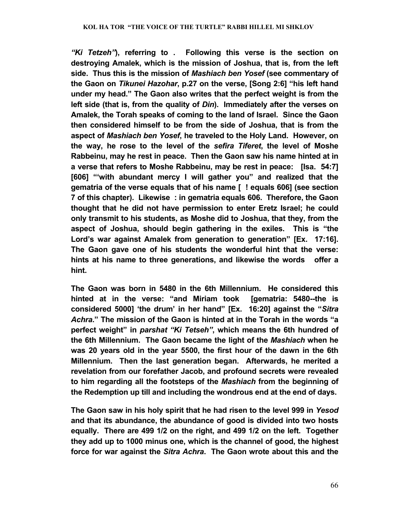*"Ki Tetzeh"***), referring to . Following this verse is the section on destroying Amalek, which is the mission of Joshua, that is, from the left side. Thus this is the mission of** *Mashiach ben Yosef* **(see commentary of the Gaon on** *Tikunei Hazohar***, p.27 on the verse, [Song 2:6] "his left hand under my head." The Gaon also writes that the perfect weight is from the left side (that is, from the quality of** *Din***). Immediately after the verses on Amalek, the Torah speaks of coming to the land of Israel. Since the Gaon then considered himself to be from the side of Joshua, that is from the aspect of** *Mashiach ben Yosef***, he traveled to the Holy Land. However, on the way, he rose to the level of the** *sefira Tiferet***, the level of Moshe Rabbeinu, may he rest in peace. Then the Gaon saw his name hinted at in a verse that refers to Moshe Rabbeinu, may be rest in peace: [Isa. 54:7] [606] "'with abundant mercy I will gather you" and realized that the gematria of the verse equals that of his name [ ! equals 606] (see section 7 of this chapter). Likewise : in gematria equals 606. Therefore, the Gaon thought that he did not have permission to enter Eretz Israel; he could only transmit to his students, as Moshe did to Joshua, that they, from the aspect of Joshua, should begin gathering in the exiles. This is "the Lord's war against Amalek from generation to generation" [Ex. 17:16]. The Gaon gave one of his students the wonderful hint that the verse: hints at his name to three generations, and likewise the words offer a hint.**

 **The Gaon was born in 5480 in the 6th Millennium. He considered this hinted at in the verse: "and Miriam took [gematria: 5480--the is considered 5000] 'the drum' in her hand" [Ex. 16:20] against the "***Sitra Achra***." The mission of the Gaon is hinted at in the Torah in the words "a perfect weight" in** *parshat "Ki Tetseh"***, which means the 6th hundred of the 6th Millennium. The Gaon became the light of the** *Mashiach* **when he was 20 years old in the year 5500, the first hour of the dawn in the 6th Millennium. Then the last generation began. Afterwards, he merited a revelation from our forefather Jacob, and profound secrets were revealed to him regarding all the footsteps of the** *Mashiach* **from the beginning of the Redemption up till and including the wondrous end at the end of days.** 

 **The Gaon saw in his holy spirit that he had risen to the level 999 in** *Yesod*  **and that its abundance, the abundance of good is divided into two hosts equally. There are 499 1/2 on the right, and 499 1/2 on the left. Together they add up to 1000 minus one, which is the channel of good, the highest force for war against the** *Sitra Achra***. The Gaon wrote about this and the**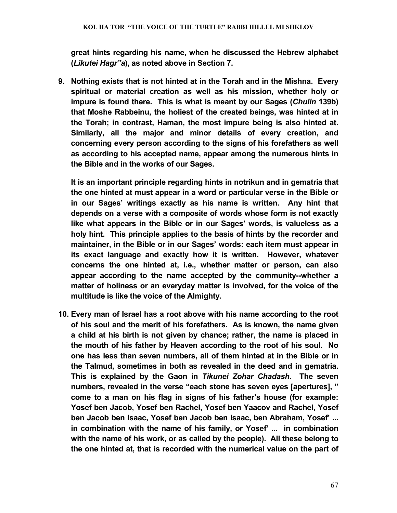**great hints regarding his name, when he discussed the Hebrew alphabet (***Likutei Hagr"a***), as noted above in Section 7.** 

**9. Nothing exists that is not hinted at in the Torah and in the Mishna. Every spiritual or material creation as well as his mission, whether holy or impure is found there. This is what is meant by our Sages (***Chulin* **139b) that Moshe Rabbeinu, the holiest of the created beings, was hinted at in the Torah; in contrast, Haman, the most impure being is also hinted at. Similarly, all the major and minor details of every creation, and concerning every person according to the signs of his forefathers as well as according to his accepted name, appear among the numerous hints in the Bible and in the works of our Sages.**

 **It is an important principle regarding hints in notrikun and in gematria that the one hinted at must appear in a word or particular verse in the Bible or in our Sages' writings exactly as his name is written. Any hint that depends on a verse with a composite of words whose form is not exactly like what appears in the Bible or in our Sages' words, is valueless as a holy hint. This principle applies to the basis of hints by the recorder and maintainer, in the Bible or in our Sages' words: each item must appear in its exact language and exactly how it is written. However, whatever concerns the one hinted at, i.e., whether matter or person, can also appear according to the name accepted by the community--whether a matter of holiness or an everyday matter is involved, for the voice of the multitude is like the voice of the Almighty.**

**10. Every man of Israel has a root above with his name according to the root of his soul and the merit of his forefathers. As is known, the name given a child at his birth is not given by chance; rather, the name is placed in the mouth of his father by Heaven according to the root of his soul. No one has less than seven numbers, all of them hinted at in the Bible or in the Talmud, sometimes in both as revealed in the deed and in gematria. This is explained by the Gaon in** *Tikunei Zohar Chadash***. The seven numbers, revealed in the verse "each stone has seven eyes [apertures], " come to a man on his flag in signs of his father's house (for example: Yosef ben Jacob, Yosef ben Rachel, Yosef ben Yaacov and Rachel, Yosef ben Jacob ben Isaac, Yosef ben Jacob ben Isaac, ben Abraham, Yosef' ... in combination with the name of his family, or Yosef' ... in combination with the name of his work, or as called by the people). All these belong to the one hinted at, that is recorded with the numerical value on the part of**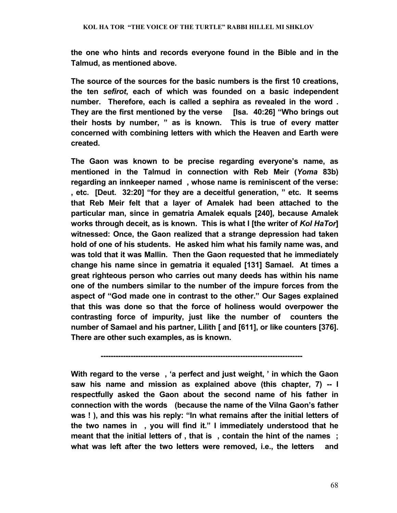**the one who hints and records everyone found in the Bible and in the Talmud, as mentioned above.**

 **The source of the sources for the basic numbers is the first 10 creations, the ten** *sefirot***, each of which was founded on a basic independent number. Therefore, each is called a sephira as revealed in the word . They are the first mentioned by the verse [Isa. 40:26] "Who brings out their hosts by number, " as is known. This is true of every matter concerned with combining letters with which the Heaven and Earth were created.**

 **The Gaon was known to be precise regarding everyone's name, as mentioned in the Talmud in connection with Reb Meir (***Yoma* **83b) regarding an innkeeper named , whose name is reminiscent of the verse: , etc. [Deut. 32:20] "for they are a deceitful generation, " etc. It seems that Reb Meir felt that a layer of Amalek had been attached to the particular man, since in gematria Amalek equals [240], because Amalek works through deceit, as is known. This is what I [the writer of** *Kol HaTor***] witnessed: Once, the Gaon realized that a strange depression had taken hold of one of his students. He asked him what his family name was, and was told that it was Mallin. Then the Gaon requested that he immediately change his name since in gematria it equaled [131] Samael. At times a great righteous person who carries out many deeds has within his name one of the numbers similar to the number of the impure forces from the aspect of "God made one in contrast to the other." Our Sages explained that this was done so that the force of holiness would overpower the contrasting force of impurity, just like the number of counters the number of Samael and his partner, Lilith [ and [611], or like counters [376]. There are other such examples, as is known.**

 **With regard to the verse , 'a perfect and just weight, ' in which the Gaon saw his name and mission as explained above (this chapter, 7) -- I respectfully asked the Gaon about the second name of his father in connection with the words (because the name of the Vilna Gaon's father was ! ), and this was his reply: "In what remains after the initial letters of the two names in , you will find it." I immediately understood that he meant that the initial letters of , that is , contain the hint of the names ; what was left after the two letters were removed, i.e., the letters and** 

 **---------------------------------------------------------------------------------**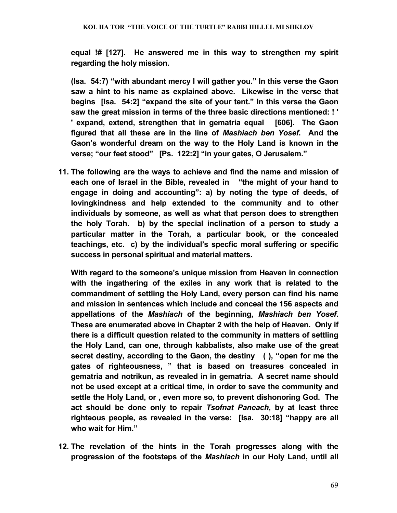**equal !# [127]. He answered me in this way to strengthen my spirit regarding the holy mission.**

 **(Isa. 54:7) "with abundant mercy I will gather you." In this verse the Gaon saw a hint to his name as explained above. Likewise in the verse that begins [Isa. 54:2] "expand the site of your tent." In this verse the Gaon saw the great mission in terms of the three basic directions mentioned: ! ' ' expand, extend, strengthen that in gematria equal [606]. The Gaon figured that all these are in the line of** *Mashiach ben Yosef***. And the Gaon's wonderful dream on the way to the Holy Land is known in the verse; "our feet stood" [Ps. 122:2] "in your gates, O Jerusalem."** 

**11. The following are the ways to achieve and find the name and mission of each one of Israel in the Bible, revealed in "the might of your hand to engage in doing and accounting": a) by noting the type of deeds, of lovingkindness and help extended to the community and to other individuals by someone, as well as what that person does to strengthen the holy Torah. b) by the special inclination of a person to study a particular matter in the Torah, a particular book, or the concealed teachings, etc. c) by the individual's specfic moral suffering or specific success in personal spiritual and material matters.**

 **With regard to the someone's unique mission from Heaven in connection with the ingathering of the exiles in any work that is related to the commandment of settling the Holy Land, every person can find his name and mission in sentences which include and conceal the 156 aspects and appellations of the** *Mashiach* **of the beginning,** *Mashiach ben Yosef***. These are enumerated above in Chapter 2 with the help of Heaven. Only if there is a difficult question related to the community in matters of settling the Holy Land, can one, through kabbalists, also make use of the great secret destiny, according to the Gaon, the destiny ( ), "open for me the gates of righteousness, " that is based on treasures concealed in gematria and notrikun, as revealed in in gematria. A secret name should not be used except at a critical time, in order to save the community and settle the Holy Land, or , even more so, to prevent dishonoring God. The act should be done only to repair** *Tsofnat Paneach***, by at least three righteous people, as revealed in the verse: [Isa. 30:18] "happy are all who wait for Him."** 

**12. The revelation of the hints in the Torah progresses along with the progression of the footsteps of the** *Mashiach* **in our Holy Land, until all**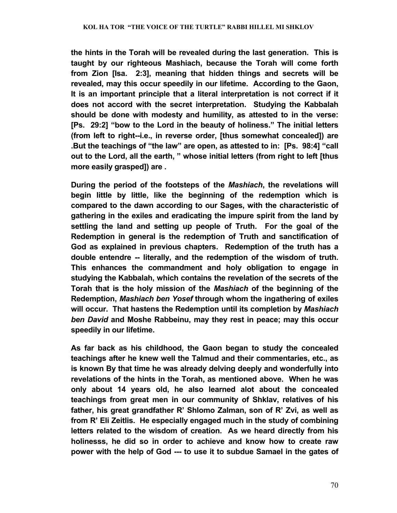**the hints in the Torah will be revealed during the last generation. This is taught by our righteous Mashiach, because the Torah will come forth from Zion [Isa. 2:3], meaning that hidden things and secrets will be revealed, may this occur speedily in our lifetime. According to the Gaon, It is an important principle that a literal interpretation is not correct if it does not accord with the secret interpretation. Studying the Kabbalah should be done with modesty and humility, as attested to in the verse: [Ps. 29:2] "bow to the Lord in the beauty of holiness." The initial letters (from left to right--i.e., in reverse order, [thus somewhat concealed]) are .But the teachings of "the law" are open, as attested to in: [Ps. 98:4] "call out to the Lord, all the earth, " whose initial letters (from right to left [thus more easily grasped]) are .**

 **During the period of the footsteps of the** *Mashiach***, the revelations will begin little by little, like the beginning of the redemption which is compared to the dawn according to our Sages, with the characteristic of gathering in the exiles and eradicating the impure spirit from the land by settling the land and setting up people of Truth. For the goal of the Redemption in general is the redemption of Truth and sanctification of God as explained in previous chapters. Redemption of the truth has a double entendre -- literally, and the redemption of the wisdom of truth. This enhances the commandment and holy obligation to engage in studying the Kabbalah, which contains the revelation of the secrets of the Torah that is the holy mission of the** *Mashiach* **of the beginning of the Redemption,** *Mashiach ben Yosef* **through whom the ingathering of exiles will occur. That hastens the Redemption until its completion by** *Mashiach ben David* **and Moshe Rabbeinu, may they rest in peace; may this occur speedily in our lifetime.** 

 **As far back as his childhood, the Gaon began to study the concealed teachings after he knew well the Talmud and their commentaries, etc., as is known By that time he was already delving deeply and wonderfully into revelations of the hints in the Torah, as mentioned above. When he was only about 14 years old, he also learned alot about the concealed teachings from great men in our community of Shklav, relatives of his father, his great grandfather R' Shlomo Zalman, son of R' Zvi, as well as from R' Eli Zeitlis. He especially engaged much in the study of combining letters related to the wisdom of creation. As we heard directly from his holinesss, he did so in order to achieve and know how to create raw power with the help of God --- to use it to subdue Samael in the gates of**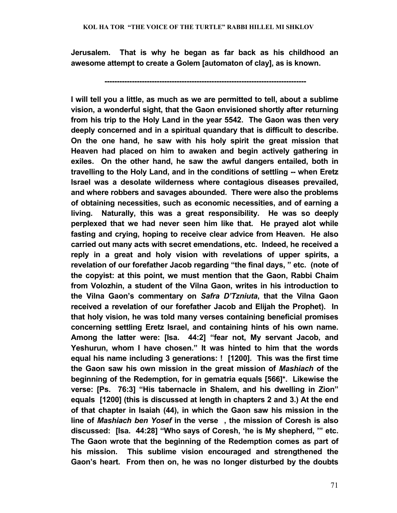**Jerusalem. That is why he began as far back as his childhood an awesome attempt to create a Golem [automaton of clay], as is known.** 

 **---------------------------------------------------------------------------------**

 **I will tell you a little, as much as we are permitted to tell, about a sublime vision, a wonderful sight, that the Gaon envisioned shortly after returning from his trip to the Holy Land in the year 5542. The Gaon was then very deeply concerned and in a spiritual quandary that is difficult to describe. On the one hand, he saw with his holy spirit the great mission that Heaven had placed on him to awaken and begin actively gathering in exiles. On the other hand, he saw the awful dangers entailed, both in travelling to the Holy Land, and in the conditions of settling -- when Eretz Israel was a desolate wilderness where contagious diseases prevailed, and where robbers and savages abounded. There were also the problems of obtaining necessities, such as economic necessities, and of earning a living. Naturally, this was a great responsibility. He was so deeply perplexed that we had never seen him like that. He prayed alot while fasting and crying, hoping to receive clear advice from Heaven. He also carried out many acts with secret emendations, etc. Indeed, he received a reply in a great and holy vision with revelations of upper spirits, a revelation of our forefather Jacob regarding "the final days, " etc. (note of the copyist: at this point, we must mention that the Gaon, Rabbi Chaim from Volozhin, a student of the Vilna Gaon, writes in his introduction to the Vilna Gaon's commentary on** *Safra D'Tzniuta***, that the Vilna Gaon received a revelation of our forefather Jacob and Elijah the Prophet). In that holy vision, he was told many verses containing beneficial promises concerning settling Eretz Israel, and containing hints of his own name. Among the latter were: [Isa. 44:2] "fear not, My servant Jacob, and Yeshurun, whom I have chosen." It was hinted to him that the words equal his name including 3 generations: ! [1200]. This was the first time the Gaon saw his own mission in the great mission of** *Mashiach* **of the beginning of the Redemption, for in gematria equals [566]\*. Likewise the verse: [Ps. 76:3] "His tabernacle in Shalem, and his dwelling in Zion" equals [1200] (this is discussed at length in chapters 2 and 3.) At the end of that chapter in Isaiah (44), in which the Gaon saw his mission in the line of** *Mashiach ben Yosef* **in the verse , the mission of Coresh is also discussed: [Isa. 44:28] "Who says of Coresh, 'he is My shepherd, '" etc. The Gaon wrote that the beginning of the Redemption comes as part of his mission. This sublime vision encouraged and strengthened the Gaon's heart. From then on, he was no longer disturbed by the doubts**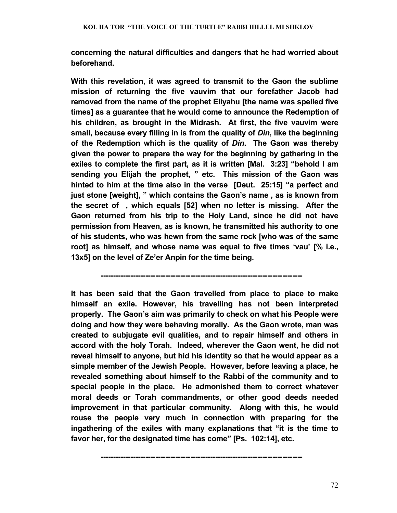**concerning the natural difficulties and dangers that he had worried about beforehand.** 

 **With this revelation, it was agreed to transmit to the Gaon the sublime mission of returning the five vauvim that our forefather Jacob had removed from the name of the prophet Eliyahu [the name was spelled five times] as a guarantee that he would come to announce the Redemption of his children, as brought in the Midrash. At first, the five vauvim were small, because every filling in is from the quality of** *Din***, like the beginning of the Redemption which is the quality of** *Din***. The Gaon was thereby given the power to prepare the way for the beginning by gathering in the exiles to complete the first part, as it is written [Mal. 3:23] "behold I am sending you Elijah the prophet, " etc. This mission of the Gaon was hinted to him at the time also in the verse [Deut. 25:15] "a perfect and just stone [weight], " which contains the Gaon's name , as is known from the secret of , which equals [52] when no letter is missing. After the Gaon returned from his trip to the Holy Land, since he did not have permission from Heaven, as is known, he transmitted his authority to one of his students, who was hewn from the same rock [who was of the same root] as himself, and whose name was equal to five times 'vau' [% i.e., 13x5] on the level of Ze'er Anpin for the time being.** 

 **---------------------------------------------------------------------------------**

 **It has been said that the Gaon travelled from place to place to make himself an exile. However, his travelling has not been interpreted properly. The Gaon's aim was primarily to check on what his People were doing and how they were behaving morally. As the Gaon wrote, man was created to subjugate evil qualities, and to repair himself and others in accord with the holy Torah. Indeed, wherever the Gaon went, he did not reveal himself to anyone, but hid his identity so that he would appear as a simple member of the Jewish People. However, before leaving a place, he revealed something about himself to the Rabbi of the community and to special people in the place. He admonished them to correct whatever moral deeds or Torah commandments, or other good deeds needed improvement in that particular community. Along with this, he would rouse the people very much in connection with preparing for the ingathering of the exiles with many explanations that "it is the time to favor her, for the designated time has come" [Ps. 102:14], etc.**

 **---------------------------------------------------------------------------------**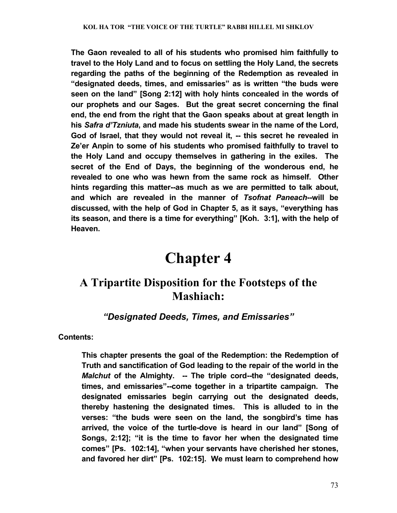**The Gaon revealed to all of his students who promised him faithfully to travel to the Holy Land and to focus on settling the Holy Land, the secrets regarding the paths of the beginning of the Redemption as revealed in "designated deeds, times, and emissaries" as is written "the buds were seen on the land" [Song 2:12] with holy hints concealed in the words of our prophets and our Sages. But the great secret concerning the final end, the end from the right that the Gaon speaks about at great length in his** *Safra d'Tzniuta***, and made his students swear in the name of the Lord, God of Israel, that they would not reveal it, -- this secret he revealed in Ze'er Anpin to some of his students who promised faithfully to travel to the Holy Land and occupy themselves in gathering in the exiles. The secret of the End of Days, the beginning of the wonderous end, he revealed to one who was hewn from the same rock as himself. Other hints regarding this matter--as much as we are permitted to talk about, and which are revealed in the manner of** *Tsofnat Paneach***--will be discussed, with the help of God in Chapter 5, as it says, "everything has its season, and there is a time for everything" [Koh. 3:1], with the help of Heaven.** 

## **Chapter 4**

## **A Tripartite Disposition for the Footsteps of the Mashiach:**

#### *"Designated Deeds, Times, and Emissaries"*

**Contents:**

 **This chapter presents the goal of the Redemption: the Redemption of Truth and sanctification of God leading to the repair of the world in the**  *Malchut* **of the Almighty. -- The triple cord--the "designated deeds, times, and emissaries"--come together in a tripartite campaign. The designated emissaries begin carrying out the designated deeds, thereby hastening the designated times. This is alluded to in the verses: "the buds were seen on the land, the songbird's time has arrived, the voice of the turtle-dove is heard in our land" [Song of Songs, 2:12]; "it is the time to favor her when the designated time comes" [Ps. 102:14], "when your servants have cherished her stones, and favored her dirt" [Ps. 102:15]. We must learn to comprehend how**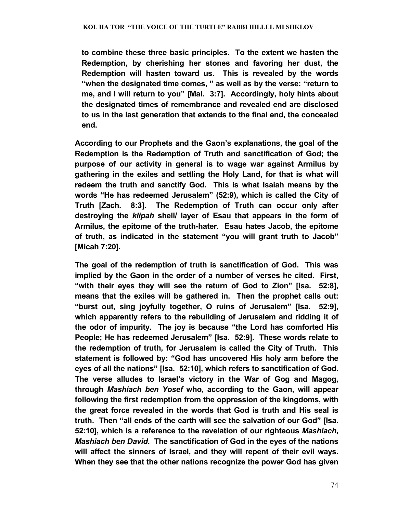**to combine these three basic principles. To the extent we hasten the Redemption, by cherishing her stones and favoring her dust, the Redemption will hasten toward us. This is revealed by the words "when the designated time comes, " as well as by the verse: "return to me, and I will return to you" [Mal. 3:7]. Accordingly, holy hints about the designated times of remembrance and revealed end are disclosed to us in the last generation that extends to the final end, the concealed end.**

 **According to our Prophets and the Gaon's explanations, the goal of the Redemption is the Redemption of Truth and sanctification of God; the purpose of our activity in general is to wage war against Armilus by gathering in the exiles and settling the Holy Land, for that is what will redeem the truth and sanctify God. This is what Isaiah means by the words "He has redeemed Jerusalem" (52:9), which is called the City of Truth [Zach. 8:3]. The Redemption of Truth can occur only after destroying the** *klipah* **shell/ layer of Esau that appears in the form of Armilus, the epitome of the truth-hater. Esau hates Jacob, the epitome of truth, as indicated in the statement "you will grant truth to Jacob" [Micah 7:20].** 

 **The goal of the redemption of truth is sanctification of God. This was implied by the Gaon in the order of a number of verses he cited. First, "with their eyes they will see the return of God to Zion" [Isa. 52:8], means that the exiles will be gathered in. Then the prophet calls out: "burst out, sing joyfully together, O ruins of Jerusalem" [Isa. 52:9], which apparently refers to the rebuilding of Jerusalem and ridding it of the odor of impurity. The joy is because "the Lord has comforted His People; He has redeemed Jerusalem" [Isa. 52:9]. These words relate to the redemption of truth, for Jerusalem is called the City of Truth. This statement is followed by: "God has uncovered His holy arm before the eyes of all the nations" [Isa. 52:10], which refers to sanctification of God. The verse alludes to Israel's victory in the War of Gog and Magog, through** *Mashiach ben Yosef* **who, according to the Gaon, will appear following the first redemption from the oppression of the kingdoms, with the great force revealed in the words that God is truth and His seal is truth. Then "all ends of the earth will see the salvation of our God" [Isa. 52:10], which is a reference to the revelation of our righteous** *Mashiach***,**  *Mashiach ben David***. The sanctification of God in the eyes of the nations will affect the sinners of Israel, and they will repent of their evil ways. When they see that the other nations recognize the power God has given**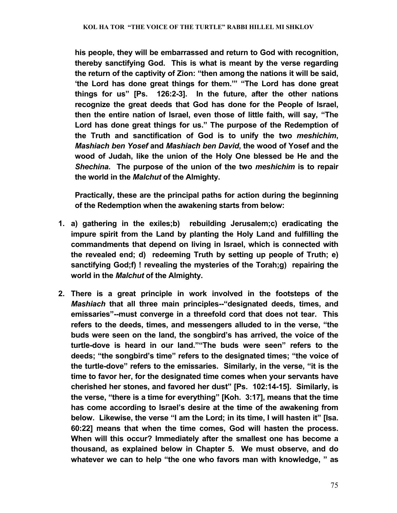**his people, they will be embarrassed and return to God with recognition, thereby sanctifying God. This is what is meant by the verse regarding the return of the captivity of Zion: "then among the nations it will be said, 'the Lord has done great things for them.'" "The Lord has done great things for us" [Ps. 126:2-3]. In the future, after the other nations recognize the great deeds that God has done for the People of Israel, then the entire nation of Israel, even those of little faith, will say, "The Lord has done great things for us." The purpose of the Redemption of the Truth and sanctification of God is to unify the two** *meshichim***,**  *Mashiach ben Yosef* **and** *Mashiach ben David***, the wood of Yosef and the wood of Judah, like the union of the Holy One blessed be He and the**  *Shechina***. The purpose of the union of the two** *meshichim* **is to repair the world in the** *Malchut* **of the Almighty.**

 **Practically, these are the principal paths for action during the beginning of the Redemption when the awakening starts from below:**

- **1. a) gathering in the exiles;b) rebuilding Jerusalem;c) eradicating the impure spirit from the Land by planting the Holy Land and fulfilling the commandments that depend on living in Israel, which is connected with the revealed end; d) redeeming Truth by setting up people of Truth; e) sanctifying God;f) ! revealing the mysteries of the Torah;g) repairing the world in the** *Malchut* **of the Almighty.**
- **2. There is a great principle in work involved in the footsteps of the**  *Mashiach* **that all three main principles--"designated deeds, times, and emissaries"--must converge in a threefold cord that does not tear. This refers to the deeds, times, and messengers alluded to in the verse, "the buds were seen on the land, the songbird's has arrived, the voice of the turtle-dove is heard in our land.""The buds were seen" refers to the deeds; "the songbird's time" refers to the designated times; "the voice of the turtle-dove" refers to the emissaries. Similarly, in the verse, "it is the time to favor her, for the designated time comes when your servants have cherished her stones, and favored her dust" [Ps. 102:14-15]. Similarly, is the verse, "there is a time for everything" [Koh. 3:17], means that the time has come according to Israel's desire at the time of the awakening from below. Likewise, the verse "I am the Lord; in its time, I will hasten it" [Isa. 60:22] means that when the time comes, God will hasten the process. When will this occur? Immediately after the smallest one has become a thousand, as explained below in Chapter 5. We must observe, and do whatever we can to help "the one who favors man with knowledge, " as**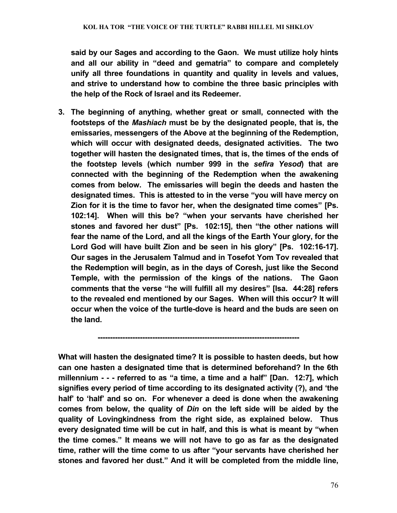**said by our Sages and according to the Gaon. We must utilize holy hints and all our ability in "deed and gematria" to compare and completely unify all three foundations in quantity and quality in levels and values, and strive to understand how to combine the three basic principles with the help of the Rock of Israel and its Redeemer.**

**3. The beginning of anything, whether great or small, connected with the footsteps of the** *Mashiach* **must be by the designated people, that is, the emissaries, messengers of the Above at the beginning of the Redemption, which will occur with designated deeds, designated activities. The two together will hasten the designated times, that is, the times of the ends of the footstep levels (which number 999 in the** *sefira Yesod***) that are connected with the beginning of the Redemption when the awakening comes from below. The emissaries will begin the deeds and hasten the designated times. This is attested to in the verse "you will have mercy on Zion for it is the time to favor her, when the designated time comes" [Ps. 102:14]. When will this be? "when your servants have cherished her stones and favored her dust" [Ps. 102:15], then "the other nations will fear the name of the Lord, and all the kings of the Earth Your glory, for the Lord God will have built Zion and be seen in his glory" [Ps. 102:16-17]. Our sages in the Jerusalem Talmud and in Tosefot Yom Tov revealed that the Redemption will begin, as in the days of Coresh, just like the Second Temple, with the permission of the kings of the nations. The Gaon comments that the verse "he will fulfill all my desires" [Isa. 44:28] refers to the revealed end mentioned by our Sages. When will this occur? It will occur when the voice of the turtle-dove is heard and the buds are seen on the land.**

**What will hasten the designated time? It is possible to hasten deeds, but how can one hasten a designated time that is determined beforehand? In the 6th millennium - - - referred to as "a time, a time and a half" [Dan. 12:7], which signifies every period of time according to its designated activity (?), and 'the half' to 'half' and so on. For whenever a deed is done when the awakening comes from below, the quality of** *Din* **on the left side will be aided by the quality of Lovingkindness from the right side, as explained below. Thus every designated time will be cut in half, and this is what is meant by "when the time comes." It means we will not have to go as far as the designated time, rather will the time come to us after "your servants have cherished her stones and favored her dust." And it will be completed from the middle line,** 

**---------------------------------------------------------------------------------**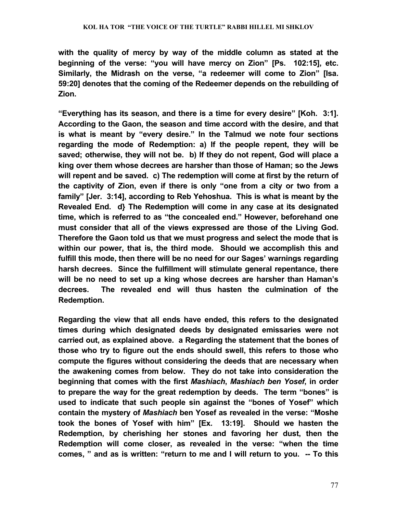**with the quality of mercy by way of the middle column as stated at the beginning of the verse: "you will have mercy on Zion" [Ps. 102:15], etc. Similarly, the Midrash on the verse, "a redeemer will come to Zion" [Isa. 59:20] denotes that the coming of the Redeemer depends on the rebuilding of Zion.**

**"Everything has its season, and there is a time for every desire" [Koh. 3:1]. According to the Gaon, the season and time accord with the desire, and that is what is meant by "every desire." In the Talmud we note four sections regarding the mode of Redemption: a) If the people repent, they will be saved; otherwise, they will not be. b) If they do not repent, God will place a king over them whose decrees are harsher than those of Haman; so the Jews will repent and be saved. c) The redemption will come at first by the return of the captivity of Zion, even if there is only "one from a city or two from a family" [Jer. 3:14], according to Reb Yehoshua. This is what is meant by the Revealed End. d} The Redemption will come in any case at its designated time, which is referred to as "the concealed end." However, beforehand one must consider that all of the views expressed are those of the Living God. Therefore the Gaon told us that we must progress and select the mode that is within our power, that is, the third mode. Should we accomplish this and fulfill this mode, then there will be no need for our Sages' warnings regarding harsh decrees. Since the fulfillment will stimulate general repentance, there will be no need to set up a king whose decrees are harsher than Haman's decrees. The revealed end will thus hasten the culmination of the Redemption.**

**Regarding the view that all ends have ended, this refers to the designated times during which designated deeds by designated emissaries were not carried out, as explained above. a Regarding the statement that the bones of those who try to figure out the ends should swell, this refers to those who compute the figures without considering the deeds that are necessary when the awakening comes from below. They do not take into consideration the beginning that comes with the first** *Mashiach***,** *Mashiach ben Yosef***, in order to prepare the way for the great redemption by deeds. The term "bones" is used to indicate that such people sin against the "bones of Yosef" which contain the mystery of** *Mashiach* **ben Yosef as revealed in the verse: "Moshe took the bones of Yosef with him" [Ex. 13:19]. Should we hasten the Redemption, by cherishing her stones and favoring her dust, then the Redemption will come closer, as revealed in the verse: "when the time comes, " and as is written: "return to me and I will return to you. -- To this**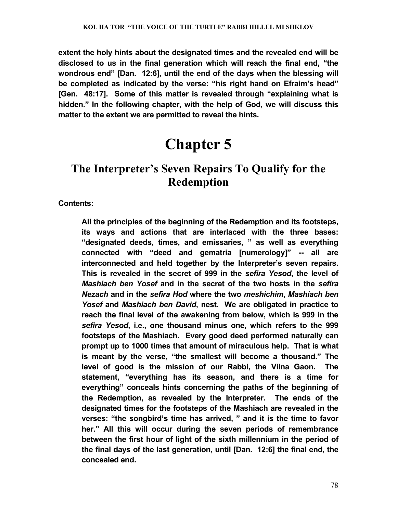**extent the holy hints about the designated times and the revealed end will be disclosed to us in the final generation which will reach the final end, "the wondrous end" [Dan. 12:6], until the end of the days when the blessing will be completed as indicated by the verse: "his right hand on Efraim's head" [Gen. 48:17]. Some of this matter is revealed through "explaining what is hidden." In the following chapter, with the help of God, we will discuss this matter to the extent we are permitted to reveal the hints.** 

## **Chapter 5**

## **The Interpreter's Seven Repairs To Qualify for the Redemption**

**Contents:**

 **All the principles of the beginning of the Redemption and its footsteps, its ways and actions that are interlaced with the three bases: "designated deeds, times, and emissaries, " as well as everything connected with "deed and gematria [numerology]" -- all are interconnected and held together by the Interpreter's seven repairs. This is revealed in the secret of 999 in the** *sefira Yesod***, the level of**  *Mashiach ben Yosef* **and in the secret of the two hosts in the** *sefira Nezach* **and in the** *sefira Hod* **where the two** *meshichim***,** *Mashiach ben Yosef* **and** *Mashiach ben David***, nest. We are obligated in practice to reach the final level of the awakening from below, which is 999 in the**  *sefira Yesod***, i.e., one thousand minus one, which refers to the 999 footsteps of the Mashiach. Every good deed performed naturally can prompt up to 1000 times that amount of miraculous help. That is what is meant by the verse, "the smallest will become a thousand." The level of good is the mission of our Rabbi, the Vilna Gaon. The statement, "everything has its season, and there is a time for everything" conceals hints concerning the paths of the beginning of the Redemption, as revealed by the Interpreter. The ends of the designated times for the footsteps of the Mashiach are revealed in the verses: "the songbird's time has arrived, " and it is the time to favor her." All this will occur during the seven periods of remembrance between the first hour of light of the sixth millennium in the period of the final days of the last generation, until [Dan. 12:6] the final end, the concealed end.**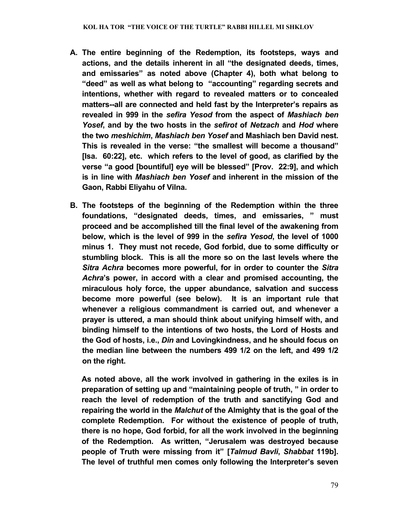- **A. The entire beginning of the Redemption, its footsteps, ways and actions, and the details inherent in all "the designated deeds, times, and emissaries" as noted above (Chapter 4), both what belong to "deed" as well as what belong to "accounting" regarding secrets and intentions, whether with regard to revealed matters or to concealed matters--all are connected and held fast by the Interpreter's repairs as revealed in 999 in the** *sefira Yesod* **from the aspect of** *Mashiach ben Yosef***, and by the two hosts in the** *sefirot* **of** *Netzach* **and** *Hod* **where the two** *meshichim***,** *Mashiach ben Yosef* **and Mashiach ben David nest. This is revealed in the verse: "the smallest will become a thousand" [Isa. 60:22], etc. which refers to the level of good, as clarified by the verse "a good [bountiful] eye will be blessed" [Prov. 22:9], and which is in line with** *Mashiach ben Yosef* **and inherent in the mission of the Gaon, Rabbi Eliyahu of Vilna.**
- **B. The footsteps of the beginning of the Redemption within the three foundations, "designated deeds, times, and emissaries, " must proceed and be accomplished till the final level of the awakening from below, which is the level of 999 in the** *sefira Yesod***, the level of 1000 minus 1. They must not recede, God forbid, due to some difficulty or stumbling block. This is all the more so on the last levels where the**  *Sitra Achra* **becomes more powerful, for in order to counter the** *Sitra Achra***'s power, in accord with a clear and promised accounting, the miraculous holy force, the upper abundance, salvation and success become more powerful (see below). It is an important rule that whenever a religious commandment is carried out, and whenever a prayer is uttered, a man should think about unifying himself with, and binding himself to the intentions of two hosts, the Lord of Hosts and the God of hosts, i.e.,** *Din* **and Lovingkindness, and he should focus on the median line between the numbers 499 1/2 on the left, and 499 1/2 on the right.**

 **As noted above, all the work involved in gathering in the exiles is in preparation of setting up and "maintaining people of truth, " in order to reach the level of redemption of the truth and sanctifying God and repairing the world in the** *Malchut* **of the Almighty that is the goal of the complete Redemption. For without the existence of people of truth, there is no hope, God forbid, for all the work involved in the beginning of the Redemption. As written, "Jerusalem was destroyed because people of Truth were missing from it" [***Talmud Bavli***,** *Shabbat* **119b]. The level of truthful men comes only following the Interpreter's seven**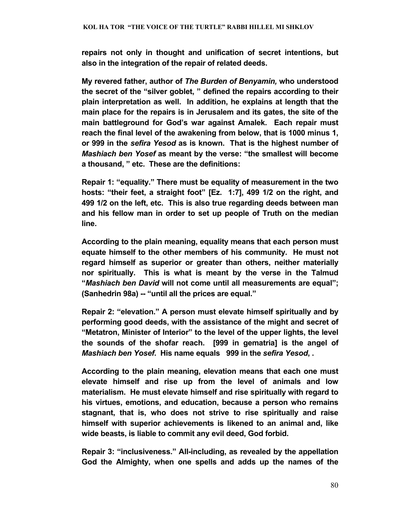**repairs not only in thought and unification of secret intentions, but also in the integration of the repair of related deeds.**

 **My revered father, author of** *The Burden of Benyamin,* **who understood the secret of the "silver goblet, " defined the repairs according to their plain interpretation as well. In addition, he explains at length that the main place for the repairs is in Jerusalem and its gates, the site of the main battleground for God's war against Amalek. Each repair must reach the final level of the awakening from below, that is 1000 minus 1, or 999 in the** *sefira Yesod* **as is known. That is the highest number of**  *Mashiach ben Yosef* **as meant by the verse: "the smallest will become a thousand, " etc. These are the definitions:**

 **Repair 1: "equality." There must be equality of measurement in the two hosts: "their feet, a straight foot" [Ez. 1:7], 499 1/2 on the right, and 499 1/2 on the left, etc. This is also true regarding deeds between man and his fellow man in order to set up people of Truth on the median line.** 

 **According to the plain meaning, equality means that each person must equate himself to the other members of his community. He must not regard himself as superior or greater than others, neither materially nor spiritually. This is what is meant by the verse in the Talmud "***Mashiach ben David* **will not come until all measurements are equal"; (Sanhedrin 98a) -- "until all the prices are equal."** 

 **Repair 2: "elevation." A person must elevate himself spiritually and by performing good deeds, with the assistance of the might and secret of "Metatron, Minister of Interior" to the level of the upper lights, the level the sounds of the shofar reach. [999 in gematria] is the angel of**  *Mashiach ben Yosef***. His name equals 999 in the** *sefira Yesod***, .**

 **According to the plain meaning, elevation means that each one must elevate himself and rise up from the level of animals and low materialism. He must elevate himself and rise spiritually with regard to his virtues, emotions, and education, because a person who remains stagnant, that is, who does not strive to rise spiritually and raise himself with superior achievements is likened to an animal and, like wide beasts, is liable to commit any evil deed, God forbid.**

 **Repair 3: "inclusiveness." All-including, as revealed by the appellation God the Almighty, when one spells and adds up the names of the**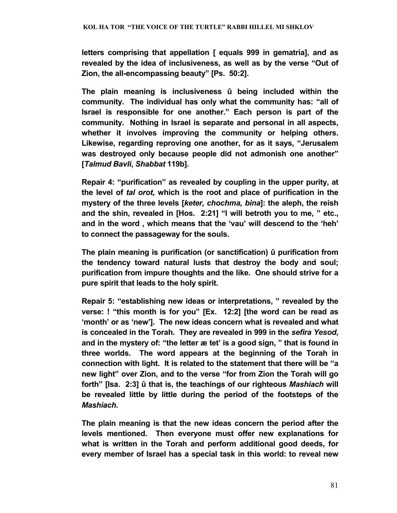**letters comprising that appellation [ equals 999 in gematria], and as revealed by the idea of inclusiveness, as well as by the verse "Out of Zion, the all-encompassing beauty" [Ps. 50:2].** 

 **The plain meaning is inclusiveness û being included within the community. The individual has only what the community has: "all of Israel is responsible for one another." Each person is part of the community. Nothing in Israel is separate and personal in all aspects, whether it involves improving the community or helping others. Likewise, regarding reproving one another, for as it says, "Jerusalem was destroyed only because people did not admonish one another" [***Talmud Bavli***,** *Shabbat* **119b].** 

 **Repair 4: "purification" as revealed by coupling in the upper purity, at the level of** *tal orot,* **which is the root and place of purification in the mystery of the three levels [***keter, chochma, bina***]: the aleph, the reish and the shin, revealed in [Hos. 2:21] "I will betroth you to me, " etc., and in the word , which means that the 'vau' will descend to the 'heh' to connect the passageway for the souls.** 

 **The plain meaning is purification (or sanctification) û purification from the tendency toward natural lusts that destroy the body and soul; purification from impure thoughts and the like. One should strive for a pure spirit that leads to the holy spirit.**

 **Repair 5: "establishing new ideas or interpretations, " revealed by the verse: ! "this month is for you" [Ex. 12:2] [the word can be read as 'month' or as 'new']. The new ideas concern what is revealed and what is concealed in the Torah. They are revealed in 999 in the** *sefira Yesod***, and in the mystery of: "the letter æ tet' is a good sign, " that is found in three worlds. The word appears at the beginning of the Torah in connection with light. It is related to the statement that there will be "a new light" over Zion, and to the verse "for from Zion the Torah will go forth" [Isa. 2:3] û that is, the teachings of our righteous** *Mashiach* **will be revealed little by little during the period of the footsteps of the**  *Mashiach***.**

 **The plain meaning is that the new ideas concern the period after the levels mentioned. Then everyone must offer new explanations for what is written in the Torah and perform additional good deeds, for every member of Israel has a special task in this world: to reveal new**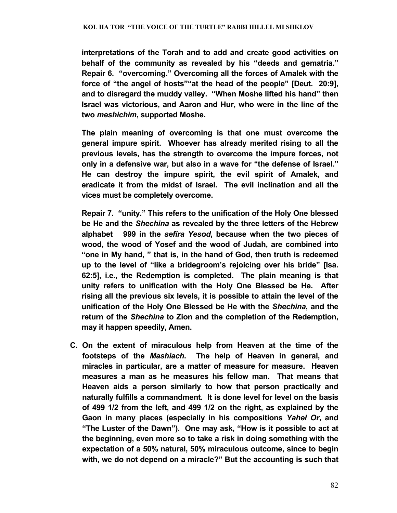**interpretations of the Torah and to add and create good activities on behalf of the community as revealed by his "deeds and gematria." Repair 6. "overcoming." Overcoming all the forces of Amalek with the force of "the angel of hosts""at the head of the people" [Deut. 20:9], and to disregard the muddy valley. "When Moshe lifted his hand" then Israel was victorious, and Aaron and Hur, who were in the line of the two** *meshichim***, supported Moshe.**

 **The plain meaning of overcoming is that one must overcome the general impure spirit. Whoever has already merited rising to all the previous levels, has the strength to overcome the impure forces, not only in a defensive war, but also in a wave for "the defense of Israel." He can destroy the impure spirit, the evil spirit of Amalek, and eradicate it from the midst of Israel. The evil inclination and all the vices must be completely overcome.**

 **Repair 7. "unity." This refers to the unification of the Holy One blessed be He and the** *Shechina* **as revealed by the three letters of the Hebrew alphabet 999 in the** *sefira Yesod***, because when the two pieces of wood, the wood of Yosef and the wood of Judah, are combined into "one in My hand, " that is, in the hand of God, then truth is redeemed up to the level of "like a bridegroom's rejoicing over his bride" [Isa. 62:5], i.e., the Redemption is completed. The plain meaning is that unity refers to unification with the Holy One Blessed be He. After rising all the previous six levels, it is possible to attain the level of the unification of the Holy One Blessed be He with the** *Shechina***, and the return of the** *Shechina* **to Zion and the completion of the Redemption, may it happen speedily, Amen.**

 **C. On the extent of miraculous help from Heaven at the time of the footsteps of the** *Mashiach***. The help of Heaven in general, and miracles in particular, are a matter of measure for measure. Heaven measures a man as he measures his fellow man. That means that Heaven aids a person similarly to how that person practically and naturally fulfills a commandment. It is done level for level on the basis of 499 1/2 from the left, and 499 1/2 on the right, as explained by the Gaon in many places (especially in his compositions** *Yahel Or***, and "The Luster of the Dawn"). One may ask, "How is it possible to act at the beginning, even more so to take a risk in doing something with the expectation of a 50% natural, 50% miraculous outcome, since to begin with, we do not depend on a miracle?" But the accounting is such that**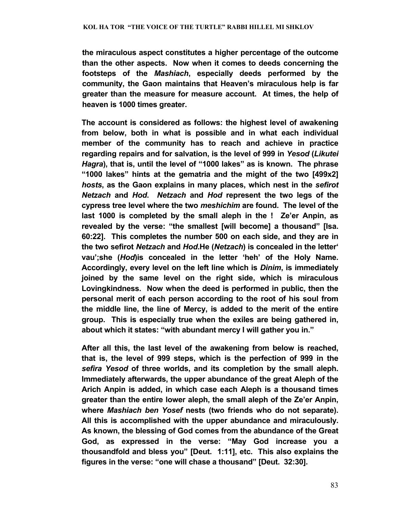**the miraculous aspect constitutes a higher percentage of the outcome than the other aspects. Now when it comes to deeds concerning the footsteps of the** *Mashiach***, especially deeds performed by the community, the Gaon maintains that Heaven's miraculous help is far greater than the measure for measure account. At times, the help of heaven is 1000 times greater.** 

 **The account is considered as follows: the highest level of awakening from below, both in what is possible and in what each individual member of the community has to reach and achieve in practice regarding repairs and for salvation, is the level of 999 in** *Yesod* **(***Likutei Hagra***), that is, until the level of "1000 lakes" as is known. The phrase "1000 lakes" hints at the gematria and the might of the two [499x2]**  *hosts***, as the Gaon explains in many places, which nest in the** *sefirot Netzach* **and** *Hod***.** *Netzach* **and** *Hod* **represent the two legs of the cypress tree level where the two** *meshichim* **are found. The level of the last 1000 is completed by the small aleph in the ! Ze'er Anpin, as revealed by the verse: "the smallest [will become] a thousand" [Isa. 60:22]. This completes the number 500 on each side, and they are in the two sefirot** *Netzach* **and** *Hod***.He (***Netzach***) is concealed in the letter' vau';she (***Hod***)is concealed in the letter 'heh' of the Holy Name. Accordingly, every level on the left line which is** *Dinim***, is immediately joined by the same level on the right side, which is miraculous Lovingkindness. Now when the deed is performed in public, then the personal merit of each person according to the root of his soul from the middle line, the line of Mercy, is added to the merit of the entire group. This is especially true when the exiles are being gathered in, about which it states: "with abundant mercy I will gather you in."**

 **After all this, the last level of the awakening from below is reached, that is, the level of 999 steps, which is the perfection of 999 in the**  *sefira Yesod* **of three worlds, and its completion by the small aleph. Immediately afterwards, the upper abundance of the great Aleph of the Arich Anpin is added, in which case each Aleph is a thousand times greater than the entire lower aleph, the small aleph of the Ze'er Anpin, where** *Mashiach ben Yosef* **nests (two friends who do not separate). All this is accomplished with the upper abundance and miraculously. As known, the blessing of God comes from the abundance of the Great God, as expressed in the verse: "May God increase you a thousandfold and bless you" [Deut. 1:11], etc. This also explains the figures in the verse: "one will chase a thousand" [Deut. 32:30].**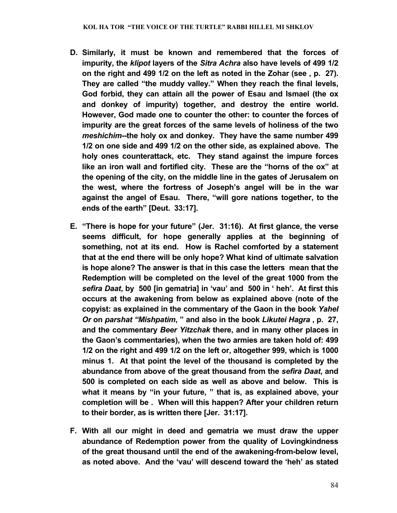- **D. Similarly, it must be known and remembered that the forces of impurity, the** *klipot* **layers of the** *Sitra Achra* **also have levels of 499 1/2 on the right and 499 1/2 on the left as noted in the Zohar (see , p. 27). They are called "the muddy valley." When they reach the final levels, God forbid, they can attain all the power of Esau and Ismael (the ox and donkey of impurity) together, and destroy the entire world. However, God made one to counter the other: to counter the forces of impurity are the great forces of the same levels of holiness of the two**  *meshichim***--the holy ox and donkey. They have the same number 499 1/2 on one side and 499 1/2 on the other side, as explained above. The holy ones counterattack, etc. They stand against the impure forces like an iron wall and fortified city. These are the "horns of the ox" at the opening of the city, on the middle line in the gates of Jerusalem on the west, where the fortress of Joseph's angel will be in the war against the angel of Esau. There, "will gore nations together, to the ends of the earth" [Deut. 33:17].**
- **E. "There is hope for your future" (Jer. 31:16). At first glance, the verse seems difficult, for hope generally applies at the beginning of something, not at its end. How is Rachel comforted by a statement that at the end there will be only hope? What kind of ultimate salvation is hope alone? The answer is that in this case the letters mean that the Redemption will be completed on the level of the great 1000 from the**  *sefira Daat***, by 500 [in gematria] in 'vau' and 500 in ' heh'. At first this occurs at the awakening from below as explained above (note of the copyist: as explained in the commentary of the Gaon in the book** *Yahel Or* **on** *parshat "Mishpatim***, " and also in the book** *Likutei Hagra* **, p. 27, and the commentary** *Beer Yitzchak* **there, and in many other places in the Gaon's commentaries), when the two armies are taken hold of: 499 1/2 on the right and 499 1/2 on the left or, altogether 999, which is 1000 minus 1. At that point the level of the thousand is completed by the abundance from above of the great thousand from the** *sefira Daat***, and 500 is completed on each side as well as above and below. This is what it means by "in your future, " that is, as explained above, your completion will be . When will this happen? After your children return to their border, as is written there [Jer. 31:17].**
- **F. With all our might in deed and gematria we must draw the upper abundance of Redemption power from the quality of Lovingkindness of the great thousand until the end of the awakening-from-below level, as noted above. And the 'vau' will descend toward the 'heh' as stated**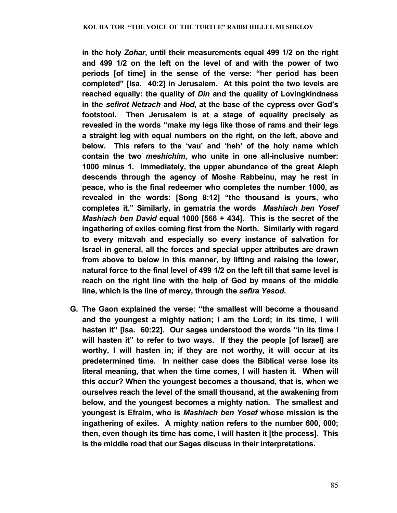**in the holy** *Zohar***, until their measurements equal 499 1/2 on the right and 499 1/2 on the left on the level of and with the power of two periods [of time] in the sense of the verse: "her period has been completed" [Isa. 40:2] in Jerusalem. At this point the two levels are reached equally: the quality of** *Din* **and the quality of Lovingkindness in the** *sefirot Netzach* **and** *Hod***, at the base of the cypress over God's footstool. Then Jerusalem is at a stage of equality precisely as revealed in the words "make my legs like those of rams and their legs a straight leg with equal numbers on the right, on the left, above and below. This refers to the 'vau' and 'heh' of the holy name which contain the two** *meshichim***, who unite in one all-inclusive number: 1000 minus 1. Immediately, the upper abundance of the great Aleph descends through the agency of Moshe Rabbeinu, may he rest in peace, who is the final redeemer who completes the number 1000, as revealed in the words: [Song 8:12] "the thousand is yours, who completes it." Similarly, in gematria the words** *Mashiach ben Yosef Mashiach ben David* **equal 1000 [566 + 434]. This is the secret of the ingathering of exiles coming first from the North. Similarly with regard to every mitzvah and especially so every instance of salvation for Israel in general, all the forces and special upper attributes are drawn from above to below in this manner, by lifting and raising the lower, natural force to the final level of 499 1/2 on the left till that same level is reach on the right line with the help of God by means of the middle line, which is the line of mercy, through the** *sefira Yesod***.** 

 **G. The Gaon explained the verse: "the smallest will become a thousand and the youngest a mighty nation; I am the Lord; in its time, I will hasten it" [Isa. 60:22]. Our sages understood the words "in its time I will hasten it" to refer to two ways. If they the people [of Israel] are worthy, I will hasten in; if they are not worthy, it will occur at its predetermined time. In neither case does the Biblical verse lose its literal meaning, that when the time comes, I will hasten it. When will this occur? When the youngest becomes a thousand, that is, when we ourselves reach the level of the small thousand, at the awakening from below, and the youngest becomes a mighty nation. The smallest and youngest is Efraim, who is** *Mashiach ben Yosef* **whose mission is the ingathering of exiles. A mighty nation refers to the number 600, 000; then, even though its time has come, I will hasten it [the process]. This is the middle road that our Sages discuss in their interpretations.**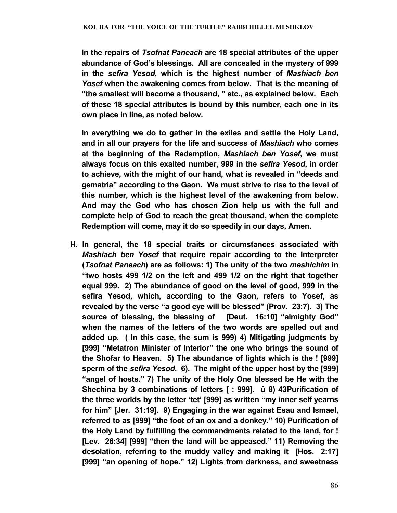**In the repairs of** *Tsofnat Paneach* **are 18 special attributes of the upper abundance of God's blessings. All are concealed in the mystery of 999 in the** *sefira Yesod***, which is the highest number of** *Mashiach ben Yosef* **when the awakening comes from below. That is the meaning of "the smallest will become a thousand, " etc., as explained below. Each of these 18 special attributes is bound by this number, each one in its own place in line, as noted below.**

 **In everything we do to gather in the exiles and settle the Holy Land, and in all our prayers for the life and success of** *Mashiach* **who comes at the beginning of the Redemption,** *Mashiach ben Yosef***, we must always focus on this exalted number, 999 in the** *sefira Yesod***, in order to achieve, with the might of our hand, what is revealed in "deeds and gematria" according to the Gaon. We must strive to rise to the level of this number, which is the highest level of the awakening from below. And may the God who has chosen Zion help us with the full and complete help of God to reach the great thousand, when the complete Redemption will come, may it do so speedily in our days, Amen.** 

 **H. In general, the 18 special traits or circumstances associated with**  *Mashiach ben Yosef* **that require repair according to the Interpreter (***Tsofnat Paneach***) are as follows: 1) The unity of the two** *meshichim* **in "two hosts 499 1/2 on the left and 499 1/2 on the right that together equal 999. 2) The abundance of good on the level of good, 999 in the sefira Yesod, which, according to the Gaon, refers to Yosef, as revealed by the verse "a good eye will be blessed" (Prov. 23:7). 3) The source of blessing, the blessing of [Deut. 16:10] "almighty God" when the names of the letters of the two words are spelled out and added up. ( In this case, the sum is 999) 4) Mitigating judgments by [999] "Metatron Minister of Interior" the one who brings the sound of the Shofar to Heaven. 5) The abundance of lights which is the ! [999] sperm of the** *sefira Yesod***. 6). The might of the upper host by the [999] "angel of hosts." 7) The unity of the Holy One blessed be He with the Shechina by 3 combinations of letters [ : 999]. û 8) 43Purification of the three worlds by the letter 'tet' [999] as written "my inner self yearns for him" [Jer. 31:19]. 9) Engaging in the war against Esau and Ismael, referred to as [999] "the foot of an ox and a donkey." 10) Purification of the Holy Land by fulfilling the commandments related to the land, for ! [Lev. 26:34] [999] "then the land will be appeased." 11) Removing the desolation, referring to the muddy valley and making it [Hos. 2:17] [999] "an opening of hope." 12) Lights from darkness, and sweetness**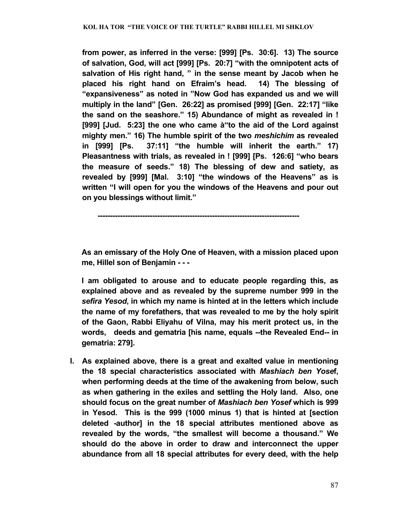**from power, as inferred in the verse: [999] [Ps. 30:6]. 13) The source of salvation, God, will act [999] [Ps. 20:7] "with the omnipotent acts of salvation of His right hand, " in the sense meant by Jacob when he placed his right hand on Efraim's head. 14) The blessing of "expansiveness" as noted in "Now God has expanded us and we will multiply in the land" [Gen. 26:22] as promised [999] [Gen. 22:17] "like the sand on the seashore." 15) Abundance of might as revealed in ! [999] [Jud. 5:23] the one who came à"to the aid of the Lord against mighty men." 16) The humble spirit of the two** *meshichim* **as revealed in [999] [Ps. 37:11] "the humble will inherit the earth." 17) Pleasantness with trials, as revealed in ! [999] [Ps. 126:6] "who bears the measure of seeds." 18) The blessing of dew and satiety, as revealed by [999] [Mal. 3:10] "the windows of the Heavens" as is written "I will open for you the windows of the Heavens and pour out on you blessings without limit."**

**---------------------------------------------------------------------------------**

 **As an emissary of the Holy One of Heaven, with a mission placed upon me, Hillel son of Benjamin - - -**

 **I am obligated to arouse and to educate people regarding this, as explained above and as revealed by the supreme number 999 in the**  *sefira Yesod***, in which my name is hinted at in the letters which include the name of my forefathers, that was revealed to me by the holy spirit of the Gaon, Rabbi Eliyahu of Vilna, may his merit protect us, in the words, deeds and gematria [his name, equals --the Revealed End-- in gematria: 279].** 

 **I. As explained above, there is a great and exalted value in mentioning the 18 special characteristics associated with** *Mashiach ben Yose***f, when performing deeds at the time of the awakening from below, such as when gathering in the exiles and settling the Holy land. Also, one should focus on the great number of** *Mashiach ben Yosef* **which is 999 in Yesod. This is the 999 (1000 minus 1) that is hinted at [section deleted -author] in the 18 special attributes mentioned above as revealed by the words, "the smallest will become a thousand." We should do the above in order to draw and interconnect the upper abundance from all 18 special attributes for every deed, with the help**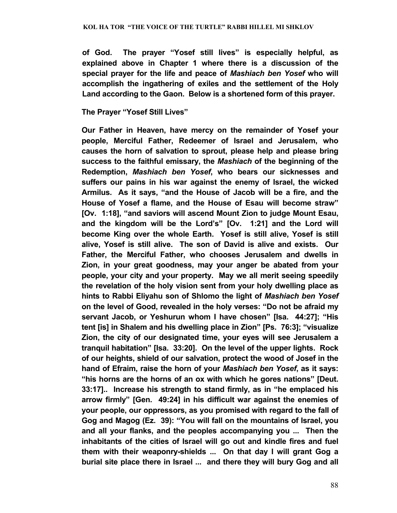**of God. The prayer "Yosef still lives" is especially helpful, as explained above in Chapter 1 where there is a discussion of the special prayer for the life and peace of** *Mashiach ben Yosef* **who will accomplish the ingathering of exiles and the settlement of the Holy Land according to the Gaon. Below is a shortened form of this prayer.**

 **The Prayer "Yosef Still Lives"** 

 **Our Father in Heaven, have mercy on the remainder of Yosef your people, Merciful Father, Redeemer of Israel and Jerusalem, who causes the horn of salvation to sprout, please help and please bring success to the faithful emissary, the** *Mashiach* **of the beginning of the Redemption,** *Mashiach ben Yosef***, who bears our sicknesses and suffers our pains in his war against the enemy of Israel, the wicked Armilus. As it says, "and the House of Jacob will be a fire, and the House of Yosef a flame, and the House of Esau will become straw" [Ov. 1:18], "and saviors will ascend Mount Zion to judge Mount Esau, and the kingdom will be the Lord's" [Ov. 1:21] and the Lord will become King over the whole Earth. Yosef is still alive, Yosef is still alive, Yosef is still alive. The son of David is alive and exists. Our Father, the Merciful Father, who chooses Jerusalem and dwells in Zion, in your great goodness, may your anger be abated from your people, your city and your property. May we all merit seeing speedily the revelation of the holy vision sent from your holy dwelling place as hints to Rabbi Eliyahu son of Shlomo the light of** *Mashiach ben Yosef*  **on the level of Good, revealed in the holy verses: "Do not be afraid my servant Jacob, or Yeshurun whom I have chosen" [Isa. 44:27]; "His tent [is] in Shalem and his dwelling place in Zion" [Ps. 76:3]; "visualize Zion, the city of our designated time, your eyes will see Jerusalem a tranquil habitation" [Isa. 33:20]. On the level of the upper lights. Rock of our heights, shield of our salvation, protect the wood of Josef in the hand of Efraim, raise the horn of your** *Mashiach ben Yosef***, as it says: "his horns are the horns of an ox with which he gores nations" [Deut. 33:17].. Increase his strength to stand firmly, as in "he emplaced his arrow firmly" [Gen. 49:24] in his difficult war against the enemies of your people, our oppressors, as you promised with regard to the fall of Gog and Magog (Ez. 39): "You will fall on the mountains of Israel, you and all your flanks, and the peoples accompanying you ... Then the inhabitants of the cities of Israel will go out and kindle fires and fuel them with their weaponry-shields ... On that day I will grant Gog a burial site place there in Israel ... and there they will bury Gog and all**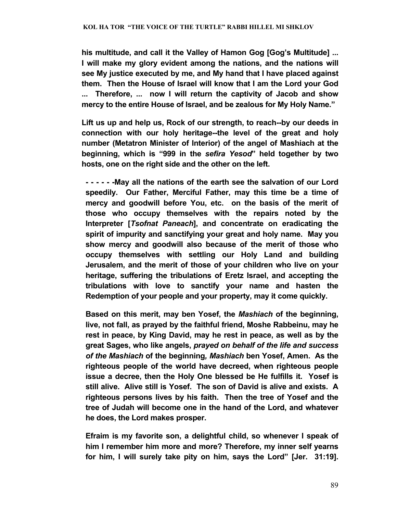**his multitude, and call it the Valley of Hamon Gog [Gog's Multitude] ... I will make my glory evident among the nations, and the nations will see My justice executed by me, and My hand that I have placed against them. Then the House of Israel will know that I am the Lord your God ... Therefore, ... now I will return the captivity of Jacob and show mercy to the entire House of Israel, and be zealous for My Holy Name."**

 **Lift us up and help us, Rock of our strength, to reach--by our deeds in connection with our holy heritage--the level of the great and holy number (Metatron Minister of Interior) of the angel of Mashiach at the beginning, which is "999 in the** *sefira Yesod***" held together by two hosts, one on the right side and the other on the left.**

 **- - - - - -May all the nations of the earth see the salvation of our Lord speedily. Our Father, Merciful Father, may this time be a time of mercy and goodwill before You, etc. on the basis of the merit of those who occupy themselves with the repairs noted by the Interpreter [***Tsofnat Paneach***], and concentrate on eradicating the spirit of impurity and sanctifying your great and holy name. May you show mercy and goodwill also because of the merit of those who occupy themselves with settling our Holy Land and building Jerusalem, and the merit of those of your children who live on your heritage, suffering the tribulations of Eretz Israel, and accepting the tribulations with love to sanctify your name and hasten the Redemption of your people and your property, may it come quickly.** 

 **Based on this merit, may ben Yosef, the** *Mashiach* **of the beginning, live, not fall, as prayed by the faithful friend, Moshe Rabbeinu, may he rest in peace, by King David, may he rest in peace, as well as by the great Sages, who like angels,** *prayed on behalf of the life and success of the Mashiach* **of the beginning***, Mashiach* **ben Yosef, Amen. As the righteous people of the world have decreed, when righteous people issue a decree, then the Holy One blessed be He fulfills it. Yosef is still alive. Alive still is Yosef. The son of David is alive and exists. A righteous persons lives by his faith. Then the tree of Yosef and the tree of Judah will become one in the hand of the Lord, and whatever he does, the Lord makes prosper.** 

 **Efraim is my favorite son, a delightful child, so whenever I speak of him I remember him more and more? Therefore, my inner self yearns for him, I will surely take pity on him, says the Lord" [Jer. 31:19].**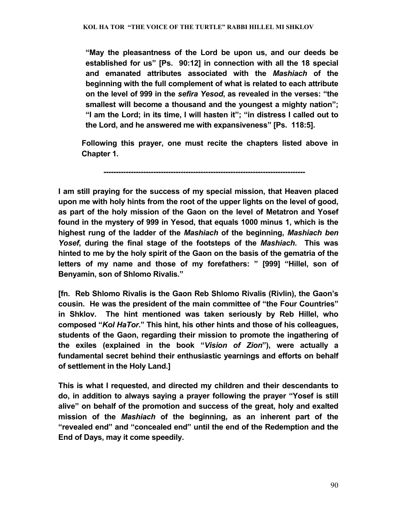**"May the pleasantness of the Lord be upon us, and our deeds be established for us" [Ps. 90:12] in connection with all the 18 special and emanated attributes associated with the** *Mashiach* **of the beginning with the full complement of what is related to each attribute on the level of 999 in the** *sefira Yesod***, as revealed in the verses: "the smallest will become a thousand and the youngest a mighty nation"; "I am the Lord; in its time, I will hasten it"; "in distress I called out to the Lord, and he answered me with expansiveness" [Ps. 118:5].**

 **Following this prayer, one must recite the chapters listed above in Chapter 1.**

 **---------------------------------------------------------------------------------**

**I am still praying for the success of my special mission, that Heaven placed upon me with holy hints from the root of the upper lights on the level of good, as part of the holy mission of the Gaon on the level of Metatron and Yosef found in the mystery of 999 in Yesod, that equals 1000 minus 1, which is the highest rung of the ladder of the** *Mashiach* **of the beginning,** *Mashiach ben Yosef***, during the final stage of the footsteps of the** *Mashiach***. This was hinted to me by the holy spirit of the Gaon on the basis of the gematria of the letters of my name and those of my forefathers: " [999] "Hillel, son of Benyamin, son of Shlomo Rivalis."** 

**[fn. Reb Shlomo Rivalis is the Gaon Reb Shlomo Rivalis (Rivlin), the Gaon's cousin. He was the president of the main committee of "the Four Countries" in Shklov. The hint mentioned was taken seriously by Reb Hillel, who composed "***Kol HaTor***." This hint, his other hints and those of his colleagues, students of the Gaon, regarding their mission to promote the ingathering of the exiles (explained in the book "***Vision of Zion***"), were actually a fundamental secret behind their enthusiastic yearnings and efforts on behalf of settlement in the Holy Land.]**

**This is what I requested, and directed my children and their descendants to do, in addition to always saying a prayer following the prayer "Yosef is still alive" on behalf of the promotion and success of the great, holy and exalted mission of the** *Mashiach* **of the beginning, as an inherent part of the "revealed end" and "concealed end" until the end of the Redemption and the End of Days, may it come speedily.**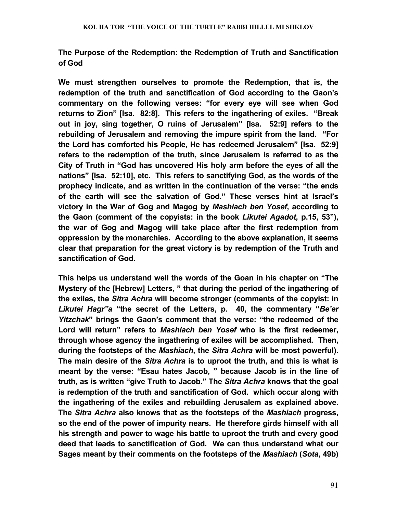**The Purpose of the Redemption: the Redemption of Truth and Sanctification of God**

**We must strengthen ourselves to promote the Redemption, that is, the redemption of the truth and sanctification of God according to the Gaon's commentary on the following verses: "for every eye will see when God returns to Zion" [Isa. 82:8]. This refers to the ingathering of exiles. "Break out in joy, sing together, O ruins of Jerusalem" [Isa. 52:9] refers to the rebuilding of Jerusalem and removing the impure spirit from the land. "For the Lord has comforted his People, He has redeemed Jerusalem" [Isa. 52:9] refers to the redemption of the truth, since Jerusalem is referred to as the City of Truth in "God has uncovered His holy arm before the eyes of all the nations" [Isa. 52:10], etc. This refers to sanctifying God, as the words of the prophecy indicate, and as written in the continuation of the verse: "the ends of the earth will see the salvation of God." These verses hint at Israel's victory in the War of Gog and Magog by** *Mashiach ben Yosef***, according to the Gaon (comment of the copyists: in the book** *Likutei Agadot***, p.15, 53"), the war of Gog and Magog will take place after the first redemption from oppression by the monarchies. According to the above explanation, it seems clear that preparation for the great victory is by redemption of the Truth and sanctification of God.**

**This helps us understand well the words of the Goan in his chapter on "The Mystery of the [Hebrew] Letters, " that during the period of the ingathering of the exiles, the** *Sitra Achra* **will become stronger (comments of the copyist: in**  *Likutei Hagr"a* **"the secret of the Letters, p. 40, the commentary "***Be'er Yitzchak***" brings the Gaon's comment that the verse: "the redeemed of the Lord will return" refers to** *Mashiach ben Yosef* **who is the first redeemer, through whose agency the ingathering of exiles will be accomplished. Then, during the footsteps of the** *Mashiach***, the** *Sitra Achra* **will be most powerful). The main desire of the** *Sitra Achra* **is to uproot the truth, and this is what is meant by the verse: "Esau hates Jacob, " because Jacob is in the line of truth, as is written "give Truth to Jacob." The** *Sitra Achra* **knows that the goal is redemption of the truth and sanctification of God. which occur along with the ingathering of the exiles and rebuilding Jerusalem as explained above. The** *Sitra Achra* **also knows that as the footsteps of the** *Mashiach* **progress, so the end of the power of impurity nears. He therefore girds himself with all his strength and power to wage his battle to uproot the truth and every good deed that leads to sanctification of God. We can thus understand what our Sages meant by their comments on the footsteps of the** *Mashiach* **(***Sota***, 49b)**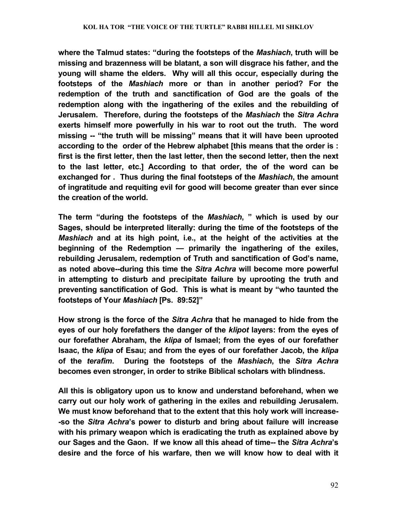**where the Talmud states: "during the footsteps of the** *Mashiach***, truth will be missing and brazenness will be blatant, a son will disgrace his father, and the young will shame the elders. Why will all this occur, especially during the footsteps of the** *Mashiach* **more or than in another period? For the redemption of the truth and sanctification of God are the goals of the redemption along with the ingathering of the exiles and the rebuilding of Jerusalem. Therefore, during the footsteps of the** *Mashiach* **the** *Sitra Achra*  **exerts himself more powerfully in his war to root out the truth. The word missing -- "the truth will be missing" means that it will have been uprooted according to the order of the Hebrew alphabet [this means that the order is : first is the first letter, then the last letter, then the second letter, then the next to the last letter, etc.] According to that order, the of the word can be exchanged for . Thus during the final footsteps of the** *Mashiach***, the amount of ingratitude and requiting evil for good will become greater than ever since the creation of the world.** 

**The term "during the footsteps of the** *Mashiach***, " which is used by our Sages, should be interpreted literally: during the time of the footsteps of the**  *Mashiach* **and at its high point, i.e., at the height of the activities at the beginning of the Redemption — primarily the ingathering of the exiles, rebuilding Jerusalem, redemption of Truth and sanctification of God's name, as noted above--during this time the** *Sitra Achra* **will become more powerful in attempting to disturb and precipitate failure by uprooting the truth and preventing sanctification of God. This is what is meant by "who taunted the footsteps of Your** *Mashiach* **[Ps. 89:52]"**

**How strong is the force of the** *Sitra Achra* **that he managed to hide from the eyes of our holy forefathers the danger of the** *klipot* **layers: from the eyes of our forefather Abraham, the** *klipa* **of Ismael; from the eyes of our forefather Isaac, the** *klipa* **of Esau; and from the eyes of our forefather Jacob, the** *klipa*  **of the** *terafim***. During the footsteps of the** *Mashiach***, the** *Sitra Achra*  **becomes even stronger, in order to strike Biblical scholars with blindness.**

**All this is obligatory upon us to know and understand beforehand, when we carry out our holy work of gathering in the exiles and rebuilding Jerusalem. We must know beforehand that to the extent that this holy work will increase- -so the** *Sitra Achra***'s power to disturb and bring about failure will increase with his primary weapon which is eradicating the truth as explained above by our Sages and the Gaon. If we know all this ahead of time-- the** *Sitra Achra***'s desire and the force of his warfare, then we will know how to deal with it**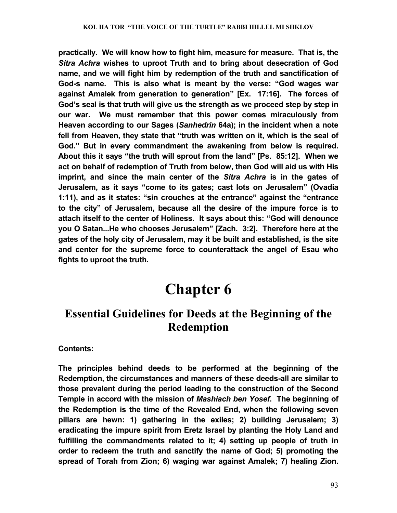**practically. We will know how to fight him, measure for measure. That is, the**  *Sitra Achra* **wishes to uproot Truth and to bring about desecration of God name, and we will fight him by redemption of the truth and sanctification of God-s name. This is also what is meant by the verse: "God wages war against Amalek from generation to generation" [Ex. 17:16]. The forces of God's seal is that truth will give us the strength as we proceed step by step in our war. We must remember that this power comes miraculously from Heaven according to our Sages (***Sanhedrin* **64a); in the incident when a note fell from Heaven, they state that "truth was written on it, which is the seal of God." But in every commandment the awakening from below is required. About this it says "the truth will sprout from the land" [Ps. 85:12]. When we act on behalf of redemption of Truth from below, then God will aid us with His imprint, and since the main center of the** *Sitra Achra* **is in the gates of Jerusalem, as it says "come to its gates; cast lots on Jerusalem" (Ovadia 1:11), and as it states: "sin crouches at the entrance" against the "entrance to the city" of Jerusalem, because all the desire of the impure force is to attach itself to the center of Holiness. It says about this: "God will denounce you O Satan...He who chooses Jerusalem" [Zach. 3:2]. Therefore here at the gates of the holy city of Jerusalem, may it be built and established, is the site and center for the supreme force to counterattack the angel of Esau who fights to uproot the truth.**

## **Chapter 6**

## **Essential Guidelines for Deeds at the Beginning of the Redemption**

#### **Contents:**

**The principles behind deeds to be performed at the beginning of the Redemption, the circumstances and manners of these deeds-all are similar to those prevalent during the period leading to the construction of the Second Temple in accord with the mission of** *Mashiach ben Yosef***. The beginning of the Redemption is the time of the Revealed End, when the following seven pillars are hewn: 1) gathering in the exiles; 2) building Jerusalem; 3) eradicating the impure spirit from Eretz Israel by planting the Holy Land and fulfilling the commandments related to it; 4) setting up people of truth in order to redeem the truth and sanctify the name of God; 5) promoting the spread of Torah from Zion; 6) waging war against Amalek; 7) healing Zion.**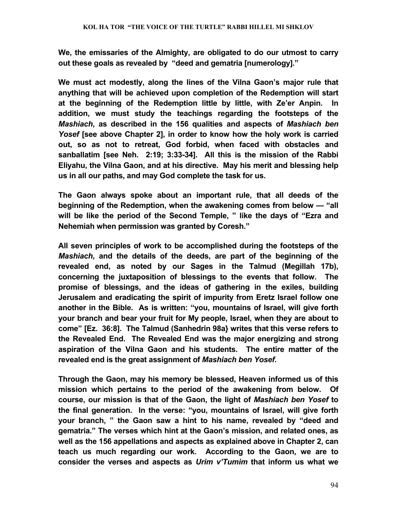**We, the emissaries of the Almighty, are obligated to do our utmost to carry out these goals as revealed by "deed and gematria [numerology]."** 

**We must act modestly, along the lines of the Vilna Gaon's major rule that anything that will be achieved upon completion of the Redemption will start at the beginning of the Redemption little by little, with Ze'er Anpin. In addition, we must study the teachings regarding the footsteps of the**  *Mashiach***, as described in the 156 qualities and aspects of** *Mashiach ben Yosef* **[see above Chapter 2], in order to know how the holy work is carried out, so as not to retreat, God forbid, when faced with obstacles and sanballatim [see Neh. 2:19; 3:33-34]. All this is the mission of the Rabbi Eliyahu, the Vilna Gaon, and at his directive. May his merit and blessing help us in all our paths, and may God complete the task for us.**

**The Gaon always spoke about an important rule, that all deeds of the beginning of the Redemption, when the awakening comes from below — "all will be like the period of the Second Temple, " like the days of "Ezra and Nehemiah when permission was granted by Coresh."**

**All seven principles of work to be accomplished during the footsteps of the**  *Mashiach***, and the details of the deeds, are part of the beginning of the revealed end, as noted by our Sages in the Talmud (Megillah 17b), concerning the juxtaposition of blessings to the events that follow. The promise of blessings, and the ideas of gathering in the exiles, building Jerusalem and eradicating the spirit of impurity from Eretz Israel follow one another in the Bible. As is written: "you, mountains of Israel, will give forth your branch and bear your fruit for My people, Israel, when they are about to come" [Ez. 36:8]. The Talmud (Sanhedrin 98a} writes that this verse refers to the Revealed End. The Revealed End was the major energizing and strong aspiration of the Vilna Gaon and his students. The entire matter of the revealed end is the great assignment of** *Mashiach ben Yosef***.**

**Through the Gaon, may his memory be blessed, Heaven informed us of this mission which pertains to the period of the awakening from below. Of course, our mission is that of the Gaon, the light of** *Mashiach ben Yosef* **to the final generation. In the verse: "you, mountains of Israel, will give forth your branch, " the Gaon saw a hint to his name, revealed by "deed and gematria." The verses which hint at the Gaon's mission, and related ones, as well as the 156 appellations and aspects as explained above in Chapter 2, can teach us much regarding our work. According to the Gaon, we are to consider the verses and aspects as** *Urim v'Tumim* **that inform us what we**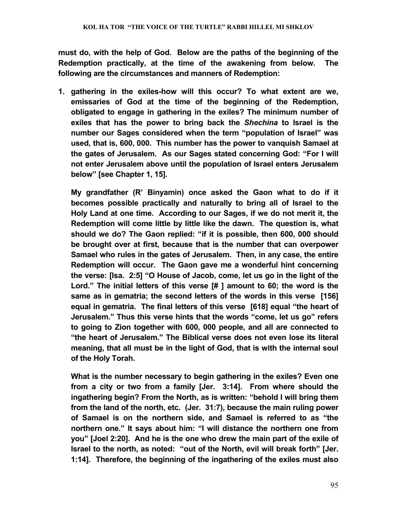**must do, with the help of God. Below are the paths of the beginning of the Redemption practically, at the time of the awakening from below. The following are the circumstances and manners of Redemption:** 

**1. gathering in the exiles-how will this occur? To what extent are we, emissaries of God at the time of the beginning of the Redemption, obligated to engage in gathering in the exiles? The minimum number of exiles that has the power to bring back the** *Shechina* **to Israel is the number our Sages considered when the term "population of Israel" was used, that is, 600, 000. This number has the power to vanquish Samael at the gates of Jerusalem. As our Sages stated concerning God: "For I will not enter Jerusalem above until the population of Israel enters Jerusalem below" [see Chapter 1, 15].**

 **My grandfather (R' Binyamin) once asked the Gaon what to do if it becomes possible practically and naturally to bring all of Israel to the Holy Land at one time. According to our Sages, if we do not merit it, the Redemption will come little by little like the dawn. The question is, what should we do? The Gaon replied: "if it is possible, then 600, 000 should be brought over at first, because that is the number that can overpower Samael who rules in the gates of Jerusalem. Then, in any case, the entire Redemption will occur. The Gaon gave me a wonderful hint concerning the verse: [Isa. 2:5] "O House of Jacob, come, let us go in the light of the Lord." The initial letters of this verse [# ] amount to 60; the word is the same as in gematria; the second letters of the words in this verse [156] equal in gematria. The final letters of this verse [618] equal "the heart of Jerusalem." Thus this verse hints that the words "come, let us go" refers to going to Zion together with 600, 000 people, and all are connected to "the heart of Jerusalem." The Biblical verse does not even lose its literal meaning, that all must be in the light of God, that is with the internal soul of the Holy Torah.** 

 **What is the number necessary to begin gathering in the exiles? Even one from a city or two from a family [Jer. 3:14]. From where should the ingathering begin? From the North, as is written: "behold I will bring them from the land of the north, etc. (Jer. 31:7), because the main ruling power of Samael is on the northern side, and Samael is referred to as "the northern one." It says about him: "I will distance the northern one from you" [Joel 2:20]. And he is the one who drew the main part of the exile of Israel to the north, as noted: "out of the North, evil will break forth" [Jer. 1:14]. Therefore, the beginning of the ingathering of the exiles must also**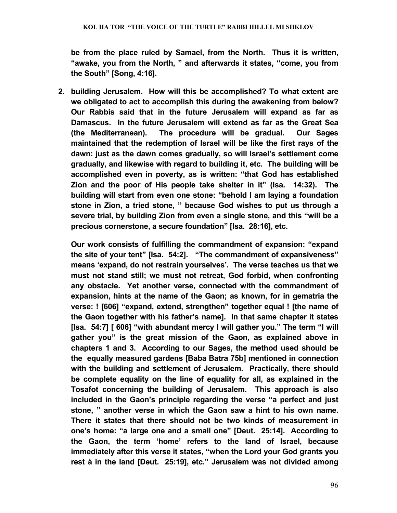**be from the place ruled by Samael, from the North. Thus it is written, "awake, you from the North, " and afterwards it states, "come, you from the South" [Song, 4:16].** 

**2. building Jerusalem. How will this be accomplished? To what extent are we obligated to act to accomplish this during the awakening from below? Our Rabbis said that in the future Jerusalem will expand as far as Damascus. In the future Jerusalem will extend as far as the Great Sea (the Mediterranean). The procedure will be gradual. Our Sages maintained that the redemption of Israel will be like the first rays of the dawn: just as the dawn comes gradually, so will Israel's settlement come gradually, and likewise with regard to building it, etc. The building will be accomplished even in poverty, as is written: "that God has established Zion and the poor of His people take shelter in it" (Isa. 14:32). The building will start from even one stone: "behold I am laying a foundation stone in Zion, a tried stone, " because God wishes to put us through a severe trial, by building Zion from even a single stone, and this "will be a precious cornerstone, a secure foundation" [Isa. 28:16], etc.**

 **Our work consists of fulfilling the commandment of expansion: "expand the site of your tent" [Isa. 54:2]. "The commandment of expansiveness" means 'expand, do not restrain yourselves'. The verse teaches us that we must not stand still; we must not retreat, God forbid, when confronting any obstacle. Yet another verse, connected with the commandment of expansion, hints at the name of the Gaon; as known, for in gematria the verse: ! [606] "expand, extend, strengthen" together equal ! [the name of the Gaon together with his father's name]. In that same chapter it states [Isa. 54:7] [ 606] "with abundant mercy I will gather you." The term "I will gather you" is the great mission of the Gaon, as explained above in chapters 1 and 3. According to our Sages, the method used should be the equally measured gardens [Baba Batra 75b] mentioned in connection with the building and settlement of Jerusalem. Practically, there should be complete equality on the line of equality for all, as explained in the Tosafot concerning the building of Jerusalem. This approach is also included in the Gaon's principle regarding the verse "a perfect and just stone, " another verse in which the Gaon saw a hint to his own name. There it states that there should not be two kinds of measurement in one's home: "a large one and a small one" [Deut. 25:14]. According to the Gaon, the term 'home' refers to the land of Israel, because immediately after this verse it states, "when the Lord your God grants you rest à in the land [Deut. 25:19], etc." Jerusalem was not divided among**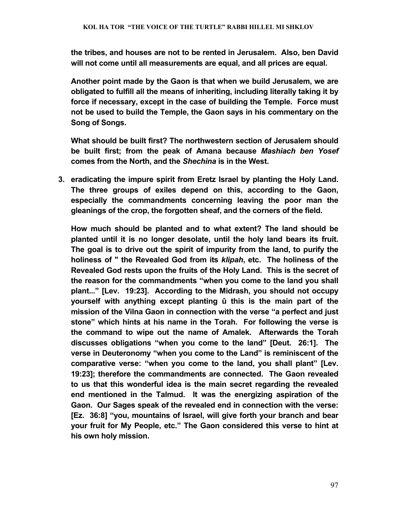**the tribes, and houses are not to be rented in Jerusalem. Also, ben David will not come until all measurements are equal, and all prices are equal.**

 **Another point made by the Gaon is that when we build Jerusalem, we are obligated to fulfill all the means of inheriting, including literally taking it by force if necessary, except in the case of building the Temple. Force must not be used to build the Temple, the Gaon says in his commentary on the Song of Songs.**

 **What should be built first? The northwestern section of Jerusalem should be built first; from the peak of Amana because** *Mashiach ben Yosef*  **comes from the North, and the** *Shechina* **is in the West.**

**3. eradicating the impure spirit from Eretz Israel by planting the Holy Land. The three groups of exiles depend on this, according to the Gaon, especially the commandments concerning leaving the poor man the gleanings of the crop, the forgotten sheaf, and the corners of the field.**

 **How much should be planted and to what extent? The land should be planted until it is no longer desolate, until the holy land bears its fruit. The goal is to drive out the spirit of impurity from the land, to purify the holiness of " the Revealed God from its** *klipah***, etc. The holiness of the Revealed God rests upon the fruits of the Holy Land. This is the secret of the reason for the commandments "when you come to the land you shall plant..." [Lev. 19:23]. According to the Midrash, you should not occupy yourself with anything except planting û this is the main part of the mission of the Vilna Gaon in connection with the verse "a perfect and just stone" which hints at his name in the Torah. For following the verse is the command to wipe out the name of Amalek. Afterwards the Torah discusses obligations "when you come to the land" [Deut. 26:1]. The verse in Deuteronomy "when you come to the Land" is reminiscent of the comparative verse: "when you come to the land, you shall plant" [Lev. 19:23]; therefore the commandments are connected. The Gaon revealed to us that this wonderful idea is the main secret regarding the revealed end mentioned in the Talmud. It was the energizing aspiration of the Gaon. Our Sages speak of the revealed end in connection with the verse: [Ez. 36:8] "you, mountains of Israel, will give forth your branch and bear your fruit for My People, etc." The Gaon considered this verse to hint at his own holy mission.**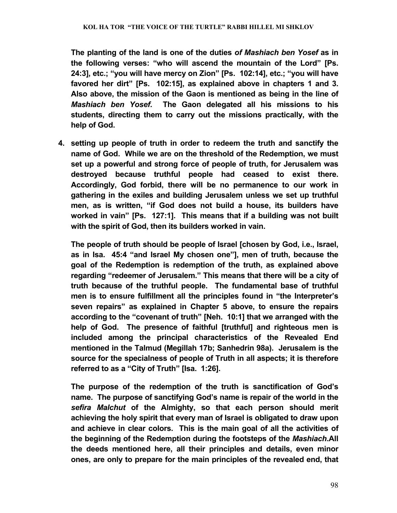**The planting of the land is one of the duties** *of Mashiach ben Yosef* **as in the following verses: "who will ascend the mountain of the Lord" [Ps. 24:3], etc.; "you will have mercy on Zion" [Ps. 102:14], etc.; "you will have favored her dirt" [Ps. 102:15], as explained above in chapters 1 and 3. Also above, the mission of the Gaon is mentioned as being in the line of**  *Mashiach ben Yosef***. The Gaon delegated all his missions to his students, directing them to carry out the missions practically, with the help of God.**

**4. setting up people of truth in order to redeem the truth and sanctify the name of God. While we are on the threshold of the Redemption, we must set up a powerful and strong force of people of truth, for Jerusalem was destroyed because truthful people had ceased to exist there. Accordingly, God forbid, there will be no permanence to our work in gathering in the exiles and building Jerusalem unless we set up truthful men, as is written, "if God does not build a house, its builders have worked in vain" [Ps. 127:1]. This means that if a building was not built with the spirit of God, then its builders worked in vain.** 

 **The people of truth should be people of Israel [chosen by God, i.e., Israel, as in Isa. 45:4 "and Israel My chosen one"], men of truth, because the goal of the Redemption is redemption of the truth, as explained above regarding "redeemer of Jerusalem." This means that there will be a city of truth because of the truthful people. The fundamental base of truthful men is to ensure fulfillment all the principles found in "the Interpreter's seven repairs" as explained in Chapter 5 above, to ensure the repairs according to the "covenant of truth" [Neh. 10:1] that we arranged with the help of God. The presence of faithful [truthful] and righteous men is included among the principal characteristics of the Revealed End mentioned in the Talmud (Megillah 17b; Sanhedrin 98a). Jerusalem is the source for the specialness of people of Truth in all aspects; it is therefore referred to as a "City of Truth" [Isa. 1:26].**

 **The purpose of the redemption of the truth is sanctification of God's name. The purpose of sanctifying God's name is repair of the world in the**  *sefira Malchut* **of the Almighty, so that each person should merit achieving the holy spirit that every man of Israel is obligated to draw upon and achieve in clear colors. This is the main goal of all the activities of the beginning of the Redemption during the footsteps of the** *Mashiach***.All the deeds mentioned here, all their principles and details, even minor ones, are only to prepare for the main principles of the revealed end, that**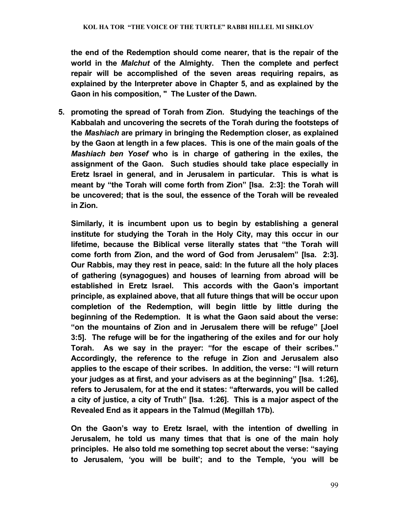**the end of the Redemption should come nearer, that is the repair of the world in the** *Malchut* **of the Almighty. Then the complete and perfect repair will be accomplished of the seven areas requiring repairs, as explained by the Interpreter above in Chapter 5, and as explained by the Gaon in his composition, " The Luster of the Dawn.** 

**5. promoting the spread of Torah from Zion. Studying the teachings of the Kabbalah and uncovering the secrets of the Torah during the footsteps of the** *Mashiach* **are primary in bringing the Redemption closer, as explained by the Gaon at length in a few places. This is one of the main goals of the**  *Mashiach ben Yosef* **who is in charge of gathering in the exiles, the assignment of the Gaon. Such studies should take place especially in Eretz Israel in general, and in Jerusalem in particular. This is what is meant by "the Torah will come forth from Zion" [Isa. 2:3]: the Torah will be uncovered; that is the soul, the essence of the Torah will be revealed in Zion.** 

 **Similarly, it is incumbent upon us to begin by establishing a general institute for studying the Torah in the Holy City, may this occur in our lifetime, because the Biblical verse literally states that "the Torah will come forth from Zion, and the word of God from Jerusalem" [Isa. 2:3]. Our Rabbis, may they rest in peace, said: In the future all the holy places of gathering (synagogues) and houses of learning from abroad will be established in Eretz Israel. This accords with the Gaon's important principle, as explained above, that all future things that will be occur upon completion of the Redemption, will begin little by little during the beginning of the Redemption. It is what the Gaon said about the verse: "on the mountains of Zion and in Jerusalem there will be refuge" [Joel 3:5]. The refuge will be for the ingathering of the exiles and for our holy Torah. As we say in the prayer: "for the escape of their scribes." Accordingly, the reference to the refuge in Zion and Jerusalem also applies to the escape of their scribes. In addition, the verse: "I will return your judges as at first, and your advisers as at the beginning" [Isa. 1:26], refers to Jerusalem, for at the end it states: "afterwards, you will be called a city of justice, a city of Truth" [Isa. 1:26]. This is a major aspect of the Revealed End as it appears in the Talmud (Megillah 17b).**

 **On the Gaon's way to Eretz Israel, with the intention of dwelling in Jerusalem, he told us many times that that is one of the main holy principles. He also told me something top secret about the verse: "saying to Jerusalem, 'you will be built'; and to the Temple, 'you will be**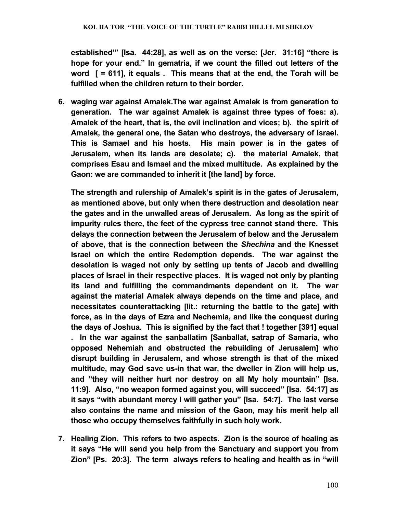**established'" [Isa. 44:28], as well as on the verse: [Jer. 31:16] "there is hope for your end." In gematria, if we count the filled out letters of the word [ = 611], it equals . This means that at the end, the Torah will be fulfilled when the children return to their border.**

**6. waging war against Amalek.The war against Amalek is from generation to generation. The war against Amalek is against three types of foes: a). Amalek of the heart, that is, the evil inclination and vices; b). the spirit of Amalek, the general one, the Satan who destroys, the adversary of Israel. This is Samael and his hosts. His main power is in the gates of Jerusalem, when its lands are desolate; c). the material Amalek, that comprises Esau and Ismael and the mixed multitude. As explained by the Gaon: we are commanded to inherit it [the land] by force.** 

 **The strength and rulership of Amalek's spirit is in the gates of Jerusalem, as mentioned above, but only when there destruction and desolation near the gates and in the unwalled areas of Jerusalem. As long as the spirit of impurity rules there, the feet of the cypress tree cannot stand there. This delays the connection between the Jerusalem of below and the Jerusalem of above, that is the connection between the** *Shechina* **and the Knesset Israel on which the entire Redemption depends. The war against the desolation is waged not only by setting up tents of Jacob and dwelling places of Israel in their respective places. It is waged not only by planting its land and fulfilling the commandments dependent on it. The war against the material Amalek always depends on the time and place, and necessitates counterattacking [lit.: returning the battle to the gate] with force, as in the days of Ezra and Nechemia, and like the conquest during the days of Joshua. This is signified by the fact that ! together [391] equal . In the war against the sanballatim [Sanballat, satrap of Samaria, who opposed Nehemiah and obstructed the rebuilding of Jerusalem] who disrupt building in Jerusalem, and whose strength is that of the mixed multitude, may God save us-in that war, the dweller in Zion will help us, and "they will neither hurt nor destroy on all My holy mountain" [Isa. 11:9]. Also, "no weapon formed against you, will succeed" [Isa. 54:17] as it says "with abundant mercy I will gather you" [Isa. 54:7]. The last verse also contains the name and mission of the Gaon, may his merit help all those who occupy themselves faithfully in such holy work.**

**7. Healing Zion. This refers to two aspects. Zion is the source of healing as it says "He will send you help from the Sanctuary and support you from Zion" [Ps. 20:3]. The term always refers to healing and health as in "will**